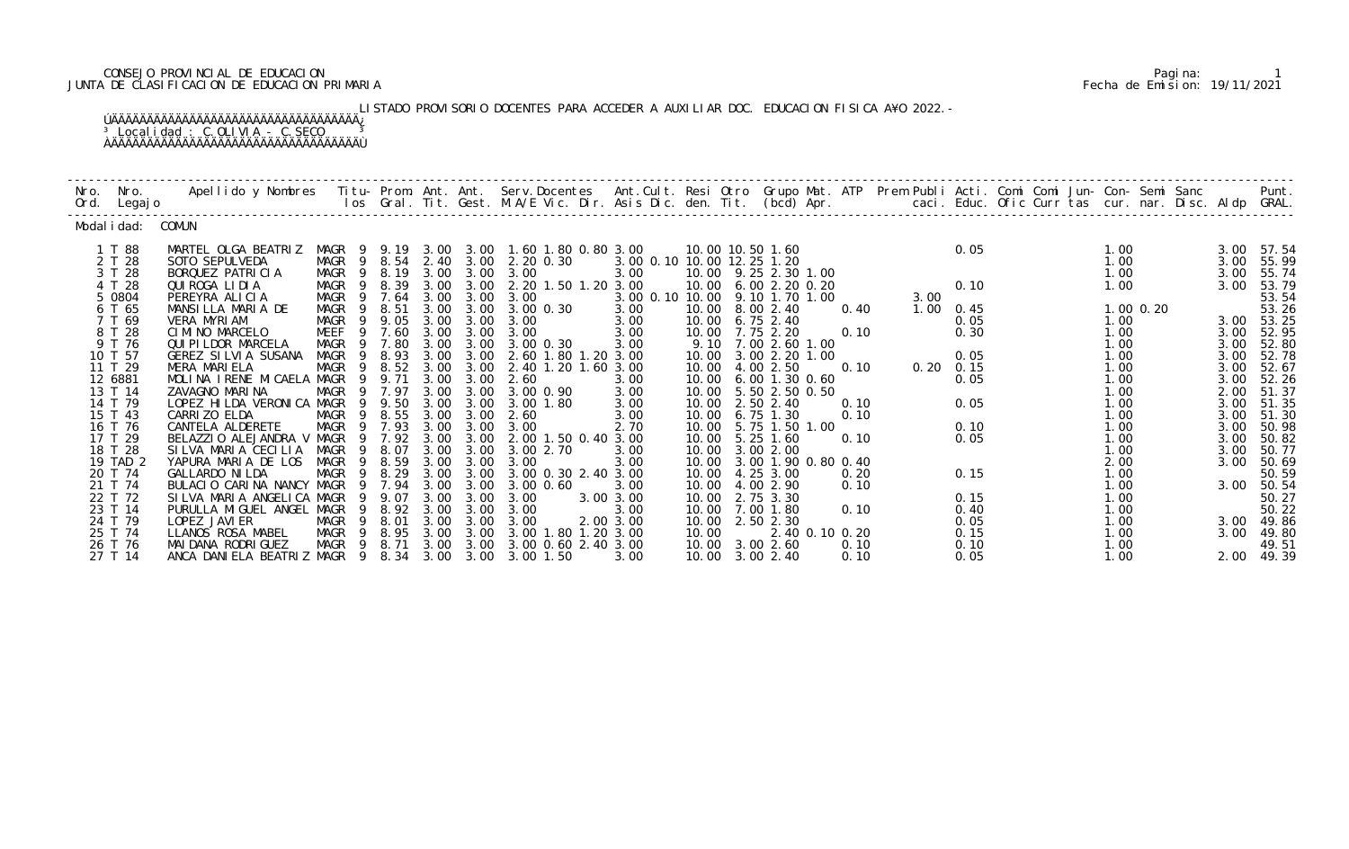## CONSEJO PROVINCIAL DE EDUCACION Pagina: 1 JUNTA DE CLASIFICACION DE EDUCACION PRIMARIA Fecha de Emision: 19/11/2021

LISTADO PROVISORIO DOCENTES PARA ACCEDER A AUXILIAR DOC. EDUCACION FISICA A¥O 2022.-

| Nro. | Nro.<br>Ord. Legajo                                                                                                                                                                                              |                                                                                                                                                                                                                                                                                                                                                                                                                                                            |                                                                                                                                                                                                                                       |                                                                                                                        |                                                                      |                                                                                                                                            |                                                                                                                                                                                                                                                                                                                                                                              |                                                                                                                                                              |                                  |                                                                                                                                                                                                                                                                                                                                                                         |                                                        |                        |                                                                                           |                       |                                                                                                                                                           |                                                                                                              |                                                                                                                                                                                                 |
|------|------------------------------------------------------------------------------------------------------------------------------------------------------------------------------------------------------------------|------------------------------------------------------------------------------------------------------------------------------------------------------------------------------------------------------------------------------------------------------------------------------------------------------------------------------------------------------------------------------------------------------------------------------------------------------------|---------------------------------------------------------------------------------------------------------------------------------------------------------------------------------------------------------------------------------------|------------------------------------------------------------------------------------------------------------------------|----------------------------------------------------------------------|--------------------------------------------------------------------------------------------------------------------------------------------|------------------------------------------------------------------------------------------------------------------------------------------------------------------------------------------------------------------------------------------------------------------------------------------------------------------------------------------------------------------------------|--------------------------------------------------------------------------------------------------------------------------------------------------------------|----------------------------------|-------------------------------------------------------------------------------------------------------------------------------------------------------------------------------------------------------------------------------------------------------------------------------------------------------------------------------------------------------------------------|--------------------------------------------------------|------------------------|-------------------------------------------------------------------------------------------|-----------------------|-----------------------------------------------------------------------------------------------------------------------------------------------------------|--------------------------------------------------------------------------------------------------------------|-------------------------------------------------------------------------------------------------------------------------------------------------------------------------------------------------|
|      | Modal i dad: COMUN                                                                                                                                                                                               |                                                                                                                                                                                                                                                                                                                                                                                                                                                            |                                                                                                                                                                                                                                       |                                                                                                                        |                                                                      |                                                                                                                                            |                                                                                                                                                                                                                                                                                                                                                                              |                                                                                                                                                              |                                  |                                                                                                                                                                                                                                                                                                                                                                         |                                                        |                        |                                                                                           |                       |                                                                                                                                                           |                                                                                                              |                                                                                                                                                                                                 |
|      | 1 T 88<br>2 T 28<br>3 T 28<br>4 T 28<br>5 0804<br>6 T 65<br>7 T 69<br>8 T 28<br>9 T 76<br>10 T 57<br>11 T 29<br>12 6881<br>13 T 14<br>14 T 79<br>15 T 43<br>16 T 76<br>17 T 29<br>18 T 28<br>19 TAD 2<br>20 T 74 | MARTEL OLGA BEATRIZ<br>SOTO SEPULVEDA<br>BORQUEZ PATRICIA<br>QUI ROGA LI DI A<br>PEREYRA ALICIA<br>MANSILLA MARIA DE<br>VERA MYRIAM<br>CIMINO MARCELO<br>QUI PI LDOR MARCELA<br>GEREZ SILVIA SUSANA<br>MERA MARIELA<br>MOLINA IRENE MICAELA MAGR<br>ZAVAGNO MARINA<br>LOPEZ HILDA VERONICA MAGR 9 9.50<br>CARRI ZO ELDA<br>CANTELA ALDERETE<br>BELAZZIO ALEJANDRA V MAGR<br>SILVA MARIA CECILIA MAGR<br>YAPURA MARIA DE LOS MAGR<br><b>GALLARDO NI LDA</b> | MAGR 9<br>MAGR 9<br>MAGR<br>MAGR 9 8.51<br>MAGR<br>- 9<br>MEEF<br>9<br>MAGR<br>- 9<br>MAGR<br>- 9<br>MAGR<br>$\overline{9}$<br>MAGR<br>MAGR<br>$\overline{9}$<br>MAGR<br>$\overline{9}$<br>$\overline{9}$<br>- 9<br>MAGR <sub>9</sub> | 8.39<br>9 7.64<br>9.05<br>7.60<br>7.80<br>8.93<br>9 8.52<br>9.71<br>9 7.97<br>8. 55<br>7. 93<br>7.92<br>9 8.07<br>8.59 | 3.00<br>3.00<br>3.00<br>3.00<br>3.00<br>3.00<br>3.00<br>3.00<br>3.00 | 3.00<br>3.00 3.00<br>3.00 3.00<br>3.00<br>3.00<br>3.00 3.00<br>3.00<br>3.00<br>3.00<br>3.00 3.00<br>3.00<br>3.00 3.00<br>3.00 3.00<br>3.00 | MAGR 9 9.19 3.00 3.00 1.60 1.80 0.80 3.00<br>MAGR 9 8.54 2.40 3.00 2.20 0.30<br>8.19 3.00 3.00 3.00<br>2. 20 1. 50 1. 20 3. 00<br>3.00<br>3.00 3.00 3.00 0.30<br>3.00<br>3.00<br>3.00 0.30<br>3.00 3.00 2.60 1.80 1.20 3.00<br>2.40 1.20 1.60 3.00<br>2.60<br>3.00 0.90<br>3.00 1.80<br>2.60<br>3.00<br>3.00 2.00 1.50 0.40 3.00<br>3.00 2.70<br>3.00<br>3.00 0.30 2.40 3.00 | 3.00 0.10 10.00 12.25 1.20<br>3.00<br>3.00 0.10 10.00 9.10 1.70 1.00<br>3.00<br>3.00<br>3.00<br>3.00<br>3.00<br>3.00<br>3.00<br>3.00<br>2.70<br>3.00<br>3.00 | 10.00<br>10.00<br>10.00<br>10.00 | 10.00 10.50 1.60<br>10.00 9.25 2.30 1.00<br>10.00 6.00 2.20 0.20<br>10.00 8.00 2.40<br>10.00 6.75 2.40<br>10.00 7.75 2.20<br>9.10 7.00 2.60 1.00<br>10.00 3.00 2.20 1.00<br>10.00 4.00 2.50<br>6.00 1.30 0.60<br>10.00 5.50 2.50 0.50<br>10.00 2.50 2.40<br>10.00 6.75 1.30<br>5.75 1.50 1.00<br>5.25 1.60<br>10.00 3.00 2.00<br>10.00 3.00 1.90 0.80 0.40<br>4.25 3.00 | 0.40<br>0.10<br>0.10<br>0.10<br>0.10<br>0.10           | 3.00<br>$1.00 \t 0.45$ | 0.05<br>0.05<br>0.30<br>0.05<br>$0.20 \quad 0.15$<br>0.05<br>0.05<br>0.10<br>0.05<br>0.15 | $\frac{1}{2}$<br>0.10 | 1.00<br>1.00<br>1.00<br>1.00<br>1.00 0.20<br>1.00<br>1.00<br>1.00<br>1.00<br>1.00<br>1.00<br>1.00<br>1.00<br>1.00<br>1.00<br>1.00<br>1.00<br>2.00<br>1.00 | 3.00<br>3.00<br>3.00<br>3.00<br>3.00<br>3.00<br>3.00<br>3.00<br>2.00<br>3.00<br>3.00<br>3.00<br>3.00<br>3.00 | 3.00 57.54<br>55.99<br>55.74<br>53.79<br>53.54<br>53.26<br>3.00 53.25<br>52.95<br>52.80<br>52.78<br>52.67<br>52.26<br>51.37<br>3.00 51.35<br>51.30<br>50.98<br>50.82<br>50.77<br>50.69<br>50.59 |
|      | 21 T 74<br>22 T 72<br>23 T 14<br>24 T 79<br>25 T 74<br>26 T 76<br>27 T 14                                                                                                                                        | BULACIO CARINA NANCY MAGR 9 7.94<br>SILVA MARIA ANGELICA MAGR<br>PURULLA MIGUEL ANGEL MAGR<br>LOPEZ JAVI ER<br>LLANOS ROSA MABEL<br>MAI DANA RODRI GUEZ<br>ANCA DANIELA BEATRIZ MAGR 9 8.34 3.00 3.00 3.00 1.50                                                                                                                                                                                                                                            | - 9<br>MAGR 9 8.01<br>MAGR 9 8.95<br>MAGR 9 8.71                                                                                                                                                                                      | 8.29<br>9 9.07                                                                                                         | 3.00<br>3.00                                                         | 3.00<br>3.00 3.00<br>3.00<br>3.00 3.00                                                                                                     | 3.00 0.60<br>3.00 3.00<br>3.00<br>8.92 3.00 3.00 3.00<br>3.00<br>3.00 1.80 1.20 3.00<br>3.00 3.00 3.00 0.60 2.40 3.00                                                                                                                                                                                                                                                        | 3.00<br>3.00<br>2.00 3.00<br>3.00                                                                                                                            | 10.00<br>10.00                   | 4.00 2.90<br>10.00 2.75 3.30<br>10.00 7.00 1.80<br>10.00 2.50 2.30<br>10.00 3.00 2.60<br>10.00 3.00 2.40                                                                                                                                                                                                                                                                | 0.20<br>0.10<br>0.10<br>2.40 0.10 0.20<br>0.10<br>0.10 |                        | 0.15<br>0.40<br>0.05<br>0.15<br>0.10<br>0.05                                              |                       | 1.00<br>1.00<br>1.00<br>1.00<br>1.00<br>1.00<br>1.00                                                                                                      | 3.00<br>3.00                                                                                                 | 3.00 50.54<br>50.27<br>50.22<br>49.86<br>49.80<br>49.51<br>2.00 49.39                                                                                                                           |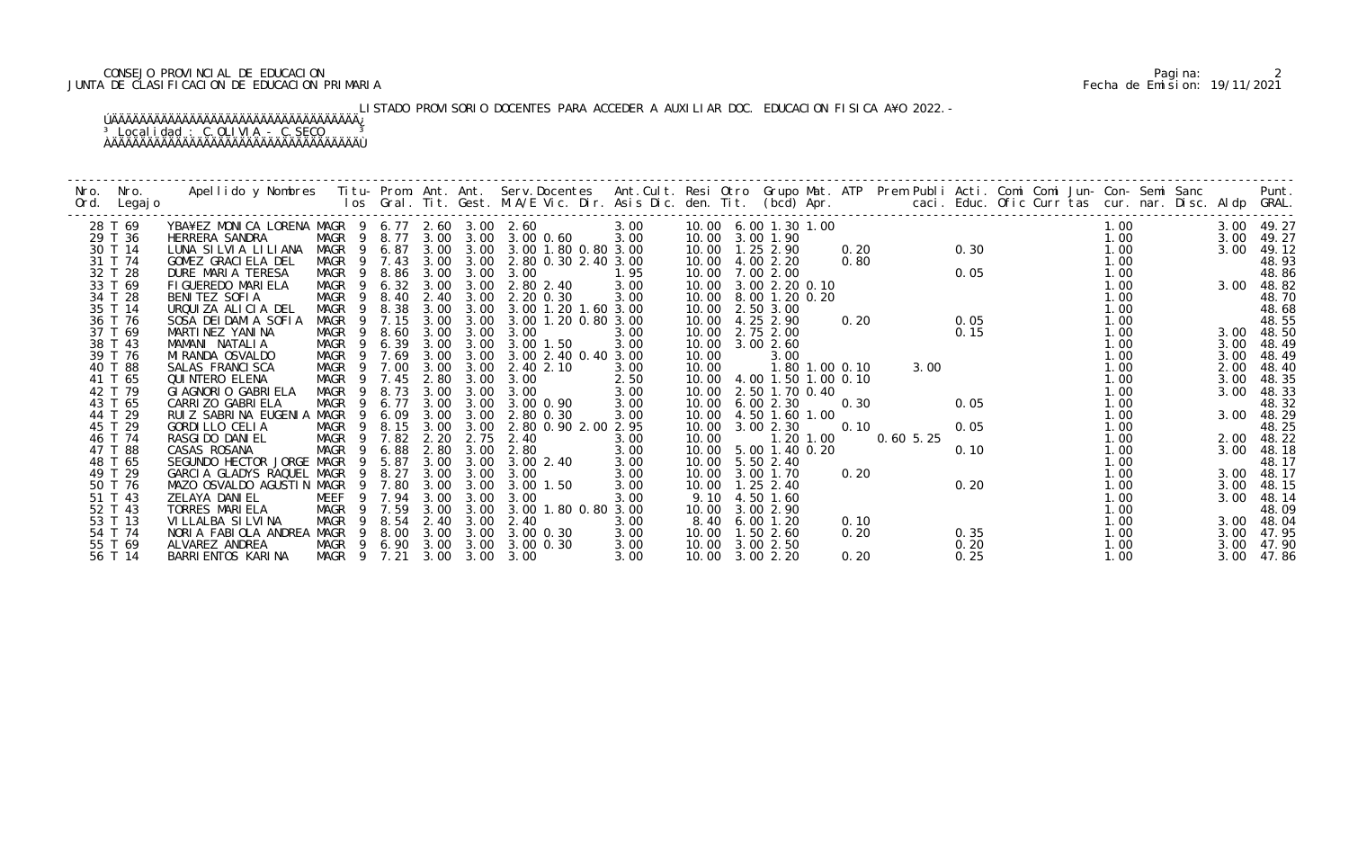## CONSEJO PROVINCIAL DE EDUCACION Pagina: 2 JUNTA DE CLASIFICACION DE EDUCACION PRIMARIA Fecha de Emision: 19/11/2021

LISTADO PROVISORIO DOCENTES PARA ACCEDER A AUXILIAR DOC. EDUCACION FISICA A¥O 2022.-

| Nro. | Nro.    | Apellido y Nombres - Titu- Prom. Ant. Ant. Serv.Docentes - Ant.Cult. Resi Otro Grupo Mat. ATP Prem Publi Acti. Comi Comi Jun- Con- Semi Sanc - - - Punt.<br>Ios Gral. Tit. Gest. M.A/E Vic. Dir. Asis Dic. den. Tit. (bcd) Apr. - |                        |        |      |                   |                               |      |                           |                |                |      |          |      |  |      |  |      |            |
|------|---------|-----------------------------------------------------------------------------------------------------------------------------------------------------------------------------------------------------------------------------------|------------------------|--------|------|-------------------|-------------------------------|------|---------------------------|----------------|----------------|------|----------|------|--|------|--|------|------------|
| Ord. | Legaj o |                                                                                                                                                                                                                                   |                        |        |      |                   |                               |      |                           |                |                |      |          |      |  |      |  |      |            |
|      |         |                                                                                                                                                                                                                                   |                        |        |      |                   |                               |      |                           |                |                |      |          |      |  |      |  |      |            |
|      | 28 T 69 | YBA¥EZ MONICA LORENA MAGR 9 6.77 2.60 3.00 2.60                                                                                                                                                                                   |                        |        |      |                   |                               | 3.00 | 10.00 6.00 1.30 1.00      |                |                |      |          |      |  | 1.00 |  |      | 3.00 49.27 |
|      | 29 T 36 | HERRERA SANDRA                                                                                                                                                                                                                    | MAGR 9 8.77 3.00 3.00  |        |      |                   | 3.00 0.60                     | 3.00 | 10.00                     | 3.00 1.90      |                |      |          |      |  | 1.00 |  | 3.00 | 49.27      |
|      | 30 T 14 | LUNA SILVIA LILIANA                                                                                                                                                                                                               | MAGR 9 6.87            |        |      |                   | 3.00 3.00 3.00 1.80 0.80 3.00 |      | 10.00  1.25  2.90         |                |                | 0.20 |          | 0.30 |  | 1.00 |  | 3.00 | 49.12      |
|      | 31 T 74 | GOMEZ GRACIELA DEL                                                                                                                                                                                                                | MAGR 9 7.43            |        |      |                   | 3.00 3.00 2.80 0.30 2.40 3.00 |      | 10.00 4.00 2.20           |                |                | 0.80 |          |      |  | 1.00 |  |      | 48.93      |
|      | 32 T 28 | DURE MARIA TERESA                                                                                                                                                                                                                 | MAGR 9 8.86            |        | 3.00 | 3.00              | 3.00                          | 1.95 | 10.00 7.00 2.00           |                |                |      |          | 0.05 |  | 1.00 |  |      | 48.86      |
|      | 33 T 69 | FI GUEREDO MARI ELA                                                                                                                                                                                                               | MAGR 9 6.32 3.00       |        |      | 3.00              | 2.80 2.40                     | 3.00 | 10.00                     | 3.00 2.20 0.10 |                |      |          |      |  | 1.00 |  |      | 3.00 48.82 |
|      | 34 T 28 | BENITEZ SOFIA                                                                                                                                                                                                                     | MAGR                   | 9 8.40 | 2.40 | 3.00              | 2.20 0.30                     | 3.00 | 10.00 8.00 1.20 0.20      |                |                |      |          |      |  | 1.00 |  |      | 48.70      |
|      | 35 T 14 | URQUIZA ALICIA DEL                                                                                                                                                                                                                | MAGR<br>- 9            | 8.38   |      |                   | 3.00 3.00 3.00 1.20 1.60 3.00 |      | 10.00 2.50 3.00           |                |                |      |          |      |  | 1.00 |  |      | 48.68      |
|      | 36 T 76 | SOSA DEI DAMIA SOFIA                                                                                                                                                                                                              | MAGR<br>$\overline{9}$ | 7.15   | 3.00 | 3.00              | 3.00 1.20 0.80 3.00           |      | 10.00                     | 4.25 2.90      |                | 0.20 |          | 0.05 |  | 1.00 |  |      | 48.55      |
|      | 37 T 69 | MARTINEZ YANINA                                                                                                                                                                                                                   | MAGR<br>- 9            | 8.60   | 3.00 | 3.00              | 3.00                          | 3.00 | 10.00                     | 2.75 2.00      |                |      |          | 0.15 |  | 1.00 |  | 3.00 | 48.50      |
|      | 38 T 43 | MAMANI NATALIA                                                                                                                                                                                                                    | MAGR 9 6.39            |        | 3.00 | 3.00              | 3.00 1.50                     | 3.00 | 10.00 3.00 2.60           |                |                |      |          |      |  | 1.00 |  | 3.00 | 48.49      |
|      | 39 T 76 | MI RANDA OSVALDO                                                                                                                                                                                                                  | MAGR 9 7.69            |        | 3.00 |                   | 3.00 3.00 2.40 0.40 3.00      |      | 10.00                     | 3.00           |                |      |          |      |  | 1.00 |  | 3.00 | 48.49      |
|      | 40 T 88 | SALAS FRANCI SCA                                                                                                                                                                                                                  | MAGR<br>$\overline{9}$ | 7.00   | 3.00 | 3.00              | 2.40 2.10                     | 3.00 | 10.00                     |                | 1.80 1.00 0.10 |      |          | 3.00 |  | 1.00 |  | 2.00 | 48.40      |
|      | 41 T 65 | QUI NTERO ELENA                                                                                                                                                                                                                   | MAGR<br>$\overline{9}$ | 7.45   | 2.80 | 3.00              | 3.00                          | 2.50 | 10.00 4.00 1.50 1.00 0.10 |                |                |      |          |      |  | 1.00 |  | 3.00 | 48.35      |
|      | 42 T 79 | GI AGNORIO GABRI ELA                                                                                                                                                                                                              | MAGR<br>$\overline{9}$ | 8.73   | 3.00 | 3.00              | 3.00                          | 3.00 | 10.00                     | 2.50 1.70 0.40 |                |      |          |      |  | 1.00 |  | 3.00 | 48.33      |
|      | 43 T 65 | CARRI ZO GABRI ELA                                                                                                                                                                                                                | MAGR<br>-9             | 6.77   | 3.00 | 3.00              | 3.00 0.90                     | 3.00 | 10.00                     | 6.00 2.30      |                | 0.30 |          | 0.05 |  | 1.00 |  |      | 48.32      |
|      | 44 T 29 | RUIZ SABRINA EUGENIA                                                                                                                                                                                                              | MAGR<br>-9             | 6.09   | 3.00 | 3.00              | 2.80 0.30                     | 3.00 | 10.00                     | 4.50 1.60 1.00 |                |      |          |      |  | 1.00 |  | 3.00 | 48.29      |
|      | 45 T 29 | GORDI LLO CELIA                                                                                                                                                                                                                   | MAGR<br>$\overline{9}$ | 8.15   | 3.00 | 3.00              | 2.80 0.90 2.00 2.95           |      | 10.00                     | 3.00 2.30      |                | 0.10 |          | 0.05 |  | 1.00 |  |      | 48.25      |
|      | 46 T 74 | RASGI DO DANI EL                                                                                                                                                                                                                  | MAGR                   | 9 7.82 | 2.20 | 2.75              | 2.40                          | 3.00 | 10.00                     |                | 1.20 1.00      |      | 0.605.25 |      |  | 1.00 |  |      | 2.00 48.22 |
|      | 47 T 88 | CASAS ROSANA                                                                                                                                                                                                                      | MAGR<br>$\overline{9}$ | 6.88   | 2.80 | 3.00              | 2.80                          | 3.00 | 10.00                     | 5.00 1.40 0.20 |                |      |          | 0.10 |  | 1.00 |  | 3.00 | 48.18      |
|      | 48 T 65 | SEGUNDO HECTOR JORGE MAGR                                                                                                                                                                                                         | - 9                    | 5.87   | 3.00 | 3.00              | 3.00 2.40                     | 3.00 | 10.00                     | 5.50 2.40      |                |      |          |      |  | 1.00 |  |      | 48.17      |
|      | 49 T 29 | GARCIA GLADYS RAQUEL MAGR                                                                                                                                                                                                         | - 9                    | 8.27   | 3.00 | 3.00              | 3.00                          | 3.00 | 10.00                     | 3.00 1.70      |                | 0.20 |          |      |  | 1.00 |  |      | 3.00 48.17 |
|      | 50 T 76 | MAZO OSVALDO AGUSTIN MAGR                                                                                                                                                                                                         |                        | 9 7.80 | 3.00 | 3.00              | 3.00 1.50                     | 3.00 | 10.00  1.25  2.40         |                |                |      |          | 0.20 |  | 1.00 |  | 3.00 | 48.15      |
|      | 51 T 43 | ZELAYA DANIEL                                                                                                                                                                                                                     | MEEF                   | 9 7.94 | 3.00 | 3.00              | 3.00                          | 3.00 | 9.10                      | 4.50 1.60      |                |      |          |      |  | 1.00 |  | 3.00 | 48.14      |
|      | 52 T 43 | TORRES MARIELA                                                                                                                                                                                                                    | MAGR<br>9              | 7.59   | 3.00 | 3.00              | 3.00 1.80 0.80 3.00           |      | 10.00                     | 3.00 2.90      |                |      |          |      |  | 1.00 |  |      | 48.09      |
|      | 53 T 13 | VILLALBA SILVINA                                                                                                                                                                                                                  | MAGR<br>-9             | 8.54   | 2.40 | 3.00              | 2.40                          | 3.00 | 8.40                      | 6.001.20       |                | 0.10 |          |      |  | 1.00 |  | 3.00 | 48.04      |
|      | 54 T 74 | NORIA FABIOLA ANDREA                                                                                                                                                                                                              | MAGR                   | 9 8.00 |      | $3.00 \quad 3.00$ | 3.00 0.30                     | 3.00 | 10.00 1.50 2.60           |                |                | 0.20 |          | 0.35 |  | 1.00 |  | 3.00 | 47.95      |
|      | 55 T 69 | ALVAREZ ANDREA                                                                                                                                                                                                                    | MAGR 9 6.90 3.00 3.00  |        |      |                   | 3.00 0.30                     | 3.00 | 10.00 3.00 2.50           |                |                |      |          | 0.20 |  | 1.00 |  | 3.00 | 47.90      |
|      | 56 T 14 | BARRI ENTOS KARI NA                                                                                                                                                                                                               | MAGR 9 7.21            |        |      | $3.00 \quad 3.00$ | 3.00                          | 3.00 | 10.00 3.00 2.20           |                |                | 0.20 |          | 0.25 |  | 1.00 |  | 3.00 | 47.86      |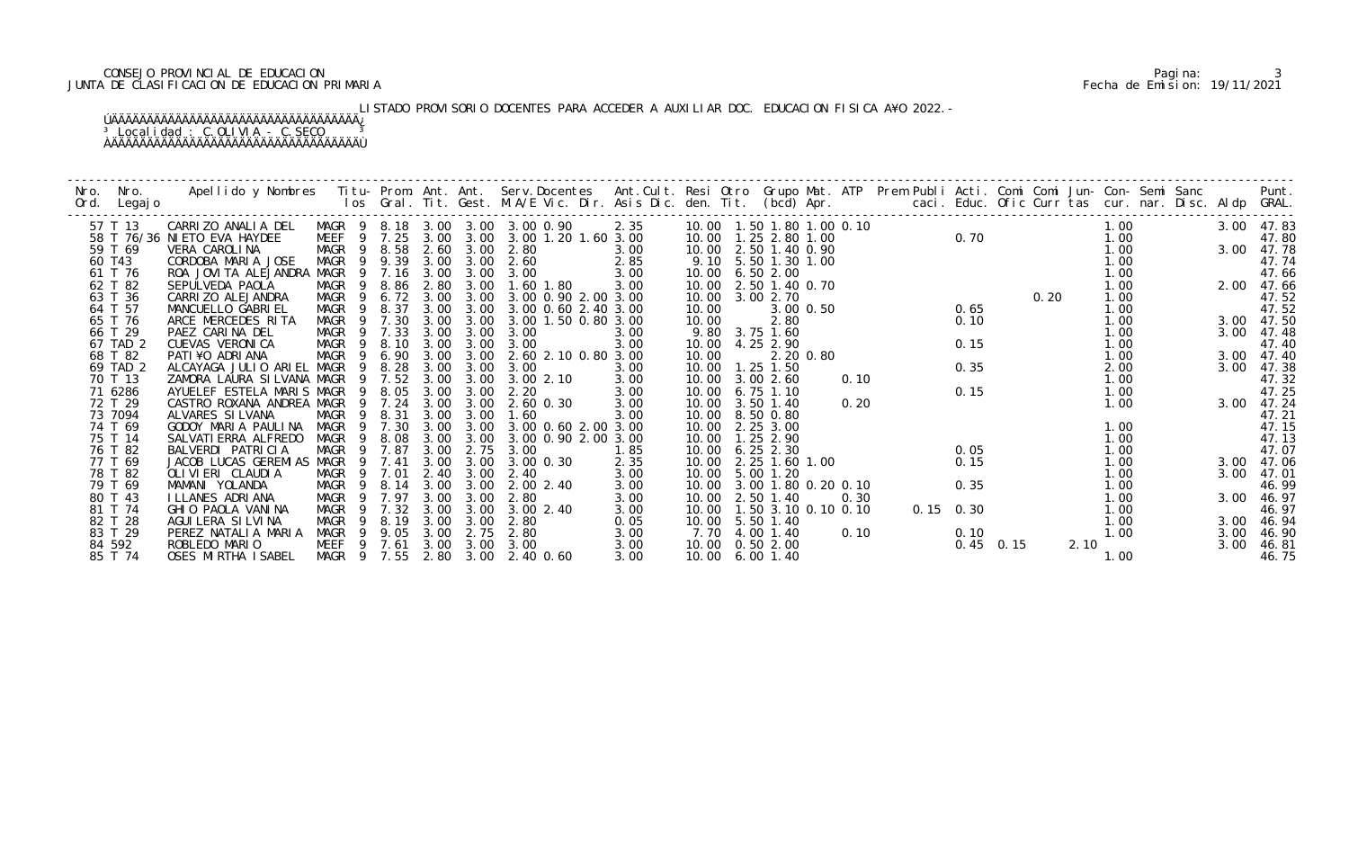## CONSEJO PROVINCIAL DE EDUCACION Pagina: 3 JUNTA DE CLASIFICACION DE EDUCACION PRIMARIA Fecha de Emision: 19/11/2021

LISTADO PROVISORIO DOCENTES PARA ACCEDER A AUXILIAR DOC. EDUCACION FISICA A¥O 2022.-

| Nro.<br>Ord. | Nro.<br>Legaj o | Apellido y Nombres - Titu- Prom. Ant. Ant. Serv.Docentes - Ant.Cult. Resi Otro Grupo Mat. ATP - Prem Publi Acti. Comi Comi Jun- Con- Semi Sanc - - - - Punt.<br>Ios Gral. Tit. Gest. M.A/E Vic. Dir. Asis Dic. den. Tit. (bcd) Ap |                            |                |        |      |           |                                           |      |                               |                     |           |      |             |                         |  |      |      |  |      |            |
|--------------|-----------------|-----------------------------------------------------------------------------------------------------------------------------------------------------------------------------------------------------------------------------------|----------------------------|----------------|--------|------|-----------|-------------------------------------------|------|-------------------------------|---------------------|-----------|------|-------------|-------------------------|--|------|------|--|------|------------|
|              | 57 T 13         | CARRIZO ANALIA DEL                                                                                                                                                                                                                |                            |                |        |      |           | MAGR 9 8.18 3.00 3.00 3.00 0.90           | 2.35 | 10.00  1.50  1.80  1.00  0.10 |                     |           |      |             | 0. 70<br>0. 70<br>0. 20 |  |      | 1.00 |  |      | 3.00 47.83 |
|              |                 | 58 T 76/36 NI ETO EVA HAYDEE                                                                                                                                                                                                      |                            |                |        |      |           | MEEF 9 7.25 3.00 3.00 3.00 1.20 1.60 3.00 |      | 10.00  1.25  2.80  1.00       |                     |           |      |             |                         |  |      | 1.00 |  |      | 47.80      |
|              | 59 T 69         | VERA CAROLINA                                                                                                                                                                                                                     | MAGR 9 8.58 2.60 3.00 2.80 |                |        |      |           |                                           | 3.00 | 10.00 2.50 1.40 0.90          |                     |           |      |             |                         |  |      | 1.00 |  |      | 3.00 47.78 |
|              | 60 T43          | CORDOBA MARIA JOSE                                                                                                                                                                                                                | MAGR 9 9.39                |                |        |      | 3.00 3.00 | $2.85$<br>$3.00$<br>2.60                  |      |                               | 9.10 5.50 1.30 1.00 |           |      |             |                         |  |      | 1.00 |  |      | 47.74      |
|              | 61 T 76         | ROA JOVITA ALEJANDRA MAGR                                                                                                                                                                                                         |                            |                | 9 7.16 | 3.00 |           | 3.00 3.00                                 |      | 10.00                         | 6.50 2.00           |           |      |             |                         |  |      | 1.00 |  |      | 47.66      |
|              | 62 T 82         | SEPULVEDA PAOLA                                                                                                                                                                                                                   | MAGR 9 8.86 2.80           |                |        |      | 3.00      | 1.60 1.80                                 | 3.00 | 10.00 2.50 1.40 0.70          |                     |           |      |             |                         |  |      | 1.00 |  |      | 2.00 47.66 |
|              | 63 T 36         | CARRI ZO ALEJANDRA                                                                                                                                                                                                                | MAGR 9 6.72 3.00           |                |        |      | 3.00      | 3.00 0.90 2.00 3.00                       |      | 10.00 3.00 2.70               |                     |           |      |             |                         |  |      | 1.00 |  |      | 47.52      |
|              | 64 T 57         | MANCUELLO GABRIEL                                                                                                                                                                                                                 | MAGR                       | - 9            | 8.37   |      |           | 3.00 3.00 3.00 0.60 2.40 3.00             |      | 10.00                         |                     | 3.00 0.50 |      |             | 0.65                    |  |      | 1.00 |  |      | 47.52      |
|              | 65 T 76         | ARCE MERCEDES RITA                                                                                                                                                                                                                | MAGR                       | $\overline{9}$ | 7.30   | 3.00 | 3.00      | 3.00 1.50 0.80 3.00                       |      | 10.00                         | 2.80                |           |      |             | 0.10                    |  |      | 1.00 |  |      | 3.00 47.50 |
|              | 66 T 29         | PAEZ CARINA DEL                                                                                                                                                                                                                   | MAGR 9 7.33                |                |        | 3.00 | 3.00      | 3.00                                      | 3.00 |                               | 9.80 3.75 1.60      |           |      |             |                         |  |      | 1.00 |  | 3.00 | 47.48      |
|              | 67 TAD 2        | CUEVAS VERONICA                                                                                                                                                                                                                   | MAGR 9 8.10                |                |        |      |           | 3.00 3.00 3.00                            | 3.00 | 10.00 4.25 2.90               |                     |           |      |             | 0.15                    |  |      | 1.00 |  |      | 47.40      |
|              | 68 T 82         | PATI¥O ADRIANA                                                                                                                                                                                                                    | MAGR                       |                | 9 6.90 |      |           | 3.00 3.00 2.60 2.10 0.80 3.00             |      | 10.00                         |                     | 2.20 0.80 |      |             |                         |  |      | 1.00 |  | 3.00 | 47.40      |
|              | 69 TAD 2        | ALCAYAGA JULIO ARIEL MAGR 9                                                                                                                                                                                                       |                            |                | 8.28   | 3.00 | 3.00      | 3.00                                      | 3.00 | 10.00                         | $1.25$ 1.50         |           |      |             | 0.35                    |  |      | 2.00 |  | 3.00 | 47.38      |
|              | 70 T 13         | ZAMORA LAURA SILVANA MAGR                                                                                                                                                                                                         |                            |                | 9 7.52 | 3.00 | 3.00      | 3.00 2.10                                 | 3.00 | 10.00 3.00 2.60               |                     |           | 0.10 |             |                         |  |      | 1.00 |  |      | 47.32      |
|              | 71 6286         | AYUELEF ESTELA MARIS MAGR                                                                                                                                                                                                         |                            |                | 9 8.05 | 3.00 | 3.00      | 2.20                                      | 3.00 | 10.00                         | 6.75 1.10           |           |      |             | 0.15                    |  |      | 1.00 |  |      | 47.25      |
|              | 72 T 29         | CASTRO ROXANA ANDREA MAGR                                                                                                                                                                                                         |                            |                | 9 7.24 |      | 3.00 3.00 | 2.60 0.30                                 | 3.00 | 10.00                         | 3.50 1.40           |           | 0.20 |             |                         |  |      | 1.00 |  |      | 3.00 47.24 |
|              | 73 7094         | ALVARES SI LVANA                                                                                                                                                                                                                  | MAGR                       | - 9            | 8.31   | 3.00 | 3.00      | 1.60                                      | 3.00 | 10.00                         | 8.50 0.80           |           |      |             |                         |  |      |      |  |      | 47.21      |
|              | 74 T 69         | GODOY MARIA PAULINA                                                                                                                                                                                                               | MAGR 9 7.30                |                |        | 3.00 | 3.00      | 3.00 0.60 2.00 3.00                       |      | 10.00                         | 2.25 3.00           |           |      |             |                         |  |      | 1.00 |  |      | 47.15      |
|              | 75 T 14         | SALVATI ERRA ALFREDO                                                                                                                                                                                                              | MAGR                       |                | 9 8.08 |      | 3.00 3.00 | 3.00 0.90 2.00 3.00                       |      | 10.00  1.25  2.90             |                     |           |      |             |                         |  |      | 1.00 |  |      | 47.13      |
|              | 76 T 82         | BALVERDI PATRICIA                                                                                                                                                                                                                 | MAGR                       |                | 9 7.87 | 3.00 | 2.75      | 3.00                                      | 1.85 | 10.00 6.25 2.30               |                     |           |      |             | 0.05                    |  |      | 1.00 |  |      | 47.07      |
|              | 77 T 69         | JACOB LUCAS GEREMIAS MAGR                                                                                                                                                                                                         |                            | 9              | 7.41   | 3.00 | 3.00      | 3.00 0.30                                 | 2.35 | 10.00                         | 2.25 1.60 1.00      |           |      |             | 0.15                    |  |      | 1.00 |  | 3.00 | 47.06      |
|              | 78 T 82         | OLIVIERI CLAUDIA                                                                                                                                                                                                                  | MAGR 9 7.01                |                |        | 2.40 | 3.00      | 2.40                                      | 3.00 | 10.00                         | 5.00 1.20           |           |      |             |                         |  |      | 1.00 |  | 3.00 | 47.01      |
|              | 79 T 69         | MAMANI YOLANDA                                                                                                                                                                                                                    | MAGR 9 8.14                |                |        | 3.00 | 3.00      | 2.00 2.40                                 | 3.00 | 10.00 3.00 1.80 0.20 0.10     |                     |           |      |             | 0.35                    |  |      | 1.00 |  |      | 46.99      |
|              | 80 T 43         | I LLANES ADRI ANA                                                                                                                                                                                                                 | MAGR                       | $\overline{9}$ | 7.97   | 3.00 | 3.00      | 2.80                                      | 3.00 | 10.00 2.50 1.40               |                     |           | 0.30 |             |                         |  |      | 1.00 |  | 3.00 | 46.97      |
|              | 81 T 74         | GHIO PAOLA VANINA                                                                                                                                                                                                                 | MAGR                       |                | 7.32   | 3.00 | 3.00      | 3.00 2.40                                 | 3.00 | 10.00                         | 1.50 3.10 0.10 0.10 |           |      | $0.15$ 0.30 |                         |  |      | 1.00 |  |      | 46.97      |
|              | 82 T 28         | AGUI LERA SI LVI NA                                                                                                                                                                                                               | MAGR                       | 9              | 8.19   | 3.00 | 3.00      | 2.80                                      | 0.05 | 10.00 5.50 1.40               |                     |           |      |             |                         |  |      | 1.00 |  | 3.00 | 46.94      |
|              | 83 T 29         | PEREZ NATALIA MARIA                                                                                                                                                                                                               | MAGR 9 9.05                |                |        | 3.00 | 2.75      | 2.80                                      | 3.00 | 7.70 4.00 1.40                |                     |           | 0.10 |             | 0.10                    |  |      | 1.00 |  | 3.00 | 46.90      |
|              | 84 592          | ROBLEDO MARIO                                                                                                                                                                                                                     | MEEF 9 7.61                |                |        |      | 3.00 3.00 | 3.00                                      | 3.00 | 10.00  0.50  2.00             |                     |           |      |             | $0.45$ 0.15             |  | 2.10 |      |  | 3.00 | 46.81      |
|              | 85 T 74         | OSES MIRTHA ISABEL                                                                                                                                                                                                                | MAGR 9 7.55                |                |        |      | 2.80 3.00 | 2.40 0.60                                 | 3.00 | 10.00 6.00 1.40               |                     |           |      |             |                         |  |      | 1.00 |  |      | 46.75      |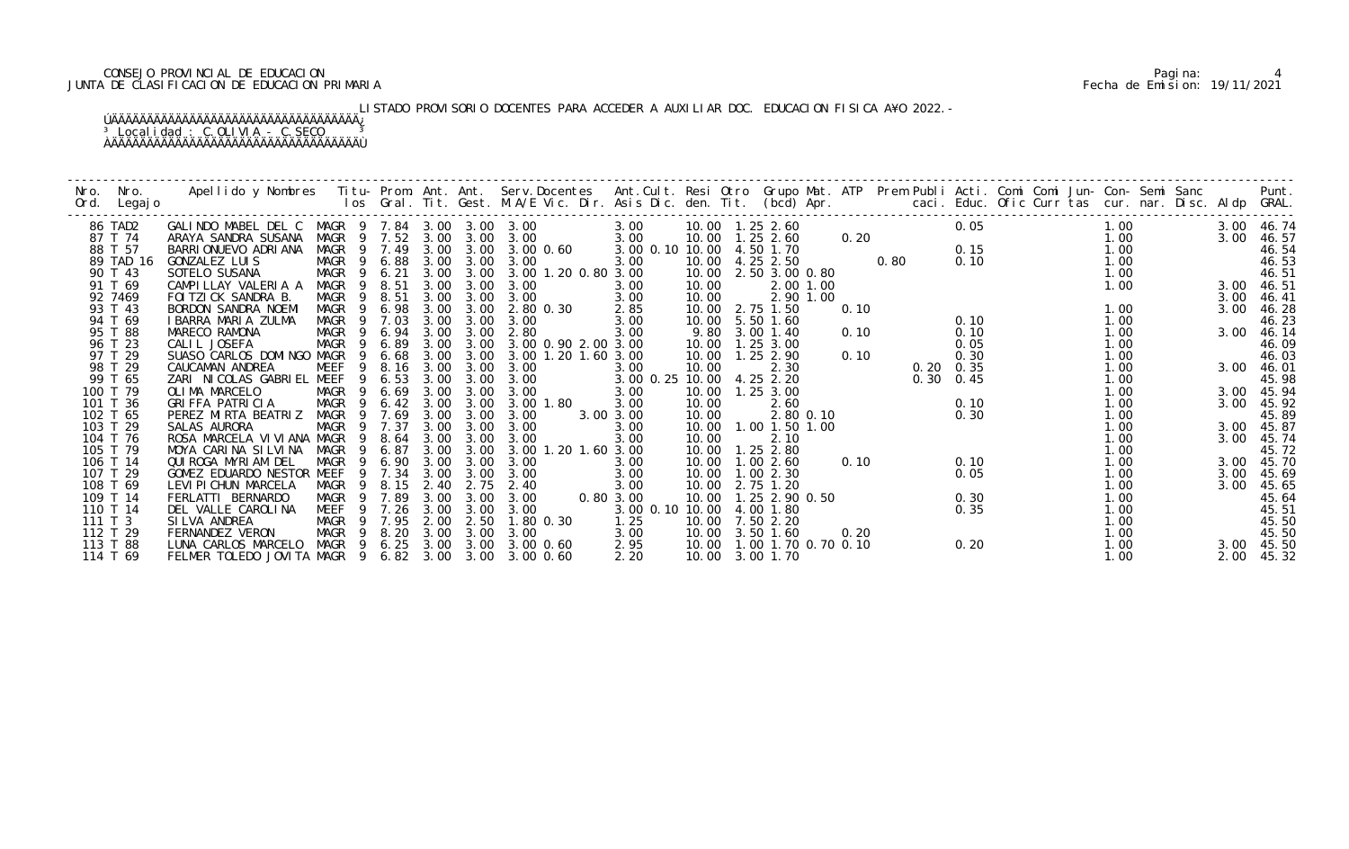## CONSEJO PROVINCIAL DE EDUCACION Pagina: 4 JUNTA DE CLASIFICACION DE EDUCACION PRIMARIA Fecha de Emision: 19/11/2021

LISTADO PROVISORIO DOCENTES PARA ACCEDER A AUXILIAR DOC. EDUCACION FISICA A¥O 2022.-

| Nro.    | Nro.                 |                                                                   |                  |                            |              |                   |                                 |                           |                               |                |      |      |                   |                                           |              |  |      |                |
|---------|----------------------|-------------------------------------------------------------------|------------------|----------------------------|--------------|-------------------|---------------------------------|---------------------------|-------------------------------|----------------|------|------|-------------------|-------------------------------------------|--------------|--|------|----------------|
| Ord.    | Legaj o              |                                                                   |                  |                            |              |                   |                                 |                           |                               |                |      |      |                   |                                           |              |  |      |                |
|         | 86 TAD2              | GALINDO MABEL DEL C MAGR 9 7.84 3.00 3.00 3.00                    |                  |                            |              |                   |                                 | 3.00                      |                               |                |      |      | 0.05              |                                           | 1.00         |  |      | 3.00 46.74     |
|         | 87 T 74              | ARAYA SANDRA SUSANA                                               |                  |                            |              |                   | MAGR 9 7.52 3.00 3.00 3.00      | 3.00                      | 10.00  1.25  2.60             |                |      | 0.20 |                   |                                           |              |  | 3.00 | 46.57          |
|         | 88 T 57              | BARRI ONUEVO ADRI ANA                                             |                  |                            |              |                   | MAGR 9 7.49 3.00 3.00 3.00 0.60 | 3.00 0.10 10.00 4.50 1.70 |                               |                |      |      |                   |                                           |              |  |      | 46.54          |
|         | 89 TAD 16            | GONZALEZ LUIS                                                     | MAGR 9 6.88      |                            |              | 3.00 3.00         | 3.00                            | 3.00                      | 10.00  4.25  2.50             |                |      | 0.80 |                   | 0. 15<br>0. 10<br>0. 10<br>0. 10<br>1. 00 |              |  |      | 46.53          |
|         | 90 T 43              | SOTELO SUSANA                                                     | MAGR             | 9 6.21                     |              |                   | 3.00 3.00 3.00 1.20 0.80 3.00   |                           | 10.00                         | 2.50 3.00 0.80 |      |      |                   |                                           | 1.00         |  |      | 46.51          |
|         | 91 T 69              | CAMPILLAY VALERIA A                                               | MAGR 9           | 8.51                       | 3.00         | 3.00              | 3.00                            | 3.00                      | 10.00                         | 2.00 1.00      |      |      |                   |                                           | 1.00         |  | 3.00 | 46.51          |
|         | 92 7469              | FOI TZI CK SANDRA B.                                              | MAGR             | 9 8.51                     | 3.00         | 3.00              | 3.00                            | 3.00                      | 10.00                         | 2.90 1.00      |      |      |                   |                                           |              |  | 3.00 | 46.41          |
|         | 93 T 43              | BORDON SANDRA NOEMI                                               | MAGR 9 6.98      |                            |              | 3.00 3.00         | 2.80 0.30                       | 2.85                      | 10.00 2.75 1.50               |                | 0.10 |      |                   |                                           | 1.00         |  | 3.00 | 46.28          |
|         | 94 T 69              | I BARRA MARIA ZULMA                                               | MAGR             | 9 7.03                     | 3.00         | 3.00              | 3.00                            | 3.00                      | 10.00                         | 5.50 1.60      |      |      | 0.10              |                                           | 1.00         |  |      | 46.23          |
|         | 95 T 88              | MARECO RAMONA                                                     | MAGR 9 6.94 3.00 |                            |              | 3.00              | 2.80                            | 3.00                      | 9.80                          | $3.00$ 1.40    | 0.10 |      | 0.10              |                                           | 1.00         |  | 3.00 | 46.14          |
|         | 96 T 23              | CALIL JOSEFA                                                      | MAGR             | 9 6.89                     | 3.00         | 3.00              | 3.00 0.90 2.00 3.00             |                           | 10.00  1.25  3.00             |                |      |      | 0.05              |                                           | 1.00         |  |      | 46.09          |
|         | 97 T 29              | SUASO CARLOS DOMINGO MAGR                                         |                  | 9 6.68                     |              | $3.00 \quad 3.00$ | 3.00 1.20 1.60 3.00             |                           | 10.00  1.25  2.90             |                | 0.10 |      | 0.30              |                                           | 1.00         |  |      | 46.03          |
|         | 98 T 29              | CAUCAMAN ANDREA                                                   | MEEF             | 9                          | 8.16 3.00    | 3.00              | 3.00                            | 3.00                      | 10.00                         | 2.30           |      |      | $0.20 \quad 0.35$ |                                           | 1.00         |  |      | 3.00 46.01     |
|         | 99 T 65              | ZARI NICOLAS GABRIEL MEEF                                         |                  | 6.53<br>- 9                | 3.00         | 3.00              | 3.00                            | 3.00 0.25 10.00 4.25 2.20 |                               |                |      |      | $0.30 \quad 0.45$ |                                           | 1.00         |  |      | 45.98          |
|         | 100 T 79<br>101 T 36 | OLIMA MARCELO<br>GRIFFA PATRICIA                                  | MAGR             | 6.69<br>- 9<br>6.42<br>- 9 | 3.00<br>3.00 | 3.00<br>3.00      | 3.00<br>3.00 1.80               | 3.00<br>3.00              | 10.00  1.25  3.00<br>10.00    | 2.60           |      |      | 0.10              |                                           | 1.00         |  | 3.00 | 3.00 45.94     |
|         | 102 T 65             | PEREZ MIRTA BEATRIZ                                               | MAGR<br>MAGR     | 7.69<br>$\overline{9}$     | 3.00         | 3.00              | 3.00                            | 3.00 3.00                 | 10.00                         | 2.80 0.10      |      |      | 0.30              |                                           | 1.00<br>1.00 |  |      | 45.92<br>45.89 |
|         | 103 T 29             | SALAS AURORA                                                      | MAGR             | 9 7.37                     | 3.00         | 3.00              | 3.00                            | 3.00                      | 10.00                         | 1.00 1.50 1.00 |      |      |                   |                                           | 1.00         |  | 3.00 | 45.87          |
|         | 104 T 76             | ROSA MARCELA VI VI ANA MAGR                                       |                  | 9 8.64                     | 3.00         | 3.00              | 3.00                            | 3.00                      | 10.00                         | 2.10           |      |      |                   |                                           | 1.00         |  | 3.00 | 45.74          |
|         | 105 T 79             |                                                                   |                  |                            | 3.00         | 3.00              | 3.00 1.20 1.60 3.00             |                           | 10.00                         | $1.25$ 2.80    |      |      |                   |                                           | 1.00         |  |      | 45.72          |
|         | 106 T 14             | MOYA CARINA SILVINA MAGR 9 6.87<br>QUIROGA MYRIAM DEL MAGR 9 6.90 |                  |                            | 3.00         | 3.00              | 3.00                            | 3.00                      | 10.00                         | 1.002.60       | 0.10 |      | 0.10              |                                           | 1.00         |  | 3.00 | 45.70          |
|         | 107 T 29             | GOMEZ EDUARDO NESTOR MEEF                                         |                  | 7.34<br>- 9                | 3.00         | 3.00              | 3.00                            | 3.00                      | 10.00                         | 1.00 2.30      |      |      | 0.05              |                                           | 1.00         |  | 3.00 | 45.69          |
|         | 108 T 69             | LEVI PI CHUN MARCELA                                              | MAGR             | 9 8.15                     | 2.40         | 2.75              | 2.40                            | 3.00                      | 10.00 2.75 1.20               |                |      |      |                   |                                           | 1.00         |  | 3.00 | 45.65          |
|         | 109 T 14             | FERLATTI BERNARDO                                                 | MAGR             | 9 7.89                     | 3.00         | 3.00              | 0.8<br>3.00                     | 0.80 3.00                 | 10.00  1.25  2.90  0.50       |                |      |      | 0.30              |                                           | 1.00         |  |      | 45.64          |
|         | 110 T 14             | DEL VALLE CAROLINA                                                | MEEF             | 7.26<br>-9                 | 3.00         | 3.00              | 3.00                            | 3.00 0.10 10.00           |                               | 4.00 1.80      |      |      | 0.35              |                                           | 1.00         |  |      | 45.51          |
| 111 T 3 |                      | SI LVA ANDREA                                                     | MAGR             | 9 7.95                     | 2.00         | 2.50              | 1.80 0.30                       | 1.25                      | 10.00                         | 7.50 2.20      |      |      |                   |                                           | 1.00         |  |      | 45.50          |
|         | 112 T 29             | FERNANDEZ VERON                                                   | MAGR             | 9 8.20                     | 3.00         | 3.00              | 3.00                            | 3.00                      | 10.00 3.50 1.60               |                | 0.20 |      |                   |                                           | 1.00         |  |      | 45.50          |
|         | 113 T 88             | LUNA CARLOS MARCELO                                               |                  |                            |              |                   | MAGR 9 6.25 3.00 3.00 3.00 0.60 | 2.95                      | 10.00  1.00  1.70  0.70  0.10 |                |      |      | 0.20              |                                           | 1.00         |  |      | 3.00 45.50     |
|         | 114 T 69             | FELMER TOLEDO JOVITA MAGR 9 6.82 3.00                             |                  |                            |              | 3.00              | 3.00 0.60                       | 2.20                      | 10.00 3.00 1.70               |                |      |      |                   |                                           | 1.00         |  | 2.00 | 45.32          |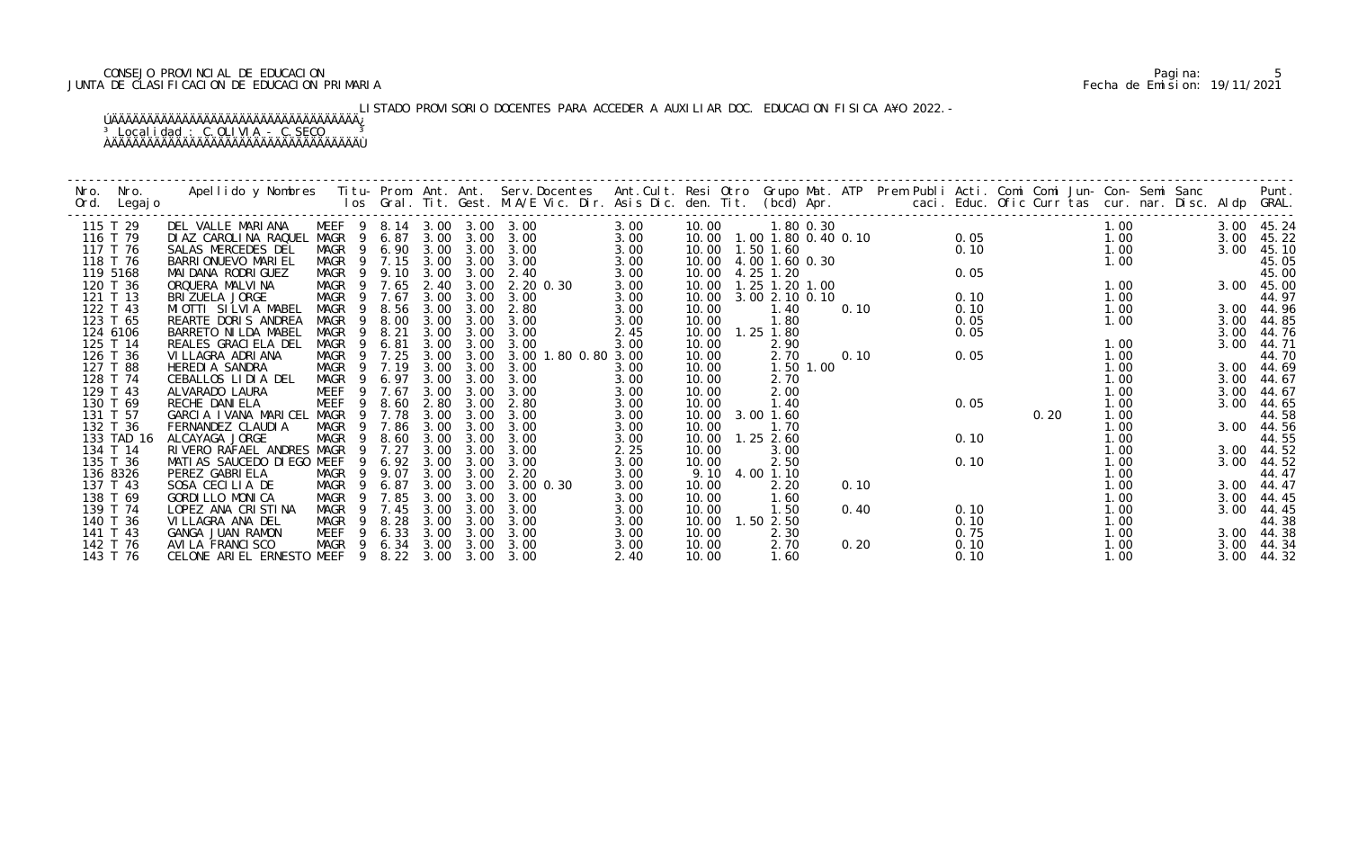## CONSEJO PROVINCIAL DE EDUCACION Pagina: 5 JUNTA DE CLASIFICACION DE EDUCACION PRIMARIA Fecha de Emision: 19/11/2021

LISTADO PROVISORIO DOCENTES PARA ACCEDER A AUXILIAR DOC. EDUCACION FISICA A¥O 2022.-

| Nro.<br>Ord. | Nro.<br>Legaj o | Apellido y Nombres - Titu- Prom. Ant. Ant. Serv.Docentes - Ant.Cult. Resi Otro Grupo Mat. ATP - Prem Publi Acti. Comi Comi Jun- Con- Semi Sanc - - - - Punt.<br>Ios Gral. Tit. Gest. M.A/E Vic. Dir. Asis Dic. den. Tit. (bcd) Ap |             |             |                            |           |                     |      |                      |                |                               |      |      |                  |      |      |  |      |            |
|--------------|-----------------|-----------------------------------------------------------------------------------------------------------------------------------------------------------------------------------------------------------------------------------|-------------|-------------|----------------------------|-----------|---------------------|------|----------------------|----------------|-------------------------------|------|------|------------------|------|------|--|------|------------|
|              | 115 T 29        | DEL VALLE MARIANA                                                                                                                                                                                                                 |             |             | MEEF 9 8.14 3.00 3.00 3.00 |           |                     | 3.00 | 10.00                |                | 1.80 0.30                     |      |      | $0.05$<br>$0.10$ |      | 1.00 |  |      | 3.00 45.24 |
|              | 116 T 79        | DIAZ CAROLINA RAQUEL MAGR 9 6.87                                                                                                                                                                                                  |             |             |                            | 3.00 3.00 | 3.00                | 3.00 |                      |                | 10.00  1.00  1.80  0.40  0.10 |      |      |                  |      | 1.00 |  | 3.00 | 45.22      |
|              | 117 T 76        | SALAS MERCEDES DEL                                                                                                                                                                                                                | MAGR 9 6.90 |             | 3.00                       | 3.00      | 3.00                | 3.00 | 10.00  1.50  1.60    |                |                               |      |      |                  |      | 1.00 |  | 3.00 | 45.10      |
|              | 118 T 76        | BARRI ONUEVO MARI EL                                                                                                                                                                                                              | MAGR 9 7.15 |             | 3.00                       | 3.00      | 3.00                | 3.00 | 10.00 4.00 1.60 0.30 |                |                               |      |      |                  |      | 1.00 |  |      | 45.05      |
|              | 119 5168        | MAI DANA RODRI GUEZ                                                                                                                                                                                                               | MAGR 9      | 9.10        | 3.00                       | 3.00      | 2.40                | 3.00 | 10.00                | 4.25 1.20      |                               |      | 0.05 |                  |      |      |  |      | 45.00      |
|              | 120 T 36        | ORQUERA MALVINA                                                                                                                                                                                                                   | MAGR 9 7.65 |             | 2.40                       | 3.00      | 2.20 0.30           | 3.00 | 10.00                | 1.25 1.20 1.00 |                               |      |      |                  |      | 1.00 |  | 3.00 | 45.00      |
|              | 121 T 13        | BRIZUELA JORGE                                                                                                                                                                                                                    | MAGR        | 9 7.67      | 3.00                       | 3.00      | 3.00                | 3.00 | 10.00                | 3.00 2.10 0.10 |                               |      | 0.10 |                  |      | 1.00 |  |      | 44.97      |
|              | 122 T 43        | MIOTTI SILVIA MABEL                                                                                                                                                                                                               | MAGR        | 8.56<br>- 9 | 3.00                       | 3.00      | 2.80                | 3.00 | 10.00                | 1.40           |                               | 0.10 | 0.10 |                  |      | 1.00 |  |      | 3.00 44.96 |
|              | 123 T 65        | REARTE DORIS ANDREA                                                                                                                                                                                                               | MAGR        | 8.00<br>9   | 3.00                       | 3.00      | 3.00                | 3.00 | 10.00                | 1.80           |                               |      | 0.05 |                  |      | 1.00 |  | 3.00 | 44.85      |
|              | 124 6106        | BARRETO NI LDA MABEL                                                                                                                                                                                                              | <b>MAGR</b> | 8.21<br>9   | 3.00                       | 3.00      | 3.00                | 2.45 | 10.00                | 1.25 1.80      |                               |      | 0.05 |                  |      |      |  | 3.00 | 44.76      |
|              | 125 T 14        | REALES GRACI ELA DEL                                                                                                                                                                                                              | MAGR 9      | 6.81        | 3.00                       | 3.00      | 3.00                | 3.00 | 10.00                | 2.90           |                               |      |      |                  |      | 1.00 |  | 3.00 | 44.71      |
|              | 126 T 36        | VI LLAGRA ADRI ANA                                                                                                                                                                                                                | MAGR 9 7.25 |             | 3.00                       | 3.00      | 3.00 1.80 0.80 3.00 |      | 10.00                | 2.70           |                               | 0.10 | 0.05 |                  |      | 1.00 |  |      | 44.70      |
|              | 127 T 88        | HEREDIA SANDRA                                                                                                                                                                                                                    | MAGR 9      | 7.19        | 3.00                       | 3.00      | 3.00                | 3.00 | 10.00                | 1.50 1.00      |                               |      |      |                  |      | 1.00 |  | 3.00 | 44.69      |
|              | 128 T 74        | CEBALLOS LIDIA DEL                                                                                                                                                                                                                | MAGR        | 6.97<br>- 9 | 3.00                       | 3.00      | 3.00                | 3.00 | 10.00                | 2.70           |                               |      |      |                  |      | 1.00 |  | 3.00 | 44.67      |
|              | 129 T 43        | ALVARADO LAURA                                                                                                                                                                                                                    | <b>MEEF</b> | 9 7.67      | 3.00                       | 3.00      | 3.00                | 3.00 | 10.00                | 2.00           |                               |      |      |                  |      | 1.00 |  | 3.00 | 44.67      |
|              | 130 T 69        | RECHE DANI ELA                                                                                                                                                                                                                    | <b>MEEF</b> | 8.60<br>9   | 2.80                       | 3.00      | 2.80                | 3.00 | 10.00                | 1.40           |                               |      | 0.05 |                  |      | 1.00 |  | 3.00 | 44.65      |
|              | 131 T 57        | GARCIA IVANA MARICEL                                                                                                                                                                                                              | MAGR        | -9<br>7.78  | 3.00                       | 3.00      | 3.00                | 3.00 | 10.00                | 3.00 1.60      |                               |      |      |                  | 0.20 | 1.00 |  |      | 44.58      |
|              | 132 T 36        | FERNANDEZ CLAUDIA                                                                                                                                                                                                                 | MAGR        | 9 7.86      | 3.00                       | 3.00      | 3.00                | 3.00 | 10.00                | 1.70           |                               |      |      |                  |      | 1.00 |  | 3.00 | 44.56      |
|              | 133 TAD 16      | ALCAYAGA JORGE                                                                                                                                                                                                                    | MAGR 9 8.60 |             | 3.00                       | 3.00      | 3.00                | 3.00 | 10.00                | $1.25$ $2.60$  |                               |      | 0.10 |                  |      | 1.00 |  |      | 44.55      |
|              | 134 T 14        | RIVERO RAFAEL ANDRES MAGR                                                                                                                                                                                                         |             | 9 7.27      | 3.00                       | 3.00      | 3.00                | 2.25 | 10.00                | 3.00           |                               |      |      |                  |      | 1.00 |  | 3.00 | 44.52      |
|              | 135 T 36        | MATIAS SAUCEDO DI EGO MEEF                                                                                                                                                                                                        |             | 6.92        | 3.00                       | 3.00      | 3.00                | 3.00 | 10.00                | 2.50           |                               |      | 0.10 |                  |      | 1.00 |  | 3.00 | 44.52      |
|              | 136 8326        | PEREZ GABRIELA                                                                                                                                                                                                                    | MAGR        | 9 9.07      | 3.00                       | 3.00      | 2.20                | 3.00 |                      | 9.10 4.00 1.10 |                               |      |      |                  |      | 1.00 |  |      | 44.47      |
|              | 137 T 43        | SOSA CECILIA DE                                                                                                                                                                                                                   | MAGR        | 6.87<br>9   | 3.00                       | 3.00      | 3.00 0.30           | 3.00 | 10.00                | 2.20           |                               | 0.10 |      |                  |      | 1.00 |  | 3.00 | 44.47      |
|              | 138 T 69        | GORDILLO MONICA                                                                                                                                                                                                                   | MAGR        | 7.85<br>9   | 3.00                       | 3.00      | 3.00                | 3.00 | 10.00                | 1.60           |                               |      |      |                  |      | 1.00 |  | 3.00 | 44.45      |
|              | 139 T 74        | LOPEZ ANA CRISTINA                                                                                                                                                                                                                | MAGR        | 7.45        | 3.00                       | 3.00      | 3.00                | 3.00 | 10.00                | 1.50           |                               | 0.40 | 0.10 |                  |      | 1.00 |  | 3.00 | 44.45      |
|              | 140 T 36        | VI LLAGRA ANA DEL                                                                                                                                                                                                                 | MAGR        | 8.28<br>-9  | 3.00                       | 3.00      | 3.00                | 3.00 | 10.00                | 1.50 2.50      |                               |      | 0.10 |                  |      | 1.00 |  |      | 44.38      |
|              | 141 T 43        | GANGA JUAN RAMON                                                                                                                                                                                                                  | MEEF        | 6.33<br>9   | 3.00                       | 3.00      | 3.00                | 3.00 | 10.00                | 2.30           |                               |      | 0.75 |                  |      | 1.00 |  | 3.00 | 44.38      |
|              | 142 T 76        | AVI LA FRANCI SCO                                                                                                                                                                                                                 | MAGR        |             | 9 6.34 3.00                | 3.00      | 3.00                | 3.00 | 10.00                | 2.70           |                               | 0.20 | 0.10 |                  |      | 1.00 |  | 3.00 | 44.34      |
|              | 143 T 76        | CELONE ARIEL ERNESTO MEEF 9 8.22 3.00 3.00 3.00                                                                                                                                                                                   |             |             |                            |           |                     | 2.40 | 10.00                | 1.60           |                               |      | 0.10 |                  |      | 1.00 |  | 3.00 | 44.32      |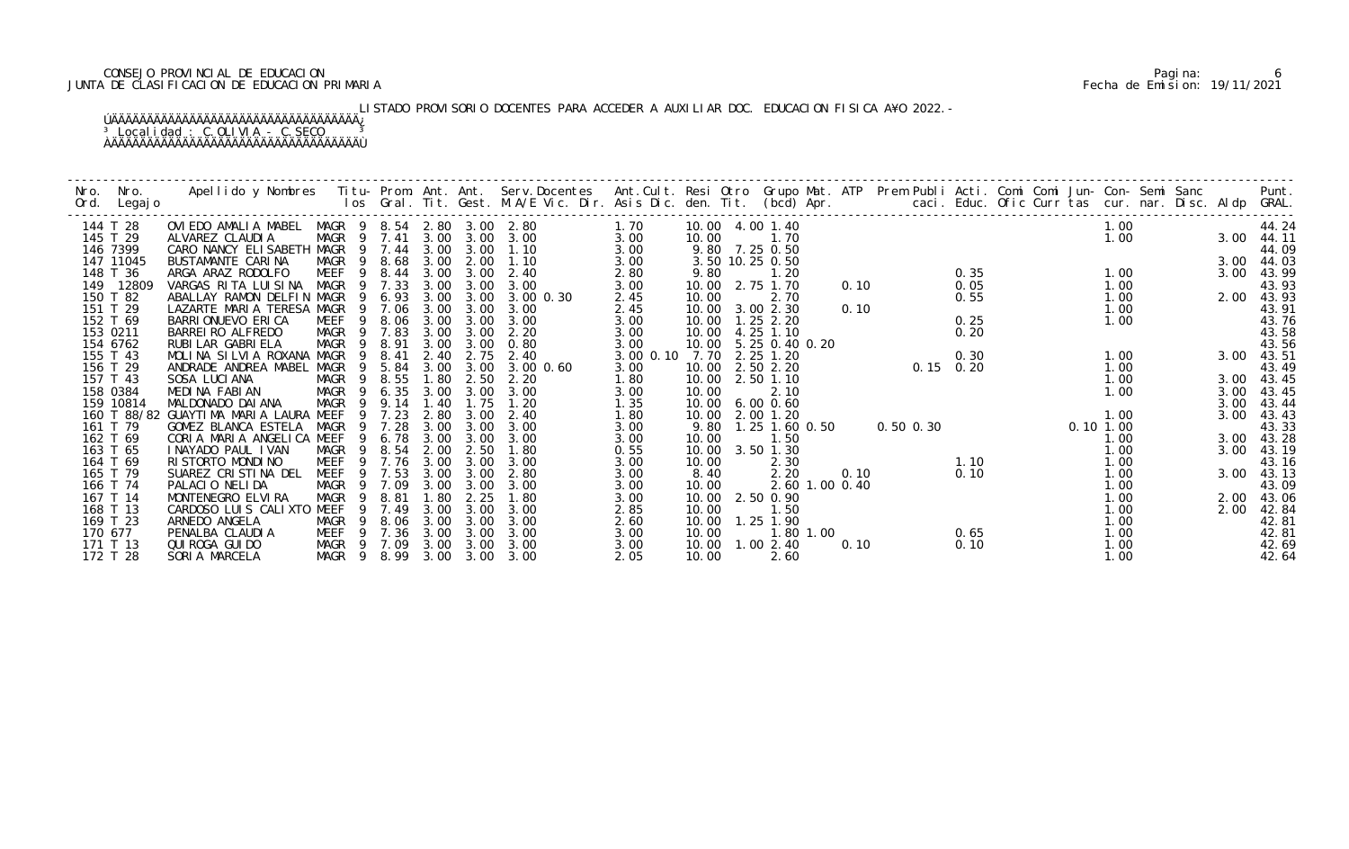## CONSEJO PROVINCIAL DE EDUCACION Pagina: 6 JUNTA DE CLASIFICACION DE EDUCACION PRIMARIA Fecha de Emision: 19/11/2021

LISTADO PROVISORIO DOCENTES PARA ACCEDER A AUXILIAR DOC. EDUCACION FISICA A¥O 2022.-

| Nro.<br>Ord. | Nro.<br>Legaj o | Apellido y Nombres  Titu- Prom. Ant. Ant.  Serv.Docentes  Ant.Cult. Resi Otro  Grupo Mat. ATP  Prem Publi Acti. Comi Comi Jun- Con- Semi Sanc            Punt.<br>Ios Gral. Tit. Gest. M.A/E Vic. Dir. Asis Dic. den. Tit. (bcd) |                        |        |      |           |                |           |       |                   |                |      |             |      |               |      |      |            |
|--------------|-----------------|----------------------------------------------------------------------------------------------------------------------------------------------------------------------------------------------------------------------------------|------------------------|--------|------|-----------|----------------|-----------|-------|-------------------|----------------|------|-------------|------|---------------|------|------|------------|
|              | 144 T 28        | OVIEDO AMALIA MABEL MAGR 9 8.54 2.80 3.00 2.80                                                                                                                                                                                   |                        |        |      |           |                | 1.70      |       | 10.00 4.00 1.40   |                |      |             |      |               | 1.00 |      | 44.24      |
|              | 145 T 29        | ALVAREZ CLAUDIA                                                                                                                                                                                                                  | MAGR 9 7.41            |        |      |           | 3.00 3.00 3.00 | 3.00      | 10.00 | 1.70              |                |      |             |      |               | 1.00 |      | 3.00 44.11 |
|              | 146 7399        | CARO NANCY ELISABETH MAGR 9 7.44                                                                                                                                                                                                 |                        |        | 3.00 | 3.00      | 1.10           | 3.00      |       | 9.80 7.25 0.50    |                |      |             |      |               |      |      | 44.09      |
|              | 147 11045       | BUSTAMANTE CARINA                                                                                                                                                                                                                | MAGR 9 8.68            |        | 3.00 | 2.00      | 1.10           | 3.00      |       | 3.50 10.25 0.50   |                |      |             |      |               |      | 3.00 | 44.03      |
|              | 148 T 36        | ARGA ARAZ RODOLFO                                                                                                                                                                                                                | <b>MEEF</b>            | 9 8.44 | 3.00 | 3.00      | 2.40           | 2.80      | 9.80  | 1.20              |                |      |             | 0.35 |               | 1.00 | 3.00 | 43.99      |
|              | 149 12809       | VARGAS RITA LUISINA                                                                                                                                                                                                              | MAGR 9 7.33            |        | 3.00 | 3.00      | 3.00           | 3.00      |       | 10.00 2.75 1.70   |                | 0.10 |             | 0.05 |               | 1.00 |      | 43.93      |
|              | 150 T 82        | ABALLAY RAMON DELFIN MAGR                                                                                                                                                                                                        |                        | 9 6.93 | 3.00 | 3.00      | 3.00 0.30      | 2.45      | 10.00 | 2.70              |                |      |             | 0.55 |               | 1.00 |      | 2.00 43.93 |
|              | 151 T 29        | LAZARTE MARIA TERESA MAGR                                                                                                                                                                                                        |                        | 9 7.06 | 3.00 | 3.00      | 3.00           | 2.45      |       | 10.00 3.00 2.30   |                | 0.10 |             |      |               | 1.00 |      | 43.91      |
|              | 152 T 69        | BARRI ONUEVO ERI CA                                                                                                                                                                                                              | MEEF<br>- 9            | 8.06   | 3.00 | 3.00      | 3.00           | 3.00      |       | 10.00  1.25  2.20 |                |      |             | 0.25 |               | 1.00 |      | 43.76      |
|              | 153 0211        | BARREI RO ALFREDO                                                                                                                                                                                                                | MAGR 9 7.83            |        | 3.00 | 3.00      | 2.20           | 3.00      | 10.00 | 4.25 1.10         |                |      |             | 0.20 |               |      |      | 43.58      |
|              | 154 6762        | RUBI LAR GABRI ELA                                                                                                                                                                                                               | MAGR                   | 9 8.91 | 3.00 | 3.00      | 0.80           | 3.00      | 10.00 | 5.25 0.40 0.20    |                |      |             |      |               |      |      | 43.56      |
|              | 155 T 43        | MOLINA SILVIA ROXANA MAGR                                                                                                                                                                                                        | 9                      | 8.41   | 2.40 | 2.75      | 2.40           | 3.00 0.10 | 7.70  | 2.25 1.20         |                |      |             | 0.30 |               | 1.00 |      | 3.00 43.51 |
|              | 156 T 29        | ANDRADE ANDREA MABEL MAGR                                                                                                                                                                                                        |                        | 9 5.84 | 3.00 | 3.00      | 3.00 0.60      | 3.00      | 10.00 | 2.50 2.20         |                |      | $0.15$ 0.20 |      |               | 1.00 |      | 43.49      |
|              | 157 T 43        | SOSA LUCIANA                                                                                                                                                                                                                     | MAGR 9 8.55            |        | 1.80 | 2.50      | 2.20           | 1.80      | 10.00 | 2.50 1.10         |                |      |             |      |               | 1.00 |      | 3.00 43.45 |
|              | 158 0384        | MEDINA FABIAN                                                                                                                                                                                                                    | MAGR                   | 9 6.35 | 3.00 | 3.00      | 3.00           | 3.00      | 10.00 | 2.10              |                |      |             |      |               | 1.00 | 3.00 | 43.45      |
|              | 159 10814       | MALDONADO DAI ANA                                                                                                                                                                                                                | MAGR<br>$\overline{9}$ | 9.14   | 1.40 | 1.75      | 1.20           | 1.35      | 10.00 | $6.00 \, 0.60$    |                |      |             |      |               |      | 3.00 | 43.44      |
|              |                 | 160 T 88/82 GUAYTIMA MARIA LAURA MEEF                                                                                                                                                                                            | 9                      | 7.23   | 2.80 | 3.00      | 2.40           | 1.80      | 10.00 | 2.00 1.20         |                |      |             |      |               | 1.00 | 3.00 | 43.43      |
|              | 161 T 79        | GOMEZ BLANCA ESTELA                                                                                                                                                                                                              | MAGR                   | 9 7.28 | 3.00 | 3.00      | 3.00           | 3.00      | 9.80  | 1.25 1.60 0.50    |                |      | 0.50 0.30   |      | $0.10$ $1.00$ |      |      | 43.33      |
|              | 162 T 69        | CORIA MARIA ANGELICA MEEF                                                                                                                                                                                                        | -9                     | 6. 78  | 3.00 | 3.00      | 3.00           | 3.00      | 10.00 | 1.50              |                |      |             |      |               | 1.00 |      | 3.00 43.28 |
|              | 163 T 65        | I NAYADO PAUL I VAN                                                                                                                                                                                                              | MAGR                   | 9 8.54 | 2.00 | 2.50      | 1.80           | 0.55      | 10.00 | 3.50 1.30         |                |      |             |      |               | 1.00 |      | 3.00 43.19 |
|              | 164 T 69        | RI STORTO MONDI NO                                                                                                                                                                                                               | MEEF                   | 9 7.76 | 3.00 | 3.00      | 3.00           | 3.00      | 10.00 | 2.30              |                |      |             | 1.10 |               | 1.00 |      | 43.16      |
|              | 165 T 79        | SUAREZ CRISTINA DEL                                                                                                                                                                                                              | MEEF                   | 9 7.53 | 3.00 | 3.00      | 2.80           | 3.00      | 8.40  | 2.20              |                | 0.10 |             | 0.10 |               | 1.00 |      | 3.00 43.13 |
|              | 166 T 74        | PALACIO NELIDA                                                                                                                                                                                                                   | MAGR                   | 9 7.09 | 3.00 | 3.00      | 3.00           | 3.00      | 10.00 |                   | 2.60 1.00 0.40 |      |             |      |               | 1.00 |      | 43.09      |
|              | 167 T 14        | MONTENEGRO ELVIRA                                                                                                                                                                                                                | MAGR<br>-9             | 8.81   | 1.80 | 2.25      | 1.80           | 3.00      |       | 10.00 2.50 0.90   |                |      |             |      |               | 1.00 | 2.00 | 43.06      |
|              | 168 T 13        | CARDOSO LUIS CALIXTO MEEF                                                                                                                                                                                                        | 9                      | 7.49   | 3.00 | 3.00      | 3.00           | 2.85      | 10.00 | 1.50              |                |      |             |      |               | 1.00 | 2.00 | 42.84      |
|              | 169 T 23        | ARNEDO ANGELA                                                                                                                                                                                                                    | MAGR<br>$\overline{9}$ | 8.06   | 3.00 | 3.00      | 3.00           | 2.60      | 10.00 | 1.25 1.90         |                |      |             |      |               | 1.00 |      | 42.81      |
|              | 170 677         | PENALBA CLAUDIA                                                                                                                                                                                                                  | MEEF 9 7.36            |        | 3.00 | 3.00      | 3.00           | 3.00      | 10.00 | 1.80 1.00         |                |      |             | 0.65 |               | 1.00 |      | 42.81      |
|              | 171 T 13        | QUI ROGA GUI DO                                                                                                                                                                                                                  | MAGR 9 7.09            |        |      | 3.00 3.00 | 3.00           | 3.00      | 10.00 | 1.002.40          |                | 0.10 |             | 0.10 |               | 1.00 |      | 42.69      |
|              | 172 T 28        | SORIA MARCELA                                                                                                                                                                                                                    | MAGR 9 8.99 3.00       |        |      | 3.00      | 3.00           | 2.05      | 10.00 | 2.60              |                |      |             |      |               | 1.00 |      | 42.64      |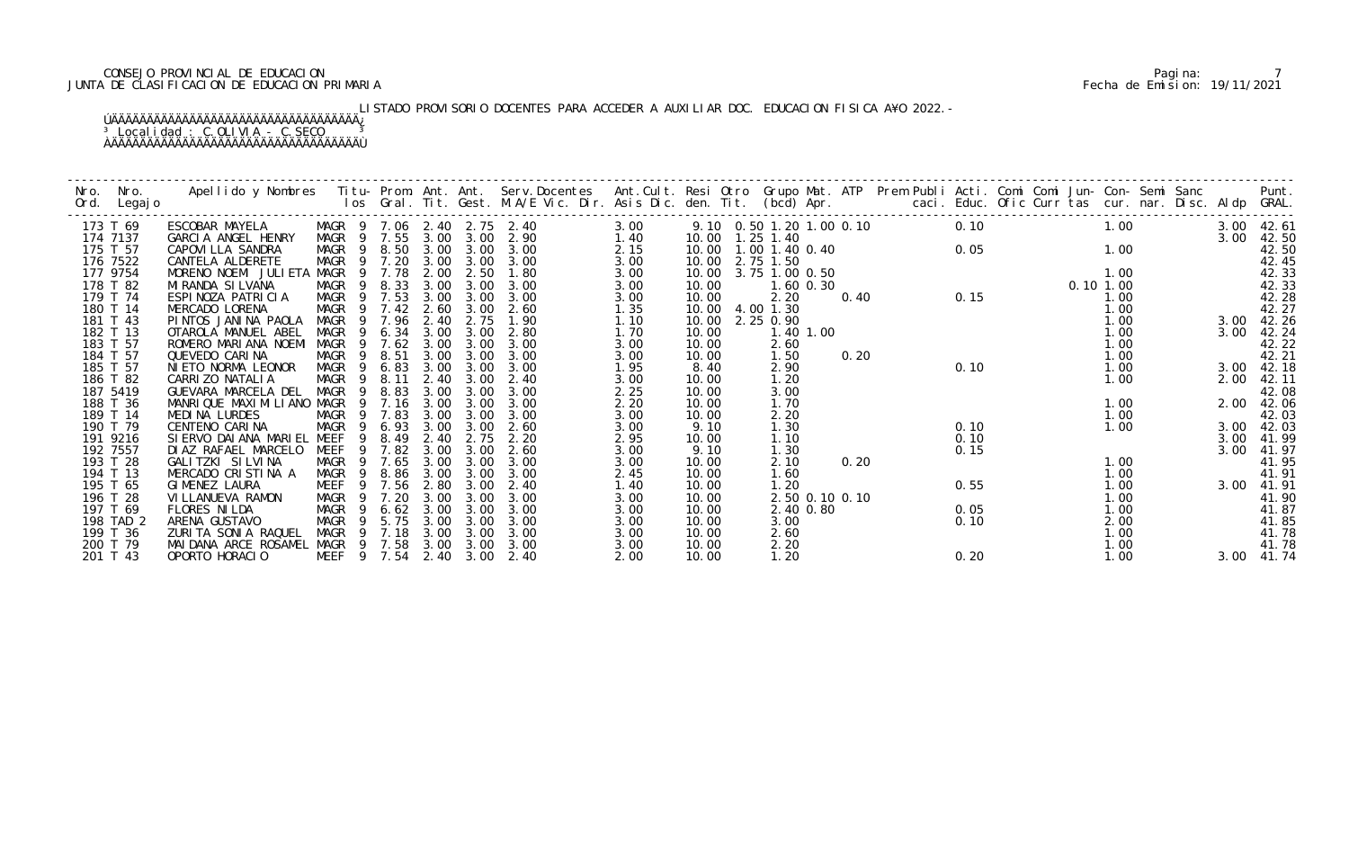## CONSEJO PROVINCIAL DE EDUCACION Pagina: 7 JUNTA DE CLASIFICACION DE EDUCACION PRIMARIA Fecha de Emision: 19/11/2021

# LISTADO PROVISORIO DOCENTES PARA ACCEDER A AUXILIAR DOC. EDUCACION FISICA A¥O 2022.-

| Nro.<br>Nro.<br>Ord.<br>Legaj o | Apellido y Nombres Titu-Prom. Ant. Ant. Serv.Docentes Ant.Cult. Resi Otro Grupo Mat. ATP Prem Publi Acti. Comi Comi Jun-Con-Semi Sanc Punt.<br>Ios Gral. Tit. Gest. M.A/E Vic. Dir. Asis Dic. den. Tit. (bcd) Apr. |                |                       |              |              |                                    |              |                          |                   |      |                          |      |                             |              |  |                    |                |
|---------------------------------|--------------------------------------------------------------------------------------------------------------------------------------------------------------------------------------------------------------------|----------------|-----------------------|--------------|--------------|------------------------------------|--------------|--------------------------|-------------------|------|--------------------------|------|-----------------------------|--------------|--|--------------------|----------------|
| 173 T 69<br>174 7137            | ESCOBAR MAYELA<br>GARCIA ANGEL HENRY                                                                                                                                                                               |                | MAGR 9 7.55           | 3.00         | 3.00         | MAGR 9 7.06 2.40 2.75 2.40<br>2.90 | 3.00<br>1.40 | 10.00  1.25  1.40        |                   |      | 9.10 0.50 1.20 1.00 0.10 | 0.10 | 1.00                        |              |  | 3.00 42.61<br>3.00 | 42.50          |
| 175 T 57                        | CAPOVI LLA SANDRA                                                                                                                                                                                                  |                | MAGR 9 8.50 3.00      |              | 3.00         | 3.00                               | 2.15         | 10.00  1.00  1.40  0.40  |                   |      |                          |      | $0.05$<br>0.10<br>0.05 1.00 |              |  |                    | 42.50          |
| 176 7522<br>177 9754            | MAGR<br>CANTELA ALDERETE<br>MORENO NOEMI JULIETA MAGR                                                                                                                                                              |                | 9 7.20<br>9 7.78      | 3.00<br>2.00 | 3.00<br>2.50 | 3.00<br>1.80                       | 3.00<br>3.00 | 10.00 2.75 1.50<br>10.00 | 3.75 1.00 0.50    |      |                          |      |                             | 1.00         |  |                    | 42.45<br>42.33 |
| 178 T 82                        | MAGR<br>MI RANDA SI LVANA                                                                                                                                                                                          |                | 8.33                  | 3.00         | 3.00         | 3.00                               | 3.00         | 10.00                    | 1.60 0.30         |      |                          |      |                             | 0.10 1.00    |  |                    | 42.33          |
| 179 T 74                        | ESPINOZA PATRICIA                                                                                                                                                                                                  |                | MAGR 9 7.53           | 3.00         | 3.00         | 3.00                               | 3.00         | 10.00                    | 2.20              | 0.40 |                          |      | 0.15                        | 1.00         |  |                    | 42.28          |
| 180 T 14                        | MAGR<br>MERCADO LORENA                                                                                                                                                                                             |                | 9 7.42                | 2.60         | 3.00         | 2.60                               | 1.35         | 10.00 4.00 1.30          |                   |      |                          |      |                             | 1.00         |  |                    | 42.27          |
| 181 T 43                        | MAGR<br>PINTOS JANINA PAOLA                                                                                                                                                                                        |                | 9 7.96                | 2.40         | 2.75         | 1.90                               | 1.10         | 10.00                    | 2.25 0.90         |      |                          |      |                             | 1.00         |  | 3.00               | 42.26          |
| 182 T 13<br>183 T 57            | MAGR<br>OTAROLA MANUEL ABEL<br>ROMERO MARIANA NOEMI<br>MAGR                                                                                                                                                        | - 9            | 6.34<br>7.62          | 3.00<br>3.00 | 3.00<br>3.00 | 2.80<br>3.00                       | 1.70<br>3.00 | 10.00<br>10.00           | 1.40 1.00<br>2.60 |      |                          |      |                             | 1.00<br>1.00 |  | 3.00               | 42.24<br>42.22 |
| 184 T 57                        | MAGR<br>QUEVEDO CARINA                                                                                                                                                                                             |                | 9 8.51                | 3.00         | 3.00         | 3.00                               | 3.00         | 10.00                    | 1.50              | 0.20 |                          |      |                             | 1.00         |  |                    | 42.21          |
| 185 T 57                        | NIETO NORMA LEONOR<br>MAGR                                                                                                                                                                                         | 9              | 6.83                  | 3.00         | 3.00         | 3.00                               | 1.95         | 8.40                     | 2.90              |      |                          | 0.10 |                             | 1.00         |  | 3.00               | 42.18          |
| 186 T 82                        | CARRI ZO NATALI A<br>MAGR                                                                                                                                                                                          | $\overline{9}$ | 8.11                  | 2.40         | 3.00         | 2.40                               | 3.00         | 10.00                    | 1.20              |      |                          |      |                             | 1.00         |  | 2.00               | 42.11          |
| 187 5419<br>188 T 36            | GUEVARA MARCELA DEL<br>MAGR<br>MANRIQUE MAXIMILIANO MAGR                                                                                                                                                           | - 9            | 8.83<br>9 7.16        | 3.00<br>3.00 | 3.00<br>3.00 | 3.00<br>3.00                       | 2.25<br>2.20 | 10.00<br>10.00           | 3.00<br>1.70      |      |                          |      |                             | 1.00         |  | 2.00 42.06         | 42.08          |
| 189 T 14                        | MAGR<br>MEDINA LURDES                                                                                                                                                                                              | 9              | 7.83                  | 3.00         | 3.00         | 3.00                               | 3.00         | 10.00                    | 2.20              |      |                          |      |                             | 1.00         |  |                    | 42.03          |
| 190 T 79                        | CENTENO CARINA<br>MAGR                                                                                                                                                                                             | - 9            | 6.93                  | 3.00         | 3.00         | 2.60                               | 3.00         | 9.10                     | 1.30              |      |                          | 0.10 |                             | 1.00         |  | 3.00               | 42.03          |
| 191 9216                        | MEEF<br>SI ERVO DAI ANA MARI EL                                                                                                                                                                                    | 9              | 8.49                  | 2.40         | 2.75         | 2.20                               | 2.95         | 10.00                    | 1.10              |      |                          | 0.10 |                             |              |  | 3.00               | 41.99          |
| 192 7557                        | MEEF<br>DIAZ RAFAEL MARCELO<br>GALITZKI SILVINA                                                                                                                                                                    |                | 9 7.82<br>9 7.65      | 3.00<br>3.00 | 3.00<br>3.00 | 2.60<br>3.00                       | 3.00         | 9.10                     | 1.30              |      |                          | 0.15 |                             |              |  | 3.00               | 41.97          |
| 193 T 28<br>194 T 13            | MAGR<br>MERCADO CRISTINA A<br>MAGR                                                                                                                                                                                 | - 9            | 8.86                  | 3.00         | 3.00         | 3.00                               | 3.00<br>2.45 | 10.00<br>10.00           | 2.10<br>1.60      | 0.20 |                          |      |                             | 1.00<br>1.00 |  |                    | 41.95<br>41.91 |
| 195 T 65                        | GIMENEZ LAURA<br>MEEF                                                                                                                                                                                              |                | 9 7.56                | 2.80         | 3.00         | 2.40                               | 1.40         | 10.00                    | 1.20              |      |                          | 0.55 |                             | 1.00         |  | 3.00               | 41.91          |
| 196 T 28                        | MAGR<br>VI LLANUEVA RAMON                                                                                                                                                                                          | $\overline{9}$ | 7.20                  | 3.00         | 3.00         | 3.00                               | 3.00         | 10.00                    | 2.50 0.10 0.10    |      |                          |      |                             | 1.00         |  |                    | 41.90          |
| 197 T 69                        | <b>MAGR</b><br>FLORES NILDA                                                                                                                                                                                        | -9             | 6.62                  | 3.00         | 3.00         | 3.00                               | 3.00         | 10.00                    | 2.40 0.80         |      |                          | 0.05 |                             | 1.00         |  |                    | 41.87          |
| 198 TAD 2<br>199 T 36           | ARENA GUSTAVO<br>MAGR<br>ZURITA SONIA RAQUEL<br>MAGR                                                                                                                                                               | - 9<br>- 9     | 5.75<br>7.18          | 3.00<br>3.00 | 3.00<br>3.00 | 3.00<br>3.00                       | 3.00<br>3.00 | 10.00<br>10.00           | 3.00<br>2.60      |      |                          | 0.10 |                             | 2.00<br>1.00 |  |                    | 41.85<br>41.78 |
| 200 T 79                        | MAIDANA ARCE ROSAMEL MAGR 9 7.58                                                                                                                                                                                   |                |                       |              | 3.00 3.00    | 3.00                               | 3.00         | 10.00                    | 2.20              |      |                          |      |                             | 1.00         |  |                    | 41.78          |
| 201 T 43                        | OPORTO HORACIO                                                                                                                                                                                                     |                | MEEF 9 7.54 2.40 3.00 |              |              | 2.40                               | 2.00         | 10.00                    | 1.20              |      |                          | 0.20 |                             | 1.00         |  | 3.00 41.74         |                |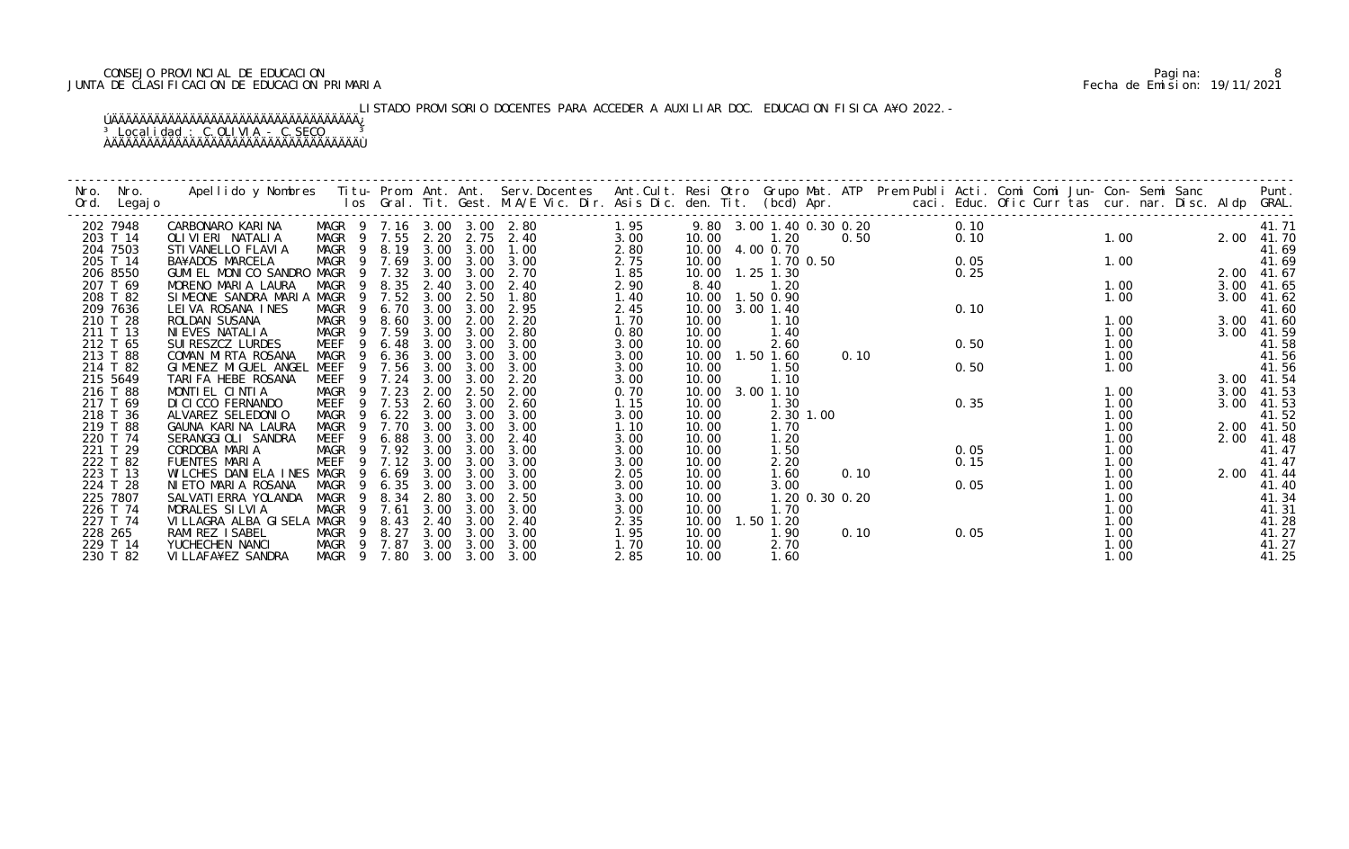## CONSEJO PROVINCIAL DE EDUCACION Pagina: 8 JUNTA DE CLASIFICACION DE EDUCACION PRIMARIA Fecha de Emision: 19/11/2021

# LISTADO PROVISORIO DOCENTES PARA ACCEDER A AUXILIAR DOC. EDUCACION FISICA A¥O 2022.-

| Nro.<br>Ord. | Nro.<br>Legaj o      | Apellido y Nombres - Titu- Prom. Ant. Ant. Serv.Docentes - Ant.Cult. Resi Otro Grupo Mat. ATP - Prem Publi Acti. Comi Comi Jun- Con- Semi Sanc - - - - Punt.<br>Ios Gral. Tit. Gest. M.A/E Vic. Dir. Asis Dic. den. Tit. (bcd) Ap |              |                                  |              |                                            |                            |              |                          |              |                |      |      |  |              |              |                |
|--------------|----------------------|-----------------------------------------------------------------------------------------------------------------------------------------------------------------------------------------------------------------------------------|--------------|----------------------------------|--------------|--------------------------------------------|----------------------------|--------------|--------------------------|--------------|----------------|------|------|--|--------------|--------------|----------------|
|              | 202 7948             | CARBONARO KARINA                                                                                                                                                                                                                  |              |                                  |              |                                            | MAGR 9 7.16 3.00 3.00 2.80 | 1.95         | 9.80 3.00 1.40 0.30 0.20 |              |                |      | 0.10 |  |              |              | 41.71          |
|              | 203 T 14             | OLI VI ERI NATALI A                                                                                                                                                                                                               |              |                                  |              |                                            | MAGR 9 7.55 2.20 2.75 2.40 | 3.00         | 10.00                    | 1.20         |                | 0.50 | 0.10 |  | 1.00         | 2.00         | 41.70          |
|              | 204 7503<br>205 T 14 | STI VANELLO FLAVI A<br>BA¥ADOS MARCELA                                                                                                                                                                                            |              |                                  |              | MAGR 9 8.19 3.00 3.00<br>$3.00 \quad 3.00$ | 1.00<br>3.00               | 2.80         | 10.00 4.00 0.70<br>10.00 |              |                |      | 0.05 |  | 1.00         |              | 41.69          |
|              | 206 8550             | GUMI EL MONICO SANDRO MAGR                                                                                                                                                                                                        | MAGR         | 9 7.69<br>7.32<br>$\overline{9}$ | 3.00         | 3.00                                       | 2.70                       | 2.75<br>1.85 | 10.00                    | $1.25$ 1.30  | 1.70 0.50      |      | 0.25 |  |              | 2.00         | 41.69<br>41.67 |
|              | 207 T 69             | MORENO MARIA LAURA                                                                                                                                                                                                                | MAGR         | 8.35<br>9                        | 2.40         | 3.00                                       | 2.40                       | 2.90         | 8.40                     | 1.20         |                |      |      |  | 1.00         | 3.00         | 41.65          |
|              | 208 T 82             | SIMEONE SANDRA MARIA MAGR                                                                                                                                                                                                         |              | 9 7.52                           | 3.00         | 2.50                                       | 1.80                       | 1.40         | 10.00  1.50  0.90        |              |                |      |      |  | 1.00         | 3.00         | 41.62          |
|              | 209 7636             | LEIVA ROSANA INES                                                                                                                                                                                                                 | MAGR         | 6.70<br>-9                       | 3.00         | 3.00                                       | 2.95                       | 2.45         | 10.00                    | 3.00 1.40    |                |      | 0.10 |  |              |              | 41.60          |
|              | 210 T 28             | ROLDAN SUSANA                                                                                                                                                                                                                     | MAGR         | 8.60<br>$\overline{9}$           | 3.00         | 2.00                                       | 2.20                       | 1.70         | 10.00                    | 1.10         |                |      |      |  | 1.00         | 3.00         | 41.60          |
|              | 211 T 13             | NI EVES NATALI A                                                                                                                                                                                                                  | MAGR         | 9 7.59                           | 3.00         | 3.00                                       | 2.80                       | 0.80         | 10.00                    | 1.40         |                |      |      |  | 1.00         | 3.00         | 41.59          |
|              | 212 T 65             | SUI RESZCZ LURDES                                                                                                                                                                                                                 | MEEF         | 6.48<br>-9                       | 3.00         | 3.00                                       | 3.00                       | 3.00         | 10.00                    | 2.60         |                |      | 0.50 |  | 1.00         |              | 41.58          |
|              | 213 T 88             | COMAN MIRTA ROSANA                                                                                                                                                                                                                | MAGR         | 6.36<br>- 9                      | 3.00         | 3.00                                       | 3.00                       | 3.00         | 10.00                    | 1.50 1.60    |                | 0.10 |      |  | 1.00         |              | 41.56          |
|              | 214 T 82             | GIMENEZ MIGUEL ANGEL                                                                                                                                                                                                              | MEEF         | 7.56                             | 3.00         | 3.00                                       | 3.00                       | 3.00         | 10.00                    | 1.50         |                |      | 0.50 |  | 1.00         |              | 41.56          |
|              | 215 5649             | TARIFA HEBE ROSANA                                                                                                                                                                                                                | MEEF         | 9 7.24                           | 3.00         | 3.00                                       | 2.20                       | 3.00         | 10.00                    | 1.10         |                |      |      |  |              |              | 3.00 41.54     |
|              | 216 T 88             | MONTIEL CINTIA                                                                                                                                                                                                                    | MAGR         | 9 7.23                           | 2.00         | 2.50                                       | 2.00                       | 0.70         | 10.00                    | 3.00 1.10    |                |      |      |  | 1.00         | 3.00         | 41.53          |
|              | 217 T 69             | DI CI CCO FERNANDO                                                                                                                                                                                                                | MEEF         | 7.53<br>9                        | 2.60         | 3.00                                       | 2.60                       | 1.15         | 10.00                    | 1.30         |                |      | 0.35 |  | 1.00         | 3.00         | 41.53          |
|              | 218 T 36             | ALVAREZ SELEDONIO                                                                                                                                                                                                                 | MAGR         | 7.70<br>9                        | 6.22<br>3.00 | 3.00<br>3.00                               | 3.00                       | 3.00         | 10.00                    |              | 2.30 1.00      |      |      |  | 1.00         |              | 41.52          |
|              | 219 T 88<br>220 T 74 | GAUNA KARINA LAURA<br>SERANGGIOLI SANDRA                                                                                                                                                                                          | MAGR<br>MEEF | 6.88<br>-9                       | 3.00<br>3.00 | 3.00                                       | 3.00<br>2.40               | 1.10         | 10.00<br>10.00           | 1.70<br>1.20 |                |      |      |  | 1.00<br>1.00 | 2.00<br>2.00 | 41.50<br>41.48 |
|              | 221 T 29             | CORDOBA MARIA                                                                                                                                                                                                                     | MAGR         |                                  | 9 7.92 3.00  | 3.00                                       | 3.00                       | 3.00<br>3.00 | 10.00                    | 1.50         |                |      | 0.05 |  | 1.00         |              | 41.47          |
|              | 222 T 82             | FUENTES MARIA                                                                                                                                                                                                                     | MEEF         | 7.12                             | 3.00         | 3.00                                       | 3.00                       | 3.00         | 10.00                    | 2.20         |                |      | 0.15 |  | 1.00         |              | 41.47          |
|              | 223 T 13             | WILCHES DANIELA INES MAGR                                                                                                                                                                                                         |              | 6.69<br>9                        | 3.00         | 3.00                                       | 3.00                       | 2.05         | 10.00                    | 1.60         |                | 0.10 |      |  | 1.00         | 2.00         | 41.44          |
|              | 224 T 28             | NIETO MARIA ROSANA                                                                                                                                                                                                                | MAGR         | 6.35<br>-9                       | 3.00         | 3.00                                       | 3.00                       | 3.00         | 10.00                    | 3.00         |                |      | 0.05 |  | 1.00         |              | 41.40          |
|              | 225 7807             | SALVATI ERRA YOLANDA                                                                                                                                                                                                              | MAGR         | 8.34<br>9                        | 2.80         | 3.00                                       | 2.50                       | 3.00         | 10.00                    |              | 1.20 0.30 0.20 |      |      |  | 1.00         |              | 41.34          |
|              | 226 T 74             | MORALES SILVIA                                                                                                                                                                                                                    | MAGR         | 7.61                             | 3.00         | 3.00                                       | 3.00                       | 3.00         | 10.00                    | 1.70         |                |      |      |  | 1.00         |              | 41.31          |
|              | 227 T 74             | VILLAGRA ALBA GISELA MAGR                                                                                                                                                                                                         |              | 8.43<br>-9                       | 2.40         | 3.00                                       | 2.40                       | 2.35         | 10.00                    | 1.50 1.20    |                |      |      |  | 1.00         |              | 41.28          |
| 228 265      |                      | RAMI REZ I SABEL                                                                                                                                                                                                                  | MAGR         | 8.27<br>$\overline{9}$           | 3.00         | 3.00                                       | 3.00                       | 1.95         | 10.00                    | 1.90         |                | 0.10 | 0.05 |  | 1.00         |              | 41.27          |
|              | 229 T 14             | YUCHECHEN NANCI                                                                                                                                                                                                                   | MAGR 9       | 7.87                             | 3.00         | 3.00                                       | 3.00                       | 1.70         | 10.00                    | 2.70         |                |      |      |  | 1.00         |              | 41.27          |
|              | 230 T 82             | VI LLAFA¥EZ SANDRA                                                                                                                                                                                                                |              |                                  |              | MAGR 9 7.80 3.00 3.00 3.00                 |                            | 2.85         | 10.00                    | 1.60         |                |      |      |  | 1.00         |              | 41.25          |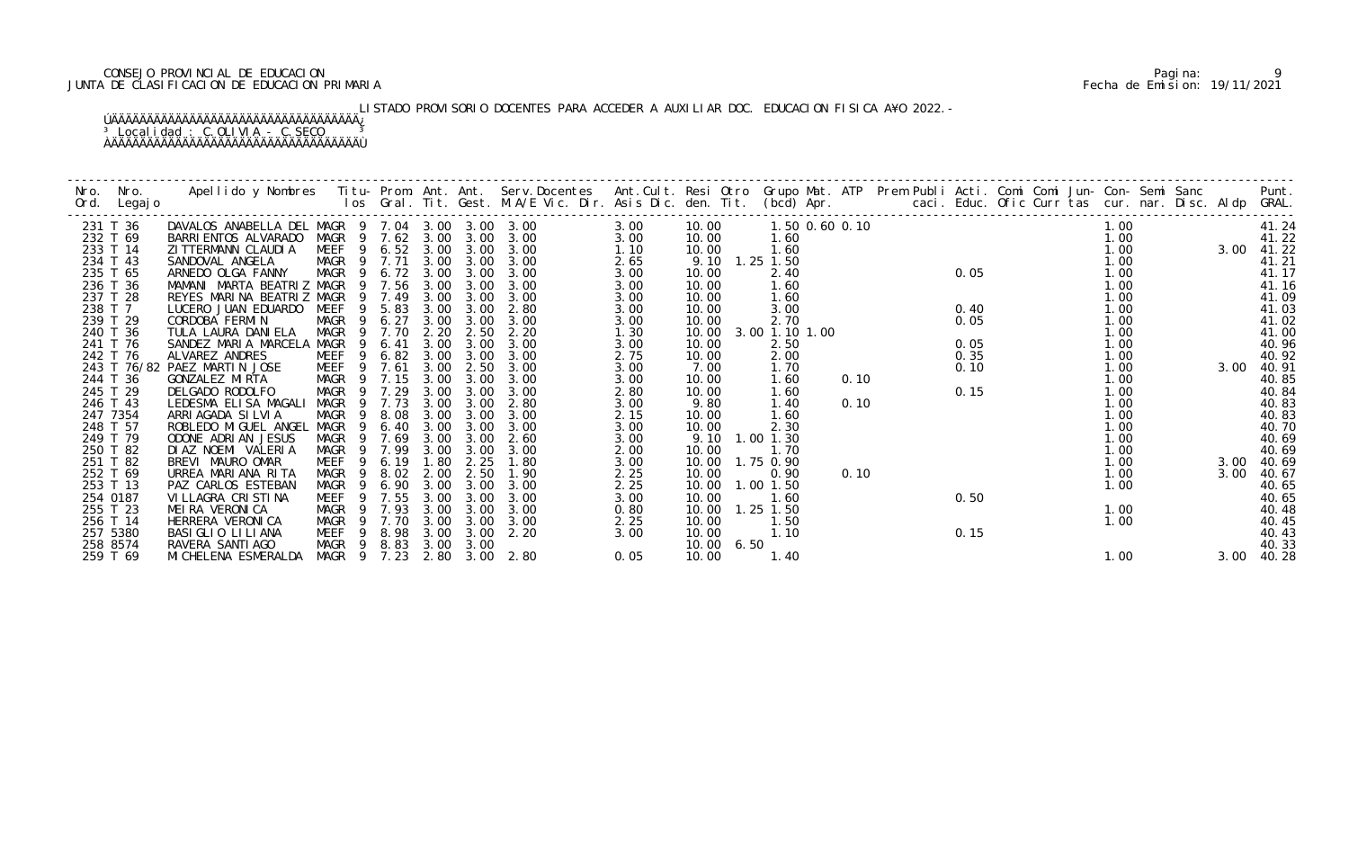## CONSEJO PROVINCIAL DE EDUCACION Pagina: 9 JUNTA DE CLASIFICACION DE EDUCACION PRIMARIA Fecha de Emision: 19/11/2021

# LISTADO PROVISORIO DOCENTES PARA ACCEDER A AUXILIAR DOC. EDUCACION FISICA A¥O 2022.-

| Nro.<br>Ord. | Nro.<br>Legaj o |                                                 |             |                        |      |                       |      |      |       |                   |                |      |  |      |        |  |      |      |       |
|--------------|-----------------|-------------------------------------------------|-------------|------------------------|------|-----------------------|------|------|-------|-------------------|----------------|------|--|------|--------|--|------|------|-------|
|              | 231 T 36        | DAVALOS ANABELLA DEL MAGR 9 7.04 3.00 3.00 3.00 |             |                        |      |                       |      | 3.00 | 10.00 |                   | 1.50 0.60 0.10 |      |  |      | 600.10 |  | 1.00 |      | 41.24 |
|              | 232 T 69        | BARRI ENTOS ALVARADO                            |             |                        |      | MAGR 9 7.62 3.00 3.00 | 3.00 | 3.00 | 10.00 | 1.60              |                |      |  |      |        |  | 1.00 |      | 41.22 |
|              | 233 T 14        | ZI TTERMANN CLAUDI A                            |             |                        |      | MEEF 9 6.52 3.00 3.00 | 3.00 | 1.10 | 10.00 | 1.60              |                |      |  |      |        |  | 1.00 | 3.00 | 41.22 |
|              | 234 T 43        | SANDOVAL ANGELA                                 | MAGR 9 7.71 |                        | 3.00 | 3.00                  | 3.00 | 2.65 | 9.10  | $1.25$ $1.50$     |                |      |  |      |        |  | 1.00 |      | 41.21 |
|              | 235 T 65        | ARNEDO OLGA FANNY                               | MAGR 9 6.72 |                        | 3.00 | 3.00                  | 3.00 | 3.00 | 10.00 | 2.40              |                |      |  | 0.05 |        |  | 1.00 |      | 41.17 |
|              | 236 T 36        | MAMANI MARTA BEATRIZ MAGR 9 7.56                |             |                        | 3.00 | 3.00                  | 3.00 | 3.00 | 10.00 | 1.60              |                |      |  |      |        |  | 1.00 |      | 41.16 |
|              | 237 T 28        | REYES MARINA BEATRIZ MAGR                       |             | 9 7.49                 | 3.00 | 3.00                  | 3.00 | 3.00 | 10.00 | 1.60              |                |      |  |      |        |  | 1.00 |      | 41.09 |
| 238 T 7      |                 | LUCERO JUAN EDUARDO                             | MEEF        | 9 5.83                 | 3.00 | 3.00                  | 2.80 | 3.00 | 10.00 | 3.00              |                |      |  | 0.40 |        |  | 1.00 |      | 41.03 |
|              | 239 T 29        | CORDOBA FERMIN                                  | <b>MAGR</b> | 6.27<br>$\overline{9}$ | 3.00 | 3.00                  | 3.00 | 3.00 | 10.00 | 2.70              |                |      |  | 0.05 |        |  | 1.00 |      | 41.02 |
|              | 240 T 36        | TULA LAURA DANI ELA                             | MAGR        | 7.70<br>- 9            | 2.20 | 2.50                  | 2.20 | 1.30 | 10.00 | 3.00 1.10 1.00    |                |      |  |      |        |  | 1.00 |      | 41.00 |
|              | 241 T 76        | SANDEZ MARIA MARCELA                            | MAGR        | 6.41<br>9              | 3.00 | 3.00                  | 3.00 | 3.00 | 10.00 | 2.50              |                |      |  | 0.05 |        |  | 1.00 |      | 40.96 |
|              | 242 T 76        | ALVAREZ ANDRES                                  | MEEF        | 9 6.82                 | 3.00 | 3.00                  | 3.00 | 2.75 | 10.00 | 2.00              |                |      |  | 0.35 |        |  | 1.00 |      | 40.92 |
|              |                 | 243 T 76/82 PAEZ MARTIN JOSE                    | MEEF        | 7.61<br>- 9            | 3.00 | 2.50                  | 3.00 | 3.00 | 7.00  | 1.70              |                |      |  | 0.10 |        |  | 1.00 | 3.00 | 40.91 |
|              | 244 T 36        | GONZALEZ MIRTA                                  | MAGR 9 7.15 |                        | 3.00 | 3.00                  | 3.00 | 3.00 | 10.00 | 1.60              |                | 0.10 |  |      |        |  | 1.00 |      | 40.85 |
|              | 245 T 29        | DELGADO RODOLFO                                 | MAGR        | 9 7.29                 | 3.00 | 3.00                  | 3.00 | 2.80 | 10.00 | 1.60              |                |      |  | 0.15 |        |  | 1.00 |      | 40.84 |
|              | 246 T 43        | LEDESMA ELISA MAGALI                            | MAGR        | 7.73<br>9              | 3.00 | 3.00                  | 2.80 | 3.00 | 9.80  | 1.40              |                | 0.10 |  |      |        |  | 1.00 |      | 40.83 |
|              | 247 7354        | ARRI AGADA SI LVI A                             | <b>MAGR</b> | 8.08<br>-9             | 3.00 | 3.00                  | 3.00 | 2.15 | 10.00 | 1.60              |                |      |  |      |        |  | 1.00 |      | 40.83 |
|              | 248 T 57        | ROBLEDO MI GUEL ANGEL                           | MAGR        | 6.40<br>9              | 3.00 | 3.00                  | 3.00 | 3.00 | 10.00 | 2.30              |                |      |  |      |        |  | 1.00 |      | 40.70 |
|              | 249 T 79        | ODONE ADRIAN JESUS                              | MAGR        | 7.69<br>9              | 3.00 | 3.00                  | 2.60 | 3.00 | 9.10  | $1.00$ $1.30$     |                |      |  |      |        |  | 1.00 |      | 40.69 |
|              | 250 T 82        | DI AZ NOEMI VALERIA                             | MAGR        | 9 7.99                 | 3.00 | 3.00                  | 3.00 | 2.00 | 10.00 | 1.70              |                |      |  |      |        |  | 1.00 |      | 40.69 |
|              | 251 T 82        | BREVI MAURO OMAR                                | <b>MEEF</b> | 6.19<br>9              | 1.80 | 2.25                  | 1.80 | 3.00 | 10.00 | 1.75 0.90         |                |      |  |      |        |  | 1.00 | 3.00 | 40.69 |
|              | 252 T 69        | URREA MARIANA RITA                              | MAGR        | 8.02                   | 2.00 | 2.50                  | 1.90 | 2.25 | 10.00 | 0.90              |                | 0.10 |  |      |        |  | 1.00 | 3.00 | 40.67 |
|              | 253 T 13        | PAZ CARLOS ESTEBAN                              | MAGR        | 6.90<br>- 9            | 3.00 | 3.00                  | 3.00 | 2.25 |       | 10.00  1.00  1.50 |                |      |  |      |        |  | 1.00 |      | 40.65 |
|              | 254 0187        | VI LLAGRA CRISTINA                              | <b>MEEF</b> | 9 7.55                 | 3.00 | 3.00                  | 3.00 | 3.00 | 10.00 | 1.60              |                |      |  | 0.50 |        |  |      |      | 40.65 |
|              | 255 T 23        | MEIRA VERONICA                                  | MAGR        | 7.93                   | 3.00 | 3.00                  | 3.00 | 0.80 | 10.00 | $1.25$ $1.50$     |                |      |  |      |        |  | 1.00 |      | 40.48 |
|              | 256 T 14        | HERRERA VERONICA                                | MAGR        | 7.70<br>- 9            | 3.00 | 3.00                  | 3.00 | 2.25 | 10.00 | 1.50              |                |      |  |      |        |  | 1.00 |      | 40.45 |
|              | 257 5380        | BASI GLIO LI LI ANA                             | MEEF        | 8.98<br>9              | 3.00 | 3.00                  | 2.20 | 3.00 | 10.00 | 1.10              |                |      |  | 0.15 |        |  |      |      | 40.43 |
|              | 258 8574        | RAVERA SANTI AGO                                | MAGR        | 9 8.83                 | 3.00 | 3.00                  |      |      | 10.00 | 6.50              |                |      |  |      |        |  |      |      | 40.33 |
|              | 259 T 69        | MI CHELENA ESMERALDA                            | MAGR 9 7.23 |                        |      | 2.80 3.00             | 2.80 | 0.05 | 10.00 | 1.40              |                |      |  |      |        |  | 1.00 | 3.00 | 40.28 |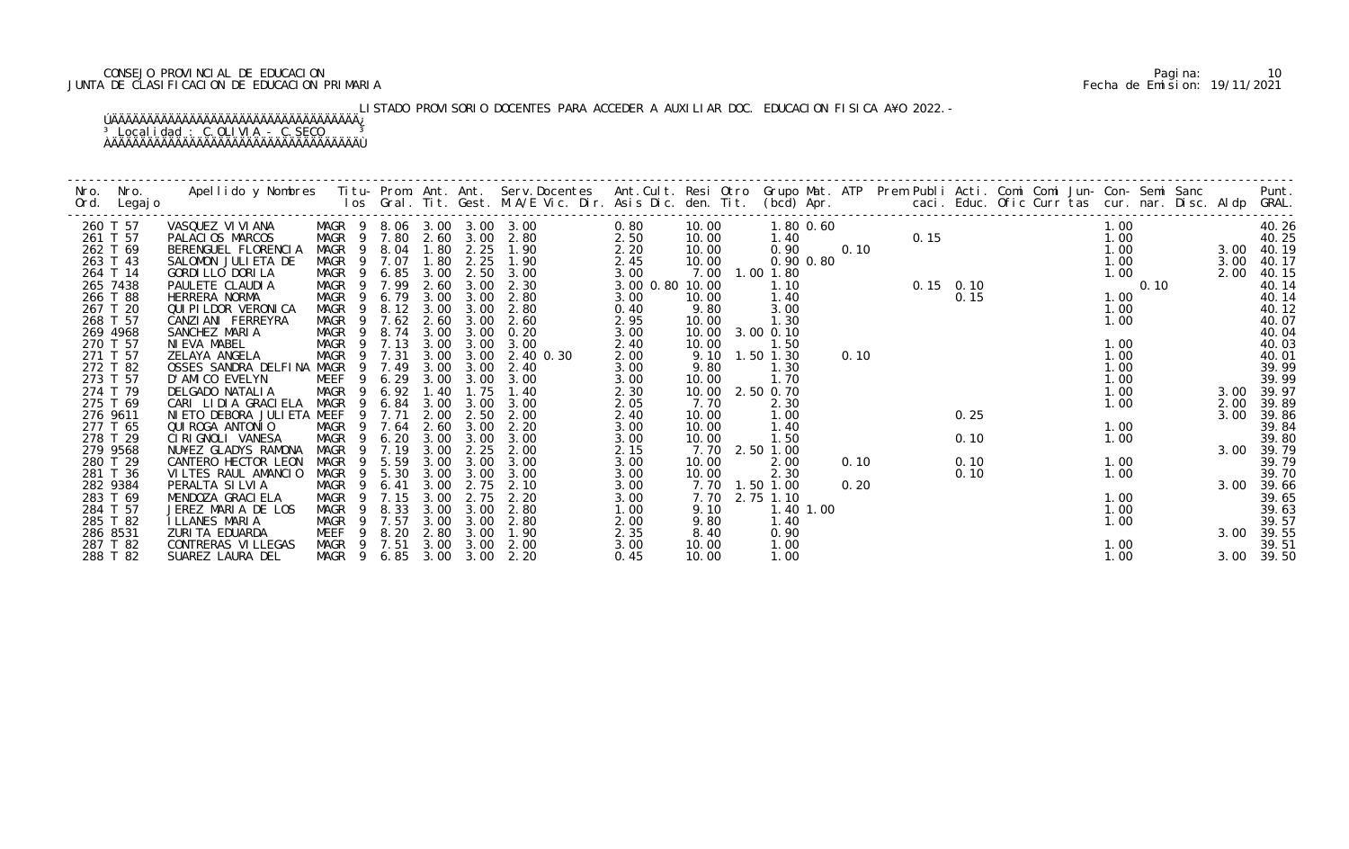## CONSEJO PROVINCIAL DE EDUCACION Pagina: 10 JUNTA DE CLASIFICACION DE EDUCACION PRIMARIA Fecha de Emision: 19/11/2021

# LISTADO PROVISORIO DOCENTES PARA ACCEDER A AUXILIAR DOC. EDUCACION FISICA A¥O 2022.-

| Nro. | Nro.<br>Ord. Legajo  | Apellido y Nombres Titu- Prom. Ant. Ant. Serv.Docentes Ant.Cult. Resi Otro Grupo Mat. ATP Prem Publi Acti. Comi Comi Jun- Con- Semi Sanc Punt.<br>Ios Gral. Tit. Gest. M.A/E Vic. Dir. Asis Dic. den. Tit. (bcd) Apr. |                                 |        |      |              |                   |                            |                         |       |                             |      |                                                                                                                                                                                                                                                                                                          |      |  |      |      |      |                     |
|------|----------------------|-----------------------------------------------------------------------------------------------------------------------------------------------------------------------------------------------------------------------|---------------------------------|--------|------|--------------|-------------------|----------------------------|-------------------------|-------|-----------------------------|------|----------------------------------------------------------------------------------------------------------------------------------------------------------------------------------------------------------------------------------------------------------------------------------------------------------|------|--|------|------|------|---------------------|
|      | 260 T 57             | VASQUEZ VI VI ANA                                                                                                                                                                                                     | MAGR 9 8.06 3.00 3.00 3.00      |        |      |              |                   |                            | 0.80                    | 10.00 | 1.80 0.60                   |      | 0.60<br>0.15<br>0.10<br>0.15<br>0.15<br>0.15<br>0.15<br>0.15<br>0.10<br>0.15<br>0.10<br>0.15<br>0.10<br>0.15<br>0.10<br>0.15<br>1.00<br>1.00<br>1.00<br>1.00<br>1.00<br>1.00<br>1.00<br>1.00<br>1.00<br>1.00<br>1.00<br>1.00<br>1.00<br>1.00<br>1.00<br>1.00<br>1.00<br>1.00<br>1.00<br>1.00<br>1.00<br> |      |  |      |      |      | 40.26               |
|      | 261 T 57             | PALACIOS MARCOS                                                                                                                                                                                                       | MAGR 9 7.80 2.60 3.00           |        |      |              |                   | 2.80                       | 2.50                    | 10.00 | 1.40                        |      |                                                                                                                                                                                                                                                                                                          |      |  |      |      |      | 40.25               |
|      | 262 T 69             | BERENGUEL FLORENCIA                                                                                                                                                                                                   |                                 |        |      |              |                   | MAGR 9 8.04 1.80 2.25 1.90 | 2.20                    | 10.00 | 0.90                        |      |                                                                                                                                                                                                                                                                                                          |      |  |      |      |      | 3.00 40.19          |
|      | 263 T 43             | SALOMON JULIETA DE                                                                                                                                                                                                    | MAGR 9 7.07                     |        |      | 1.80         | 2.25              | 1.90                       | 2.45                    | 10.00 | 0.90 0.80                   |      |                                                                                                                                                                                                                                                                                                          |      |  |      |      | 3.00 | 40.17               |
|      | 264 T 14<br>265 7438 | GORDI LLO DORI LA<br>PAULETE CLAUDIA                                                                                                                                                                                  | MAGR 9 6.85 3.00<br>MAGR 9 7.99 |        |      | 2.60         | 3.00              | 2.50 3.00<br>2.30          | 3.00<br>3.00 0.80 10.00 |       | 7.00 1.00 1.80<br>1.10      |      |                                                                                                                                                                                                                                                                                                          |      |  |      |      | 2.00 | 40.15<br>40.14      |
|      | 266 T 88             | HERRERA NORMA                                                                                                                                                                                                         | MAGR 9 6.79                     |        |      | 3.00         | 3.00              | 2.80                       | 3.00                    | 10.00 | 1.40                        |      |                                                                                                                                                                                                                                                                                                          |      |  |      |      |      | 40.14               |
|      | 267 T 20             | QUI PI LDOR VERONI CA                                                                                                                                                                                                 | MAGR 9 8.12 3.00                |        |      |              | 3.00              | 2.80                       | 0.40                    | 9.80  | 3.00                        |      |                                                                                                                                                                                                                                                                                                          |      |  |      |      |      | 40.12               |
|      | 268 T 57             | CANZIANI FERREYRA                                                                                                                                                                                                     | MAGR                            | 9 7.62 |      | 2.60         | 3.00              | 2.60                       | 2.95                    | 10.00 | 1.30                        |      |                                                                                                                                                                                                                                                                                                          |      |  |      |      |      | 40.07               |
|      | 269 4968             | SANCHEZ MARIA                                                                                                                                                                                                         | MAGR 9                          |        | 8.74 | 3.00         | 3.00              | 0.20                       | 3.00                    | 10.00 | 3.00 0.10                   |      |                                                                                                                                                                                                                                                                                                          |      |  |      |      |      | 40.04               |
|      | 270 T 57             | NIEVA MABEL                                                                                                                                                                                                           | MAGR 9 7.13                     |        |      | 3.00         | 3.00              | 3.00                       | 2.40                    | 10.00 | 1.50                        |      |                                                                                                                                                                                                                                                                                                          |      |  |      | 1.00 |      | 40.03               |
|      | 271 T 57             | ZELAYA ANGELA                                                                                                                                                                                                         | MAGR                            | 9 7.31 |      | 3.00         | 3.00              | 2.40 0.30                  | 2.00                    |       | 9.10 1.50 1.30              | 0.10 |                                                                                                                                                                                                                                                                                                          |      |  | 1.00 |      |      | 40.01               |
|      | 272 T 82             | OSSES SANDRA DELFINA MAGR                                                                                                                                                                                             |                                 | 9 7.49 |      | 3.00         | 3.00              | 2.40                       | 3.00                    | 9.80  | 1.30                        |      |                                                                                                                                                                                                                                                                                                          |      |  | 1.00 |      |      | 39.99               |
|      | 273 T 57             | D'AMICO EVELYN                                                                                                                                                                                                        | MEEF                            |        | 6.29 | 3.00         | 3.00              | 3.00                       | 3.00                    | 10.00 | 1.70                        |      |                                                                                                                                                                                                                                                                                                          |      |  | 1.00 |      |      | 39.99               |
|      | 274 T 79             | DELGADO NATALIA                                                                                                                                                                                                       | MAGR 9 6.92                     |        |      | 1.40         | 1.75              | 1.40                       | 2.30                    |       | 10.00 2.50 0.70             |      |                                                                                                                                                                                                                                                                                                          |      |  | 1.00 |      | 3.00 | 39.97               |
|      | 275 T 69             | CARI LIDIA GRACIELA MAGR 9                                                                                                                                                                                            |                                 |        | 6.84 | 3.00         | 3.00              | 3.00                       | 2.05                    | 7.70  | 2.30                        |      |                                                                                                                                                                                                                                                                                                          |      |  | 1.00 |      | 2.00 | 39.89               |
|      | 276 9611             | NI ETO DEBORA JULI ETA MEEF                                                                                                                                                                                           |                                 | 9      | 7.71 | 2.00         | 2.50              | 2.00                       | 2.40                    | 10.00 | 1.00                        |      |                                                                                                                                                                                                                                                                                                          | 0.25 |  |      |      | 3.00 | 39.86               |
|      | 277 T 65             | QUI ROGA ANTONIO                                                                                                                                                                                                      | MAGR                            | - 9    | 7.64 | 2.60         | 3.00              | 2.20                       | 3.00                    | 10.00 | 1.40                        |      |                                                                                                                                                                                                                                                                                                          |      |  | 1.00 |      |      | 39.84               |
|      | 278 T 29             | CIRIGNOLI VANESA                                                                                                                                                                                                      | MAGR                            | 9 6.20 |      | 3.00         | 3.00              | 3.00                       | 3.00                    | 10.00 | 1.50                        |      |                                                                                                                                                                                                                                                                                                          | 0.10 |  | 1.00 |      |      | 39.80               |
|      | 279 9568             | NU¥EZ GLADYS RAMONA                                                                                                                                                                                                   | MAGR 9 7.19                     |        |      | 3.00         | 2.25              | 2.00                       | 2.15                    |       | 7.70 2.50 1.00              |      |                                                                                                                                                                                                                                                                                                          |      |  |      |      |      | 3.00 39.79          |
|      | 280 T 29             | CANTERO HECTOR LEON                                                                                                                                                                                                   | MAGR                            | 9 5.59 |      | 3.00         | 3.00              | 3.00                       | 3.00                    | 10.00 | 2.00                        | 0.10 |                                                                                                                                                                                                                                                                                                          | 0.10 |  | 1.00 |      |      | 39.79               |
|      | 281 T 36             | VILTES RAUL AMANCIO                                                                                                                                                                                                   | MAGR                            | 9 5.30 |      | 3.00         | 3.00              | 3.00                       | 3.00                    | 10.00 | 2.30                        |      |                                                                                                                                                                                                                                                                                                          | 0.10 |  | 1.00 |      |      | 39.70               |
|      | 282 9384<br>283 T 69 | PERALTA SI LVI A<br>MENDOZA GRACI ELA                                                                                                                                                                                 | MAGR<br>MAGR 9 7.15             | 9 6.41 |      | 3.00<br>3.00 | 2.75<br>2.75      | 2.10<br>2.20               | 3.00                    | 7.70  | 7.70 1.50 1.00<br>2.75 1.10 | 0.20 |                                                                                                                                                                                                                                                                                                          |      |  | 1.00 |      |      | 3.00 39.66<br>39.65 |
|      | 284 T 57             | JEREZ MARIA DE LOS                                                                                                                                                                                                    | MAGR                            | -9     | 8.33 | 3.00         | 3.00              | 2.80                       | 3.00<br>1.00            | 9.10  | 1.40 1.00                   |      |                                                                                                                                                                                                                                                                                                          |      |  | 1.00 |      |      | 39.63               |
|      | 285 T 82             | I LLANES MARIA                                                                                                                                                                                                        | MAGR                            | 9 7.57 |      | 3.00         | 3.00              | 2.80                       | 2.00                    | 9.80  | 1.40                        |      |                                                                                                                                                                                                                                                                                                          |      |  | 1.00 |      |      | 39.57               |
|      | 286 8531             | ZURITA EDUARDA                                                                                                                                                                                                        | MEEF                            | 9 8.20 |      | 2.80         | 3.00              | 1.90                       | 2.35                    | 8.40  | 0.90                        |      |                                                                                                                                                                                                                                                                                                          |      |  |      |      | 3.00 | 39.55               |
|      | 287 T 82             | CONTRERAS VI LLEGAS                                                                                                                                                                                                   | MAGR 9 7.51                     |        |      |              | 3.00 3.00         | 2.00                       | 3.00                    | 10.00 | 1.00                        |      |                                                                                                                                                                                                                                                                                                          |      |  | 1.00 |      |      | 39.51               |
|      | 288 T 82             | SUAREZ LAURA DEL                                                                                                                                                                                                      | MAGR 9 6.85                     |        |      |              | $3.00 \quad 3.00$ | 2.20                       | 0.45                    | 10.00 | 1.00                        |      |                                                                                                                                                                                                                                                                                                          |      |  | 1.00 |      |      | 3.00 39.50          |
|      |                      |                                                                                                                                                                                                                       |                                 |        |      |              |                   |                            |                         |       |                             |      |                                                                                                                                                                                                                                                                                                          |      |  |      |      |      |                     |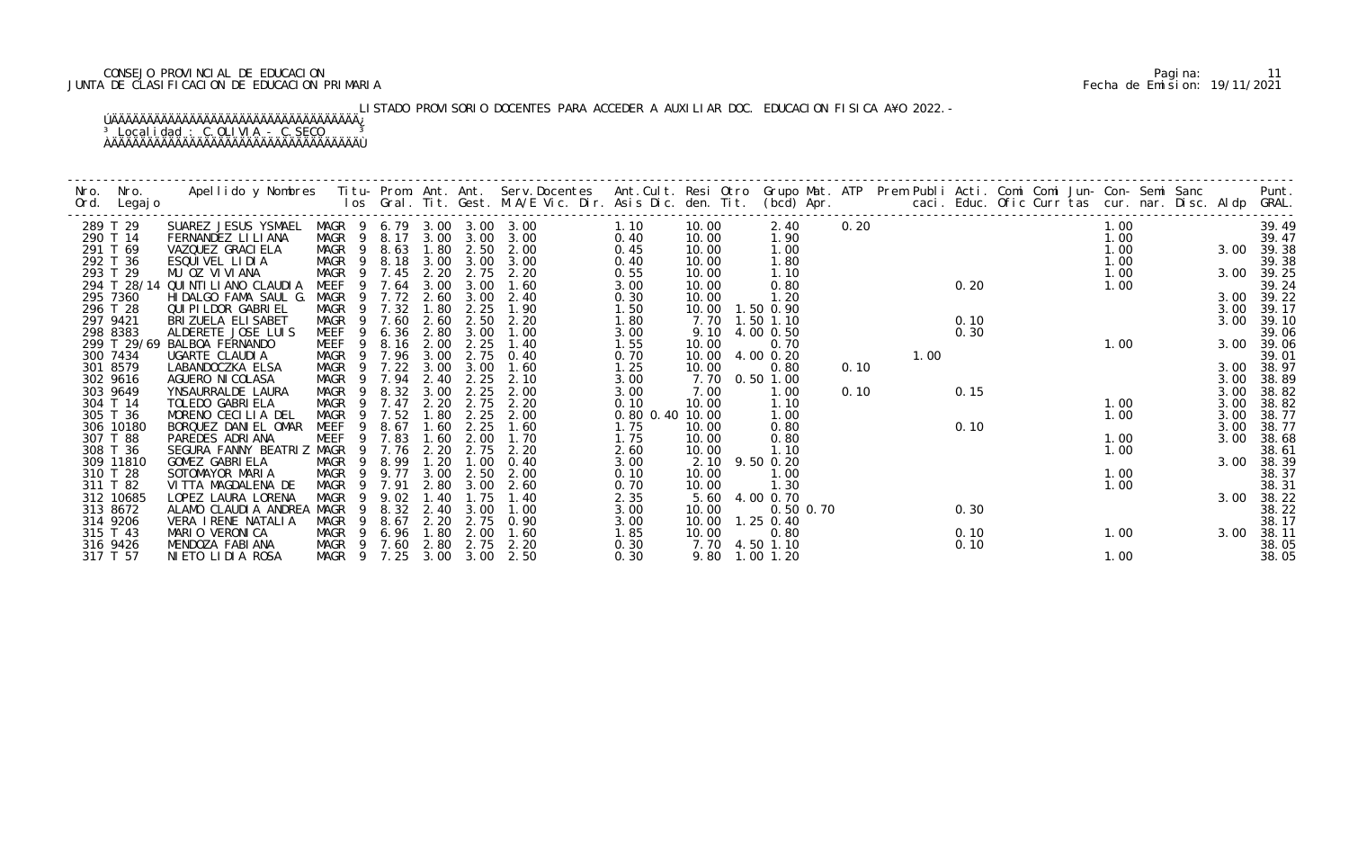## CONSEJO PROVINCIAL DE EDUCACION Pagina: 11 JUNTA DE CLASIFICACION DE EDUCACION PRIMARIA Fecha de Emision: 19/11/2021

# LISTADO PROVISORIO DOCENTES PARA ACCEDER A AUXILIAR DOC. EDUCACION FISICA A¥O 2022.-

| Nro. | Nro.                 | Apellido y Nombres  Titu- Prom. Ant. Ant. Serv.Docentes  Ant.Cult. Resi Otro Grupo Mat. ATP  Prem Publi Acti. Comi Comi Jun- Con- Semi Sanc        Punt.<br>Ios Gral. Tit. Gest. M.A/E Vic. Dir. Asis Dic. den. Tit. (bcd) Apr. |                            |                |      |              |              |              |               |       |                        |      |      |      |  |      |  |              |                |
|------|----------------------|---------------------------------------------------------------------------------------------------------------------------------------------------------------------------------------------------------------------------------|----------------------------|----------------|------|--------------|--------------|--------------|---------------|-------|------------------------|------|------|------|--|------|--|--------------|----------------|
| Ord. | Legaj o              |                                                                                                                                                                                                                                 |                            |                |      |              |              |              |               |       |                        |      |      |      |  |      |  |              |                |
|      | 289 T 29             | SUAREZ JESUS YSMAEL                                                                                                                                                                                                             | MAGR 9 6.79 3.00 3.00 3.00 |                |      |              |              |              | 1.10          | 10.00 | 2.40                   | 0.20 |      |      |  | 1.00 |  |              | 39.49          |
|      | 290 T 14             | FERNANDEZ LI LI ANA                                                                                                                                                                                                             | MAGR 9 8.17 3.00           |                |      |              | 3.00         | 3.00         | 0.40          | 10.00 | 1.90                   |      |      |      |  | 1.00 |  |              | 39.47          |
|      | 291 T 69             | VAZQUEZ GRACI ELA                                                                                                                                                                                                               | MAGR 9 8.63                |                |      | 1.80         | 2.50         | 2.00         | 0.45          | 10.00 | 1.00                   |      |      |      |  | 1.00 |  | 3.00 39.38   |                |
|      | 292 T 36             | ESQUIVEL LIDIA                                                                                                                                                                                                                  | MAGR 9 8.18                |                |      | 3.00         | 3.00         | 3.00         | 0.40          | 10.00 | 1.80                   |      |      |      |  | 1.00 |  |              | 39.38          |
|      | 293 T 29             | MU OZ VIVIANA                                                                                                                                                                                                                   | MAGR                       | 9 7.45         |      | 2.20         | 2.75         | 2.20         | 0.55          | 10.00 | 1.10                   |      |      |      |  | 1.00 |  |              | 3.00 39.25     |
|      | 294 T 28/14          | QUI NTI LI ANO CLAUDI A                                                                                                                                                                                                         | MEEF                       | -9             | 7.64 | 3.00         | 3.00         | 1.60         | 3.00          | 10.00 | 0.80                   |      |      | 0.20 |  | 1.00 |  |              | 39.24          |
|      | 295 7360             | HIDALGO FAMA SAUL G.                                                                                                                                                                                                            | MAGR                       | 9 7.72         |      | 2.60         | 3.00         | 2.40         | 0.30          | 10.00 | 1.20                   |      |      |      |  |      |  |              | 3.00 39.22     |
|      | 296 T 28             | QUI PI LDOR GABRI EL                                                                                                                                                                                                            | MAGR                       | -9             | 7.32 | 1.80         | 2.25         | 1.90         | 1.50          | 10.00 | 1.50 0.90              |      |      |      |  |      |  | 3.00         | 39.17          |
|      | 297 9421             | BRI ZUELA ELI SABET                                                                                                                                                                                                             | MAGR                       | - 9            | 7.60 | 2.60         | 2.50         | 2.20         | 1.80          | 7.70  | 1.50 1.10              |      |      | 0.10 |  |      |  | 3.00         | 39.10          |
|      | 298 8383             | ALDERETE JOSE LUIS                                                                                                                                                                                                              | MEEF                       | 9              | 6.36 | 2.80         | 3.00         | 1.00         | 3.00          | 9.10  | 4.00 0.50              |      |      | 0.30 |  |      |  |              | 39.06          |
|      |                      | 299 T 29/69 BALBOA FERNANDO                                                                                                                                                                                                     | MEEF                       | 9 8.16         |      | 2.00         | 2.25         | 1.40         | 1.55          | 10.00 | 0.70                   |      |      |      |  | 1.00 |  | 3.00         | 39.06          |
|      | 300 7434             | UGARTE CLAUDIA                                                                                                                                                                                                                  | MAGR                       | 9 7.96         |      | 3.00<br>3.00 | 2.75<br>3.00 | 0.40         | 0.70          | 10.00 | 4.00 0.20              |      | 1.00 |      |  |      |  |              | 39.01          |
|      | 301 8579<br>302 9616 | LABANDOCZKA ELSA<br>AGUERO NI COLASA                                                                                                                                                                                            | MAGR 9<br>MAGR 9 7.94      |                | 7.22 | 2.40         | 2.25         | 1.60<br>2.10 | 1.25<br>3.00  | 10.00 | 0.80<br>7.70 0.50 1.00 | 0.10 |      |      |  |      |  | 3.00<br>3.00 | 38.97<br>38.89 |
|      | 303 9649             | YNSAURRALDE LAURA                                                                                                                                                                                                               | MAGR                       | 9 8.32         |      | 3.00         | 2.25         | 2.00         | 3.00          | 7.00  | 1.00                   | 0.10 |      | 0.15 |  |      |  | 3.00         | 38.82          |
|      | 304 T 14             | TOLEDO GABRI ELA                                                                                                                                                                                                                | MAGR                       | -9             | 7.47 | 2.20         | 2.75         | 2.20         | 0.10          | 10.00 | 1.10                   |      |      |      |  | 1.00 |  | 3.00         | 38.82          |
|      | 305 T 36             | MORENO CECILIA DEL                                                                                                                                                                                                              | MAGR                       | -9             | 7.52 | 1.80         | 2.25         | 2.00         | $0.80$ $0.40$ | 10.00 | 1.00                   |      |      |      |  | 1.00 |  | 3.00         | 38.77          |
|      | 306 10180            | BORQUEZ DANIEL OMAR                                                                                                                                                                                                             | <b>MEEF</b>                | 9              | 8.67 | 1.60         | 2.25         | 1.60         | 1.75          | 10.00 | 0.80                   |      |      | 0.10 |  |      |  | 3.00         | 38.77          |
|      | 307 T 88             | PAREDES ADRIANA                                                                                                                                                                                                                 | MEEF                       | 9              | 7.83 | 1.60         | 2.00         | 1.70         | 1.75          | 10.00 | 0.80                   |      |      |      |  | 1.00 |  | 3.00         | 38.68          |
|      | 308 T 36             | SEGURA FANNY BEATRIZ MAGR                                                                                                                                                                                                       |                            | 9 7.76         |      | 2.20         | 2.75         | 2.20         | 2.60          | 10.00 | 1.10                   |      |      |      |  | 1.00 |  |              | 38.61          |
|      | 309 11810            | GOMEZ GABRIELA                                                                                                                                                                                                                  | MAGR                       | $\overline{9}$ | 8.99 | 1.20         | 1.00         | 0.40         | 3.00          |       | 2.10 9.50 0.20         |      |      |      |  |      |  | 3.00 38.39   |                |
|      | 310 T 28             | SOTOMAYOR MARIA                                                                                                                                                                                                                 | MAGR                       | - 9            | 9.77 | 3.00         | 2.50         | 2.00         | 0.10          | 10.00 | 1.00                   |      |      |      |  | 1.00 |  |              | 38.37          |
|      | 311 T 82             | VITTA MAGDALENA DE                                                                                                                                                                                                              | MAGR                       | 9 7.91         |      | 2.80         | 3.00         | 2.60         | 0.70          | 10.00 | 1.30                   |      |      |      |  | 1.00 |  |              | 38.31          |
|      | 312 10685            | LOPEZ LAURA LORENA                                                                                                                                                                                                              | MAGR                       | -9             | 9.02 | 1.40         | 1.75         | 1.40         | 2.35          | 5.60  | 4.00 0.70              |      |      |      |  |      |  | 3.00         | 38.22          |
|      | 313 8672             | ALAMO CLAUDIA ANDREA                                                                                                                                                                                                            | MAGR                       | 9              | 8.32 | 2.40         | 3.00         | 1.00         | 3.00          | 10.00 | 0.50 0.70              |      |      | 0.30 |  |      |  |              | 38.22          |
|      | 314 9206             | VERA I RENE NATALIA                                                                                                                                                                                                             | MAGR                       | -9.            | 8.67 | 2.20         |              | 2.75 0.90    | 3.00          | 10.00 | $1.25 \, 0.40$         |      |      |      |  |      |  |              | 38.17          |
|      | 315 T 43             | MARIO VERONICA                                                                                                                                                                                                                  | MAGR 9 6.96                |                |      | 1.80         | 2.00         | 1.60         | 1.85          | 10.00 | 0.80                   |      |      | 0.10 |  | 1.00 |  | 3.00         | 38.11          |
|      | 316 9426             | MENDOZA FABIANA                                                                                                                                                                                                                 | MAGR 9 7.60                |                |      | 2.80         | 2.75         | 2.20         | 0.30          |       | 7.70 4.50 1.10         |      |      | 0.10 |  |      |  |              | 38.05          |
|      | 317 T 57             | NIETO LIDIA ROSA                                                                                                                                                                                                                | MAGR 9 7.25                |                |      | 3.00         | 3.00         | 2.50         | 0.30          |       | 9.80 1.00 1.20         |      |      |      |  | 1.00 |  |              | 38.05          |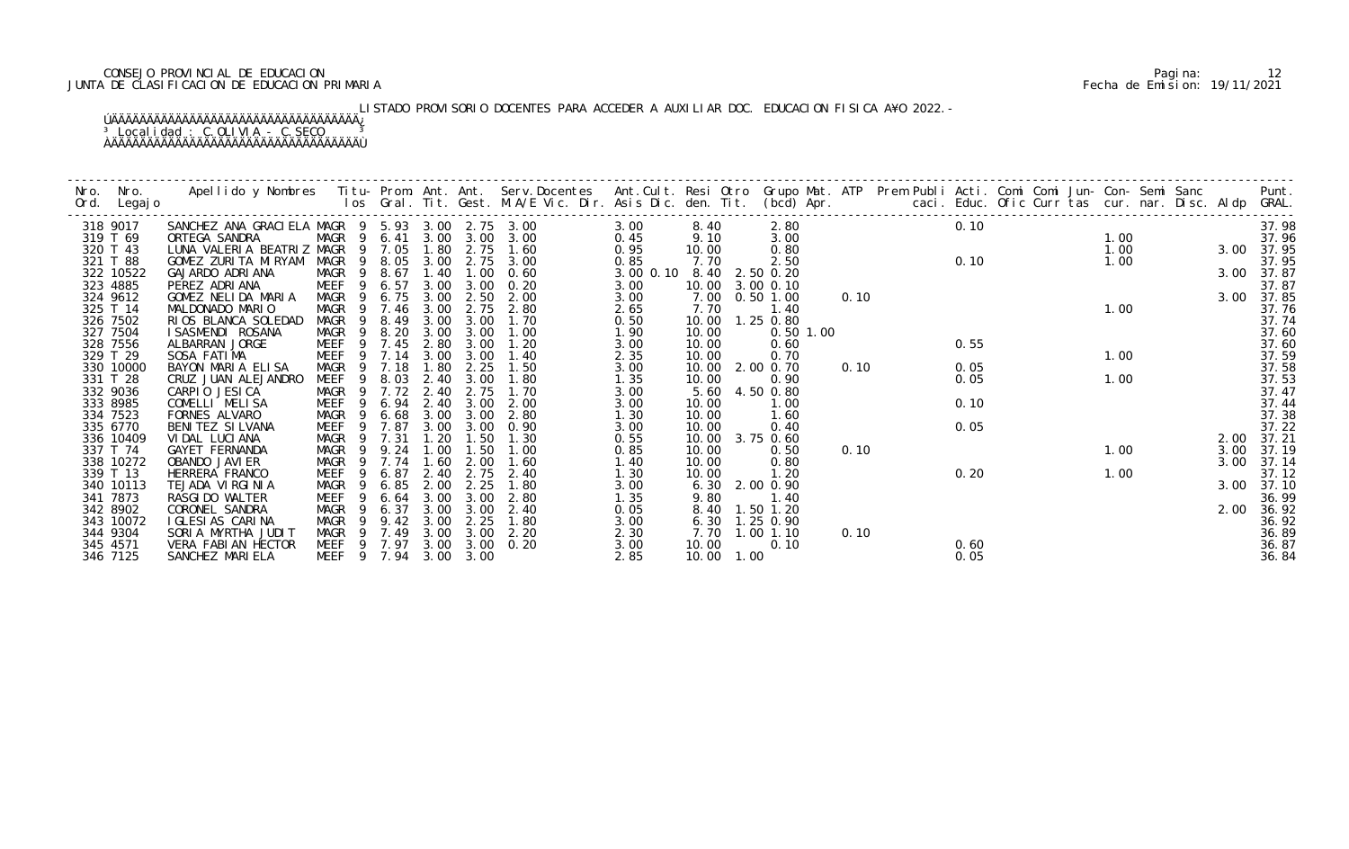## CONSEJO PROVINCIAL DE EDUCACION Pagina: 12 JUNTA DE CLASIFICACION DE EDUCACION PRIMARIA Fecha de Emision: 19/11/2021

# LISTADO PROVISORIO DOCENTES PARA ACCEDER A AUXILIAR DOC. EDUCACION FISICA A¥O 2022.-

| Nro. | Nro.<br>Ord. Legajo | Apellido y Nombres  Titu- Prom. Ant. Ant. Serv.Docentes  Ant.Cult. Resi Otro  Grupo Mat. ATP  Prem Publi Acti. Comi Comi Jun- Con- Semi Sanc                Punt.<br>Ios Gral. Tit. Gest. M.A/E Vic. Dir. Asis Dic. den. Tit. (bc |                        |           |      |      |                |               |            |                 |      |      |  |                |  |            |            |
|------|---------------------|-----------------------------------------------------------------------------------------------------------------------------------------------------------------------------------------------------------------------------------|------------------------|-----------|------|------|----------------|---------------|------------|-----------------|------|------|--|----------------|--|------------|------------|
|      | 318 9017            | SANCHEZ ANA GRACI ELA MAGR 9 5.93 3.00 2.75 3.00                                                                                                                                                                                  |                        |           |      |      |                | 3.00          | 8.40       | 2.80            |      | 0.10 |  |                |  |            | 37.98      |
|      | 319 T 69            | ORTEGA SANDRA                                                                                                                                                                                                                     | MAGR 9 6.41            |           |      |      | 3.00 3.00 3.00 | 0.45          | 9.10       | 3.00            |      |      |  | 1.00           |  |            | 37.96      |
|      | 320 T 43            | LUNA VALERIA BEATRIZ MAGR 9 7.05                                                                                                                                                                                                  |                        |           | 1.80 | 2.75 | 1.60           | 0.95          | 10.00      | 0.80            |      |      |  |                |  | 3.00 37.95 |            |
|      | 321 T 88            | GOMEZ ZURITA MIRYAM                                                                                                                                                                                                               | MAGR 9 8.05            |           | 3.00 | 2.75 | 3.00           | 0.85          | 7.70       | 2.50            |      | 0.10 |  | 1. 00<br>1. 00 |  |            | 37.95      |
|      | 322 10522           | GAJARDO ADRIANA                                                                                                                                                                                                                   | MAGR                   | 9 8.67    | 1.40 | 1.00 | 0.60           | $3.00$ $0.10$ | 8.40       | 2.50 0.20       |      |      |  |                |  |            | 3.00 37.87 |
|      | 323 4885            | PEREZ ADRIANA                                                                                                                                                                                                                     | MEEF                   | 6.57<br>9 | 3.00 | 3.00 | 0.20           | 3.00          |            | 10.00 3.00 0.10 |      |      |  |                |  |            | 37.87      |
|      | 324 9612            | GOMEZ NELIDA MARIA                                                                                                                                                                                                                | MAGR 9 6.75            |           | 3.00 | 2.50 | 2.00           | 3.00          | 7.00       | $0.50$ 1.00     | 0.10 |      |  |                |  |            | 3.00 37.85 |
|      | 325 T 14            | MALDONADO MARIO                                                                                                                                                                                                                   | MAGR                   | 9 7.46    | 3.00 | 2.75 | 2.80           | 2.65          | 7.70       | 1.40            |      |      |  | 1.00           |  |            | 37.76      |
|      | 326 7502            | RIOS BLANCA SOLEDAD                                                                                                                                                                                                               | MAGR<br>9              | 8.49      | 3.00 | 3.00 | 1.70           | 0.50          | 10.00      | 1.25 0.80       |      |      |  |                |  |            | 37.74      |
|      | 327 7504            | I SASMENDI ROSANA                                                                                                                                                                                                                 | MAGR<br>$\overline{9}$ | 8.20      | 3.00 | 3.00 | 1.00           | 1.90          | 10.00      | $0.50$ 1.00     |      |      |  |                |  |            | 37.60      |
|      | 328 7556            | ALBARRAN JORGE                                                                                                                                                                                                                    | MEEF                   | 9 7.45    | 2.80 | 3.00 | 1.20           | 3.00          | 10.00      | 0.60            |      | 0.55 |  |                |  |            | 37.60      |
|      | 329 T 29            | SOSA FATIMA                                                                                                                                                                                                                       | MEEF 9 7.14            |           | 3.00 | 3.00 | 1.40           | 2.35          | 10.00      | 0.70            |      |      |  | 1.00           |  |            | 37.59      |
|      | 330 10000           | BAYON MARIA ELISA                                                                                                                                                                                                                 | MAGR 9                 | 7.18      | 1.80 | 2.25 | 1.50           | 3.00          | 10.00      | 2.00 0.70       | 0.10 | 0.05 |  |                |  |            | 37.58      |
|      | 331 T 28            | CRUZ JUAN ALEJANDRO                                                                                                                                                                                                               | MEEF<br>- 9            | 8.03      | 2.40 | 3.00 | 1.80           | 1.35          | 10.00      | 0.90            |      | 0.05 |  | 1.00           |  |            | 37.53      |
|      | 332 9036            | CARPIO JESICA                                                                                                                                                                                                                     | MAGR                   | 9 7.72    | 2.40 | 2.75 | 1.70           | 3.00          |            | 5.60 4.50 0.80  |      |      |  |                |  |            | 37.47      |
|      | 333 8985            | COMELLI MELISA                                                                                                                                                                                                                    | MEEF<br>9              | 6.94      | 2.40 | 3.00 | 2.00           | 3.00          | 10.00      | 1.00            |      | 0.10 |  |                |  |            | 37.44      |
|      | 334 7523            | FORNES ALVARO                                                                                                                                                                                                                     | MAGR<br>9              | 6.68      | 3.00 | 3.00 | 2.80           | 1.30          | 10.00      | 1.60            |      |      |  |                |  |            | 37.38      |
|      | 335 6770            | BENITEZ SILVANA                                                                                                                                                                                                                   | MEEF<br>-9             | 7.87      | 3.00 | 3.00 | 0.90           | 3.00          | 10.00      | 0.40            |      | 0.05 |  |                |  |            | 37.22      |
|      | 336 10409           | VIDAL LUCIANA                                                                                                                                                                                                                     | MAGR<br>$\overline{9}$ | 7.31      | 1.20 | 1.50 | 1.30           | 0.55          | 10.00      | 3.75 0.60       |      |      |  |                |  | 2.00       | 37.21      |
|      | 337 T 74            | GAYET FERNANDA                                                                                                                                                                                                                    | MAGR<br>-9             | 9.24      | 1.00 | 1.50 | 1.00           | 0.85          | 10.00      | 0.50            | 0.10 |      |  | 1.00           |  | 3.00       | 37.19      |
|      | 338 10272           | OBANDO JAVI ER                                                                                                                                                                                                                    | MAGR<br>9              | 7.74      | 1.60 | 2.00 | 1.60           | 1.40          | 10.00      | 0.80            |      |      |  |                |  | 3.00       | 37.14      |
|      | 339 T 13            | HERRERA FRANCO                                                                                                                                                                                                                    | MEEF                   | 6.87      | 2.40 | 2.75 | 2.40           | 1.30          | 10.00      | 1.20            |      | 0.20 |  | 1.00           |  |            | 37.12      |
|      | 340 10113           | TEJADA VIRGINIA                                                                                                                                                                                                                   | MAGR<br>-9             | 6.85      | 2.00 | 2.25 | 1.80           | 3.00          |            | 6.30 2.00 0.90  |      |      |  |                |  |            | 3.00 37.10 |
|      | 341 7873            | RASGI DO WALTER                                                                                                                                                                                                                   | MEEF<br>-9             | 6.64      | 3.00 | 3.00 | 2.80           | 1.35          | 9.80       | 1.40            |      |      |  |                |  |            | 36.99      |
|      | 342 8902            | CORONEL SANDRA                                                                                                                                                                                                                    | MAGR                   | 6.37      | 3.00 | 3.00 | 2.40           | 0.05          | 8.40       | 1.50 1.20       |      |      |  |                |  | 2.00       | 36.92      |
|      | 343 10072           | I GLESIAS CARINA                                                                                                                                                                                                                  | MAGR<br>-9             | 9.42      | 3.00 | 2.25 | 1.80           | 3.00          | 6.30       | $1.25$ 0.90     |      |      |  |                |  |            | 36.92      |
|      | 344 9304            | SORIA MYRTHA JUDIT                                                                                                                                                                                                                | MAGR 9 7.49            |           | 3.00 | 3.00 | 2.20           | 2.30          |            | 7.70 1.00 1.10  | 0.10 |      |  |                |  |            | 36.89      |
|      | 345 4571            | VERA FABIAN HECTOR                                                                                                                                                                                                                | MEEF 9 7.97 3.00       |           |      | 3.00 | 0.20           | 3.00          | 10.00      | 0.10            |      | 0.60 |  |                |  |            | 36.87      |
|      | 346 7125            | SANCHEZ MARIELA                                                                                                                                                                                                                   | MEEF 9 7.94 3.00       |           |      | 3.00 |                | 2.85          | 10.00 1.00 |                 |      | 0.05 |  |                |  |            | 36.84      |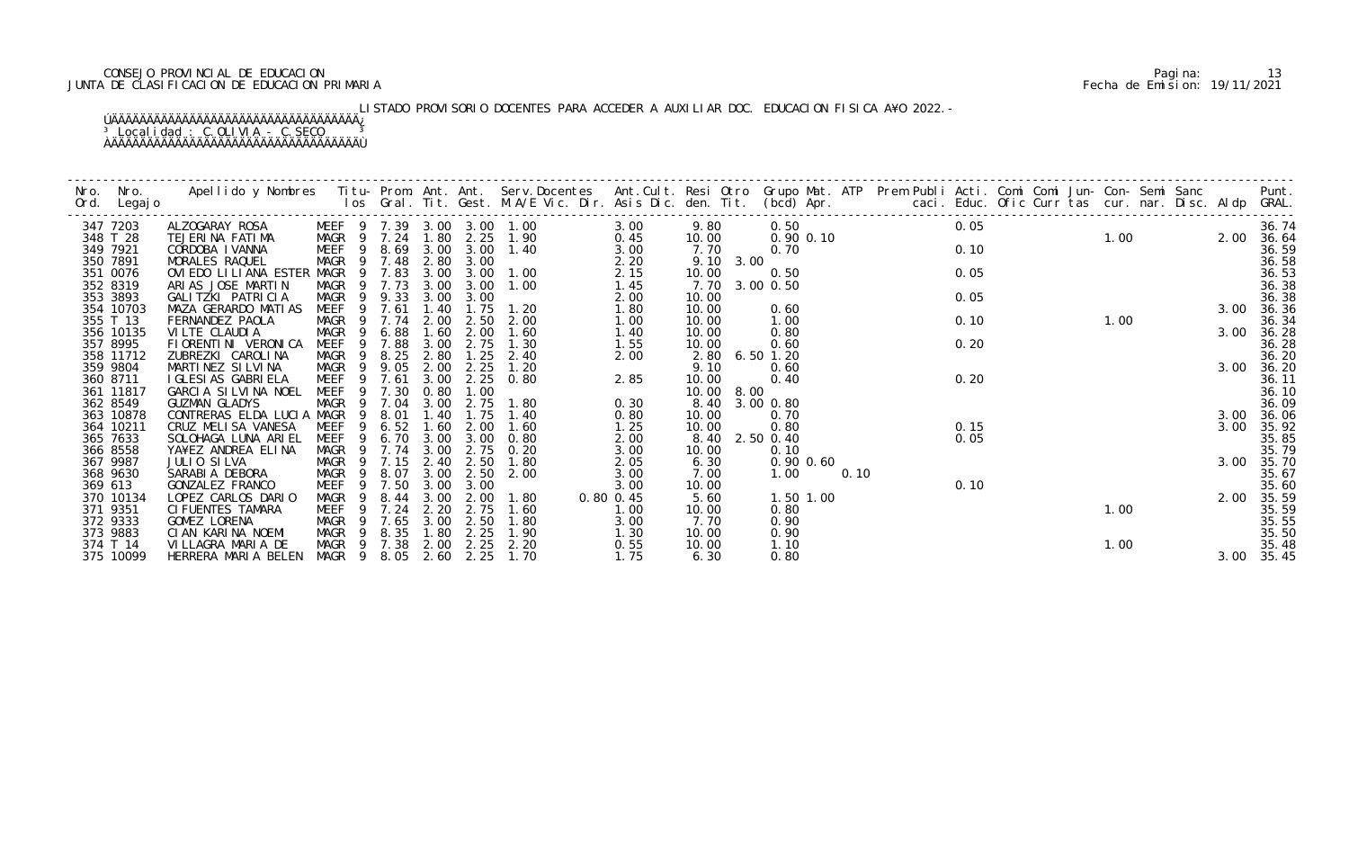## CONSEJO PROVINCIAL DE EDUCACION Pagina: 13 JUNTA DE CLASIFICACION DE EDUCACION PRIMARIA Fecha de Emision: 19/11/2021

# LISTADO PROVISORIO DOCENTES PARA ACCEDER A AUXILIAR DOC. EDUCACION FISICA A¥O 2022.-

| Nro.    | Nro.<br>Ord. Legajo  | Apellido y Nombres  Titu- Prom. Ant. Ant. Serv.Docentes  Ant.Cult. Resi Otro  Grupo Mat. ATP  Prem Publi Acti. Comi Comi Jun- Con- Semi Sanc                    Punt.<br>Ios Gral. Tit. Gest. M.A/E Vic. Dir. Asis Dic. den. Tit. |                       |     |                |              |                        |                            |              |                   |           |                       |                                |  |      |  |      |      |  |      |                |
|---------|----------------------|-----------------------------------------------------------------------------------------------------------------------------------------------------------------------------------------------------------------------------------|-----------------------|-----|----------------|--------------|------------------------|----------------------------|--------------|-------------------|-----------|-----------------------|--------------------------------|--|------|--|------|------|--|------|----------------|
|         | 347 7203             | ALZOGARAY ROSA                                                                                                                                                                                                                    |                       |     |                |              |                        | MEEF 9 7.39 3.00 3.00 1.00 | 3.00         | 9.80              |           |                       | 0. 50<br>0. 90  0. 10<br>0. 70 |  | 0.05 |  |      |      |  |      | 36.74          |
|         | 348 T 28             | TEJERINA FATIMA                                                                                                                                                                                                                   | MAGR 9 7.24           |     |                |              | 1.80 2.25              | 1.90                       | 0.45         | 10.00             |           |                       |                                |  | 0.10 |  | 1.00 |      |  |      | 2.00 36.64     |
|         | 349 7921<br>350 7891 | CORDOBA I VANNA<br>MORALES RAQUEL                                                                                                                                                                                                 | MEEF                  | - 9 | 8.69<br>9 7.48 |              | 3.00 3.00<br>2.80 3.00 | 1.40                       | 3.00<br>2.20 | 7.70<br>9.10 3.00 |           |                       |                                |  |      |  |      |      |  |      | 36.59<br>36.58 |
|         | 351 0076             | OVIEDO LILIANA ESTER MAGR                                                                                                                                                                                                         | MAGR                  | - 9 | 7.83           | 3.00         | 3.00                   | 1.00                       | 2.15         | 10.00             |           | 0.50                  |                                |  | 0.05 |  |      |      |  |      | 36.53          |
|         | 352 8319             | ARIAS JOSE MARTIN                                                                                                                                                                                                                 | MAGR 9                |     | 7.73           | 3.00         | 3.00                   | 1.00                       | 1.45         | 7.70 3.00 0.50    |           |                       |                                |  |      |  |      |      |  |      | 36.38          |
|         | 353 3893             | GALITZKI PATRICIA                                                                                                                                                                                                                 | MAGR                  |     | 9 9.33         | 3.00         | 3.00                   |                            | 2.00         | 10.00             |           |                       |                                |  | 0.05 |  |      |      |  |      | 36.38          |
|         | 354 10703            | MAZA GERARDO MATIAS                                                                                                                                                                                                               | MEEF                  | 9   | 7.61           | 1.40         | 1.75                   | 1.20                       | 1.80         | 10.00             |           | 0.60                  |                                |  |      |  |      |      |  |      | 3.00 36.36     |
|         | 355 T 13             | FERNANDEZ PAOLA                                                                                                                                                                                                                   | MAGR                  | - 9 | 7.74           | 2.00         | 2.50                   | 2.00                       | 1.00         | 10.00             |           | 1.00                  |                                |  | 0.10 |  |      | 1.00 |  |      | 36.34          |
|         | 356 10135            | VILTE CLAUDIA                                                                                                                                                                                                                     | MAGR                  |     | 6.88           | 1.60         | 2.00                   | 1.60                       | 1.40         | 10.00             |           | 0.80                  |                                |  |      |  |      |      |  | 3.00 | 36.28          |
|         | 357 8995             | FI ORENTI NI VERONI CA                                                                                                                                                                                                            | <b>MEEF</b>           | -9  | 7.88           | 3.00         | 2.75                   | 1.30                       | 1.55         | 10.00             |           | 0.60                  |                                |  | 0.20 |  |      |      |  |      | 36.28          |
|         | 358 11712            | ZUBREZKI CAROLINA                                                                                                                                                                                                                 | MAGR                  | - 9 | 8.25           | 2.80         | 1.25                   | 2.40                       | 2.00         | 2.80              | 6.50 1.20 |                       |                                |  |      |  |      |      |  |      | 36.20          |
|         | 359 9804             | MARTINEZ SILVINA                                                                                                                                                                                                                  | MAGR                  | - 9 | 9.05           | 2.00         | 2.25                   | 1.20                       |              | 9.10              |           | 0.60                  |                                |  |      |  |      |      |  |      | 3.00 36.20     |
|         | 360 8711             | I GLESI AS GABRI ELA                                                                                                                                                                                                              | MEEF                  | - 9 | 7.61           | 3.00         | 2.25                   | 0.80                       | 2.85         | 10.00             |           | 0.40                  |                                |  | 0.20 |  |      |      |  |      | 36.11          |
|         | 361 11817            | GARCIA SILVINA NOEL                                                                                                                                                                                                               | MEEF                  | 9   | 7.30           | 0.80         | 1.00                   |                            |              | 10.00 8.00        |           |                       |                                |  |      |  |      |      |  |      | 36.10          |
|         | 362 8549             | <b>GUZMAN GLADYS</b>                                                                                                                                                                                                              | MAGR                  |     | 9 7.04         | 3.00         | 2.75                   | 1.80                       | 0.30         | 8.40              | 3.00 0.80 |                       |                                |  |      |  |      |      |  |      | 36.09          |
|         | 363 10878            | CONTRERAS ELDA LUCIA MAGR                                                                                                                                                                                                         |                       | 9   | 8.01           | 1.40         | l. 75                  | 1.40                       | 0.80         | 10.00             |           | 0.70                  |                                |  |      |  |      |      |  | 3.00 | 36.06          |
|         | 364 10211            | CRUZ MELISA VANESA                                                                                                                                                                                                                | MEEF                  |     | 6.52           | 1.60         | 2.00                   | 1.60                       | 1.25         | 10.00             |           | 0.80                  |                                |  | 0.15 |  |      |      |  | 3.00 | 35.92          |
|         | 365 7633             | SOLOHAGA LUNA ARIEL                                                                                                                                                                                                               | MEEF                  | -9  | 6.70           | 3.00         | 3.00                   | 0.80                       | 2.00         | 8.40 2.50 0.40    |           |                       |                                |  | 0.05 |  |      |      |  |      | 35.85          |
|         | 366 8558             | YA¥EZ ANDREA ELINA                                                                                                                                                                                                                | MAGR 9 7.74           |     |                | 3.00         | 2.75                   | 0. 20<br>1.80              | 3.00         | 10.00             |           | 0.10                  |                                |  |      |  |      |      |  |      | 35.79          |
|         | 367 9987<br>368 9630 | JULIO SILVA                                                                                                                                                                                                                       | MAGR 9                | - 9 | 7.15           | 2.40<br>3.00 | 2.50<br>2.50           | 2.00                       | 2.05         | 6.30              |           | $0.90$ $0.60$<br>1.00 | 0.10                           |  |      |  |      |      |  |      | 3.00 35.70     |
| 369 613 |                      | SARABI A DEBORA<br>GONZALEZ FRANCO                                                                                                                                                                                                | MAGR<br>MEEF          | -9  | 8.07<br>7.50   | 3.00         | 3.00                   |                            | 3.00<br>3.00 | 7.00<br>10.00     |           |                       |                                |  | 0.10 |  |      |      |  |      | 35.67<br>35.60 |
|         | 370 10134            | LOPEZ CARLOS DARIO                                                                                                                                                                                                                | MAGR                  | - 9 | 8.44           | 3.00         | 2.00                   | 1.80                       | 0.80 0.45    | 5.60              |           | 1.50 1.00             |                                |  |      |  |      |      |  | 2.00 | 35.59          |
|         | 371 9351             | CI FUENTES TAMARA                                                                                                                                                                                                                 | MEEF                  |     | 7.24           | 2.20         | 2.75                   | 1.60                       | 1.00         | 10.00             |           | 0.80                  |                                |  |      |  |      | 1.00 |  |      | 35.59          |
|         | 372 9333             | GOMEZ LORENA                                                                                                                                                                                                                      | MAGR 9                |     | 7.65           | 3.00         | 2.50                   | 1.80                       | 3.00         | 7.70              |           | 0.90                  |                                |  |      |  |      |      |  |      | 35.55          |
|         | 373 9883             | CIAN KARINA NOEMI                                                                                                                                                                                                                 | MAGR 9                |     | 8.35           | 1.80         | 2.25                   | 1.90                       | 1.30         | 10.00             |           | 0.90                  |                                |  |      |  |      |      |  |      | 35.50          |
|         | 374 T 14             | VILLAGRA MARIA DE                                                                                                                                                                                                                 | MAGR 9 7.38           |     |                | 2.00         | 2.25                   | 2.20                       | 0.55         | 10.00             |           | 1.10                  |                                |  |      |  |      | 1.00 |  |      | 35.48          |
|         | 375 10099            | HERRERA MARIA BELEN                                                                                                                                                                                                               | MAGR 9 8.05 2.60 2.25 |     |                |              |                        | 1.70                       | 1.75         | 6.30              |           | 0.80                  |                                |  |      |  |      |      |  |      | 3.00 35.45     |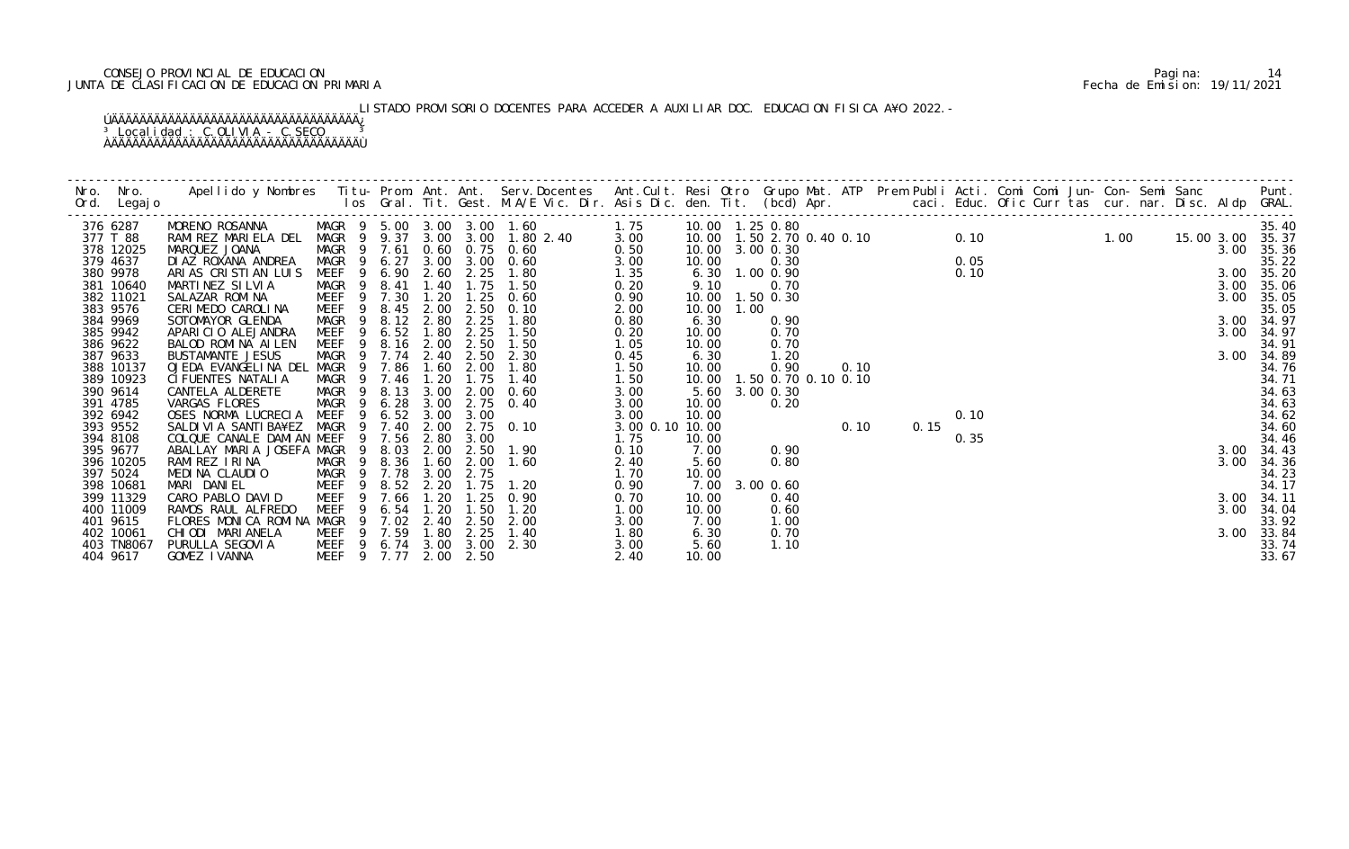## CONSEJO PROVINCIAL DE EDUCACION Pagina: 14 JUNTA DE CLASIFICACION DE EDUCACION PRIMARIA Fecha de Emision: 19/11/2021

LISTADO PROVISORIO DOCENTES PARA ACCEDER A AUXILIAR DOC. EDUCACION FISICA A¥O 2022.-

|                        |                                      |                        |                                                          |              |      |                   |                 |               |           |  |  |  |  |  |            | Punt.              |
|------------------------|--------------------------------------|------------------------|----------------------------------------------------------|--------------|------|-------------------|-----------------|---------------|-----------|--|--|--|--|--|------------|--------------------|
|                        |                                      |                        |                                                          |              |      |                   |                 |               |           |  |  |  |  |  |            |                    |
| 376 6287               |                                      |                        |                                                          |              |      |                   |                 |               |           |  |  |  |  |  |            | 35.40              |
| 377 T 88               |                                      |                        |                                                          |              |      |                   |                 |               |           |  |  |  |  |  | 15.00 3.00 | 35.37              |
| 378 12025<br>379 4637  | MARQUEZ JOANA<br>DI AZ ROXANA ANDREA |                        | MAGR 9 7.61 0.60 0.75 0.60<br>MAGR 9 6.27 3.00 3.00 0.60 |              |      |                   | 0.50<br>3.00    |               |           |  |  |  |  |  |            | 35.36<br>35.22     |
| 380 9978               | ARIAS CRISTIAN LUIS                  |                        | MEEF 9 6.90                                              |              |      | 2.60 2.25 1.80    | 1.35            |               |           |  |  |  |  |  |            | 35.20              |
| 381 10640              | MARTINEZ SILVIA                      | MAGR 9 8.41            |                                                          | 1.40         |      | $1.75$ $1.50$     | 0.20            |               |           |  |  |  |  |  |            | 35.06              |
| 382 11021              | SALAZAR ROMINA                       |                        | MEEF 9 7.30                                              | 1.20         | 1.25 | 0.60              | 0.90            |               |           |  |  |  |  |  |            | 35.05              |
| 383 9576               | CERIMEDO CAROLINA                    | MEEF <sub>9</sub>      | 8.45                                                     | 2.00         |      | $2.50 \quad 0.10$ | 2.00            |               |           |  |  |  |  |  |            | 35.05              |
| 384 9969               | SOTOMAYOR GLENDA                     | MAGR<br>9              | 8.12 2.80                                                |              | 2.25 | 1.80              | 0.80            |               |           |  |  |  |  |  |            | 34.97              |
| 385 9942               | APARICIO ALEJANDRA                   | MEEF<br>$\overline{9}$ | 6.52                                                     | 1.80         | 2.25 | 1.50              | 0.20            |               |           |  |  |  |  |  |            | 3.00 34.97         |
| 386 9622               | BALOD ROMINA AILEN                   | MEEF                   | 9 8.16 2.00                                              |              |      | 2.50 1.50         | 1.05            |               |           |  |  |  |  |  |            | 34.91              |
| 387 9633               | <b>BUSTAMANTE JESUS</b>              |                        | MAGR 9 7.74 2.40 2.50 2.30                               |              |      |                   | 0.45            |               |           |  |  |  |  |  |            | 34.89              |
| 388 10137              | OJEDA EVANGELINA DEL MAGR 9 7.86     |                        |                                                          | 1.60         | 2.00 | 1.80              | 1.50            |               |           |  |  |  |  |  |            | 34.76              |
| 389 10923              | CI FUENTES NATALIA                   |                        | MAGR 9 7.46 1.20                                         |              | 1.75 | 1.40              | 1.50            |               |           |  |  |  |  |  |            | 34.71              |
| 390 9614<br>391 4785   | CANTELA ALDERETE<br>VARGAS FLORES    |                        | MAGR 9 8.13                                              | 3.00<br>3.00 | 2.00 | 0.60<br>2.75 0.40 | 3.00<br>3.00    |               |           |  |  |  |  |  |            | 34.63<br>34.63     |
| 392 6942               | OSES NORMA LUCRECIA                  | $\overline{9}$<br>MEEF | MAGR 9 6.28<br>6.52                                      | 3.00         | 3.00 |                   | 3.00            |               |           |  |  |  |  |  |            |                    |
| 393 9552               | SALDI VI A SANTI BA¥EZ               | MAGR                   | 9 7.40                                                   | 2.00         |      | 2.75 0.10         | 3.00 0.10 10.00 |               |           |  |  |  |  |  |            | $34.62$<br>$34.60$ |
| 394 8108               | COLQUE CANALE DAMIAN MEEF            |                        | 9 7.56                                                   | 2.80         | 3.00 |                   | 1.75            |               |           |  |  |  |  |  |            | 34.46              |
| 395 9677               | ABALLAY MARIA JOSEFA MAGR 9 8.03     |                        |                                                          |              |      | 2.00 2.50 1.90    | 0.10            |               |           |  |  |  |  |  |            | 34.43              |
| 396 10205              | RAMIREZ IRINA                        | MAGR 9                 | 8.36                                                     | 1.60         | 2.00 | 1.60              | 2.40            | 5.60          | 0.80      |  |  |  |  |  | 3.00       | 34.36              |
| 397 5024               | MEDINA CLAUDIO                       |                        | MAGR 9 7.78                                              | 3.00         | 2.75 |                   | 1.70            | 10.00         |           |  |  |  |  |  |            | 34.23              |
| 398 10681              | MARI DANIEL                          | MEEF                   | 9 8.52                                                   | 2.20         | 1.75 | 1.20              | 0.90            | 7.00          | 3.00 0.60 |  |  |  |  |  |            | 34.17              |
| 399 11329              | CARO PABLO DAVID                     | MEEF<br>9              | 7.66                                                     | 1.20         | 1.25 | 0.90              | 0.70            | 10.00         | 0.40      |  |  |  |  |  | 3.00       | 34.11              |
| 400 11009              | RAMOS RAUL ALFREDO                   | MEEF<br>9              | 6.54                                                     | 1.20         | 1.50 | 1.20              | 1.00            | 10.00         | 0.60      |  |  |  |  |  | 3.00       | 34.04              |
| 401 9615               | FLORES MONICA ROMINA MAGR            |                        | 9 7.02                                                   | 2.40         |      | 2.50 2.00         | 3.00            | 7.00          | 1.00      |  |  |  |  |  |            | 33.92              |
| 402 10061              | CHIODI MARIANELA<br>PURULLA SEGOVIA  |                        | MEEF 9 7.59 1.80<br>MEEF 9 6.74 3.00 3.00 2.30           |              | 2.25 | 1.40              | 1.80            | 6.30          | 0.70      |  |  |  |  |  |            | 3.00 33.84         |
| 403 TN8067<br>404 9617 | GOMEZ IVANNA                         |                        | MEEF 9 7.77 2.00 2.50                                    |              |      |                   | 3.00<br>2.40    | 5.60<br>10.00 | 1.10      |  |  |  |  |  |            | 33.74<br>33.67     |
|                        |                                      |                        |                                                          |              |      |                   |                 |               |           |  |  |  |  |  |            |                    |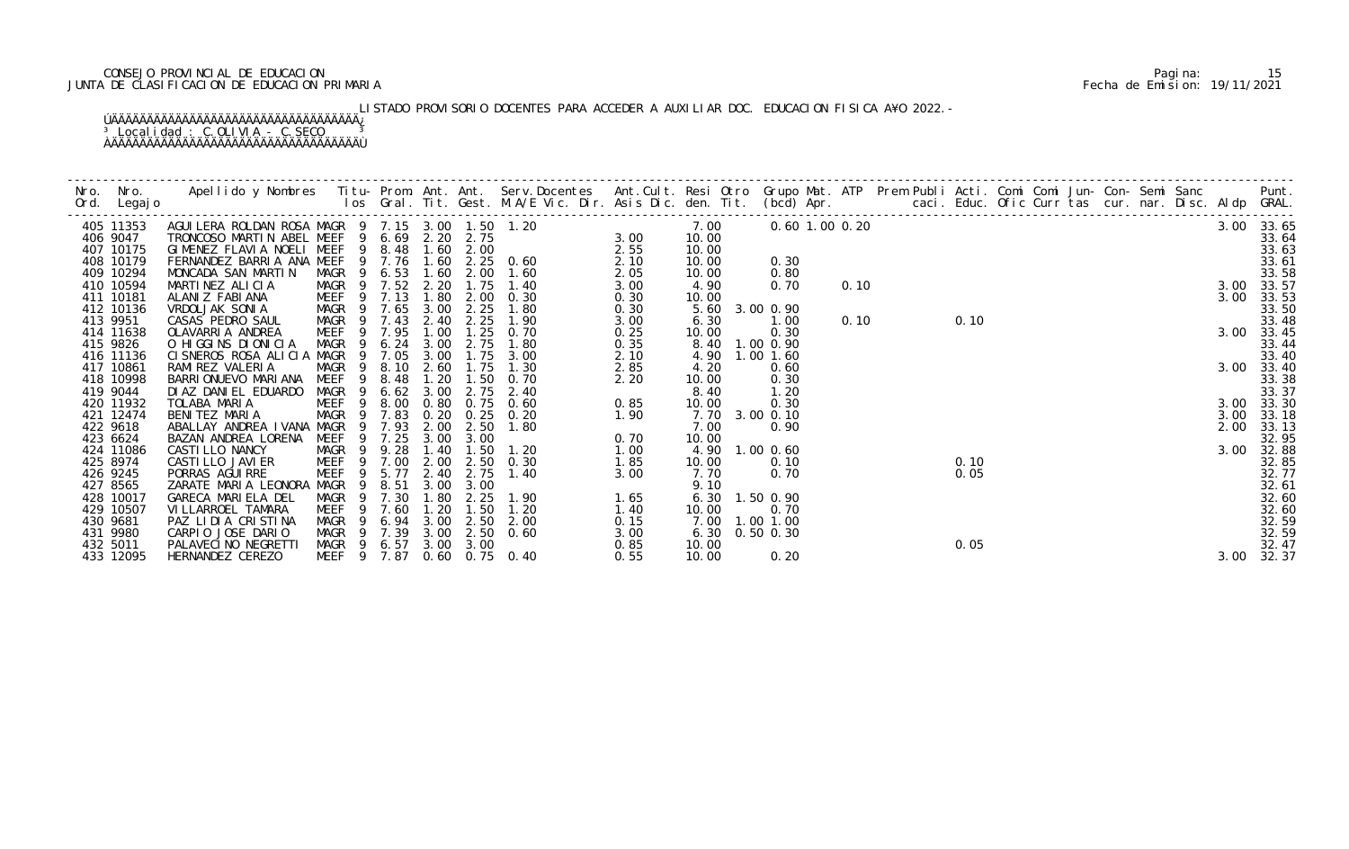## CONSEJO PROVINCIAL DE EDUCACION Pagina: 15 JUNTA DE CLASIFICACION DE EDUCACION PRIMARIA Fecha de Emision: 19/11/2021

LISTADO PROVISORIO DOCENTES PARA ACCEDER A AUXILIAR DOC. EDUCACION FISICA A¥O 2022.-

| Nro. Nro.<br>Ord. Legajo | Apellido y Nombres Titu- Prom. Ant. Ant. Serv.Docentes Ant.Cult. Resi Otro Grupo Mat. ATP Prem Publi Acti. Comi Comi Jun- Con- Semi Sanc Punt.<br>Ios Gral. Tit. Gest. M.A/E Vic. Dir. Asis Dic. den. Tit. (bcd) Apr.                  |                        |              |              |                   |                |      |               |                |                |      |  |      |  |  |  |      |                |
|--------------------------|----------------------------------------------------------------------------------------------------------------------------------------------------------------------------------------------------------------------------------------|------------------------|--------------|--------------|-------------------|----------------|------|---------------|----------------|----------------|------|--|------|--|--|--|------|----------------|
| 405 11353                | 4GUILERA ROLDAN ROSA MAGR 9 7.15 3.00 1.50 1.20<br>TRONCOSO MARTIN ABEL MEEF 9 6.69 2.20 2.75 3.00<br>GIMENEZ FLAVIA NOELI MEEF 9 8.48 1.60 2.00 2.55<br>FERNANDEZ BARRIA ANA MEEF 9 7.76 1.60 2.25 0.60 2.10<br>MONCADA SAN MARTIN MA |                        |              |              |                   |                |      | 7.00          |                | 0.60 1.00 0.20 |      |  |      |  |  |  |      | 3.00 33.65     |
| 406 9047                 |                                                                                                                                                                                                                                        |                        |              |              |                   |                |      | 10.00         |                |                |      |  |      |  |  |  |      | 33.64          |
| 407 10175                |                                                                                                                                                                                                                                        |                        |              |              |                   |                |      | 10.00         |                |                |      |  |      |  |  |  |      | 33.63          |
| 408 10179                |                                                                                                                                                                                                                                        |                        |              |              |                   |                |      | 10.00         | 0.30           |                |      |  |      |  |  |  |      | 33.61          |
| 409 10294                |                                                                                                                                                                                                                                        |                        |              |              |                   |                |      | 10.00         | 0.80           |                |      |  |      |  |  |  |      | 33.58          |
| 410 10594                | MARTINEZ ALICIA                                                                                                                                                                                                                        | MAGR 9 7.52 2.20       |              |              |                   | $1.75$ $1.40$  | 3.00 | 4.90          | 0.70           |                | 0.10 |  |      |  |  |  |      | 3.00 33.57     |
| 411 10181                | ALANIZ FABIANA                                                                                                                                                                                                                         | MEEF 9 7.13            |              | 1.80         | 2.00              | 0.30           | 0.30 | 10.00         |                |                |      |  |      |  |  |  |      | 3.00 33.53     |
| 412 10136                | VRDOLJAK SONIA                                                                                                                                                                                                                         | MAGR 9 7.65            |              | 3.00         | 2.25              | 1.80           | 0.30 |               | 5.60 3.00 0.90 |                |      |  |      |  |  |  |      | 33.50          |
| 413 9951                 | CASAS PEDRO SAUL                                                                                                                                                                                                                       | MAGR 9 7.43 2.40 2.25  |              |              |                   | 1.90           | 3.00 | 6.30          | 1.00           |                | 0.10 |  | 0.10 |  |  |  |      | 33.48          |
| 414 11638                | OLAVARRIA ANDREA                                                                                                                                                                                                                       | MEEF<br>$\overline{9}$ | 7.95         | 1.00         | 1.25              | 0.70           | 0.25 | 10.00         | 0.30           |                |      |  |      |  |  |  |      | 3.00 33.45     |
| 415 9826                 | O HIGGINS DIONICIA                                                                                                                                                                                                                     | MAGR 9                 | 6.24         | 3.00         | 2.75              | 1.80           | 0.35 |               | 8.40 1.00 0.90 |                |      |  |      |  |  |  |      | 33.44          |
| 416 11136                | CISNEROS ROSA ALICIA MAGR                                                                                                                                                                                                              | - 9                    | 7.05         | 3.00         | 1.75              | 3.00           | 2.10 |               | 4.90 1.00 1.60 |                |      |  |      |  |  |  |      | 33.40          |
| 417 10861                | RAMI REZ VALERIA                                                                                                                                                                                                                       | MAGR<br>- 9            | 8.10         | 2.60         | 1.75              | 1.30           | 2.85 | 4.20          | 0.60           |                |      |  |      |  |  |  |      | 3.00 33.40     |
| 418 10998                | BARRI ONUEVO MARI ANA                                                                                                                                                                                                                  | MEEF                   | 8.48         | 1.20         | $\overline{.50}$  | 0.70           | 2.20 | 10.00         | 0.30           |                |      |  |      |  |  |  |      | 33.38          |
| 419 9044                 | DI AZ DANI EL EDUARDO                                                                                                                                                                                                                  | MAGR 9                 | 6.62         | 3.00         | 2.75              | 2.40           |      | 8.40          | 1.20           |                |      |  |      |  |  |  |      | 33.37          |
| 420 11932                | TOLABA MARIA                                                                                                                                                                                                                           | MEEF <sub>9</sub>      | 8.00         |              |                   | 0.80 0.75 0.60 | 0.85 | 10.00         | 0.30           |                |      |  |      |  |  |  |      | 3.00 33.30     |
| 421 12474                | BENITEZ MARIA                                                                                                                                                                                                                          | MAGR 9 7.83            |              |              | $0.20 \quad 0.25$ | 0. 20          | 1.90 |               | 7.70 3.00 0.10 |                |      |  |      |  |  |  | 3.00 | 33.18          |
| 422 9618                 | ABALLAY ANDREA IVANA MAGR                                                                                                                                                                                                              |                        | 7.93         | 2.00         | 2.50              | 1.80           |      | 7.00          | 0.90           |                |      |  |      |  |  |  | 2.00 | 33.13          |
| 423 6624                 | BAZAN ANDREA LORENA                                                                                                                                                                                                                    | MEEF                   | 9 7.25       | 3.00         | 3.00              |                | 0.70 | 10.00         |                |                |      |  |      |  |  |  |      | 32.95          |
| 424 11086                | CASTI LLO NANCY                                                                                                                                                                                                                        | MAGR 9 9.28            |              | 1.40<br>2.00 | 1.50<br>2.50      | 1. 20          | 1.00 |               | 4.90 1.00 0.60 |                |      |  |      |  |  |  | 3.00 | 32.88          |
| 425 8974                 | CASTI LLO JAVI ER                                                                                                                                                                                                                      | MEEF 9 7.00            |              | 2.40         | 2.75              | 0.30<br>1.40   | 1.85 | 10.00<br>7.70 | 0.10<br>0.70   |                |      |  | 0.10 |  |  |  |      | 32.85          |
| 426 9245                 | PORRAS AGUI RRE                                                                                                                                                                                                                        | MEEF                   | 5.77         |              |                   |                | 3.00 |               |                |                |      |  | 0.05 |  |  |  |      | 32.77<br>32.61 |
| 427 8565<br>428 10017    | ZARATE MARIA LEONORA MAGR 9<br>GARECA MARIELA DEL                                                                                                                                                                                      | MAGR<br>$\overline{9}$ | 8.51<br>7.30 | 3.00<br>1.80 | 3.00<br>2.25      | 1.90           | 1.65 | 9.10          | 6.30 1.50 0.90 |                |      |  |      |  |  |  |      | 32.60          |
| 429 10507                | VI LLARROEL TAMARA                                                                                                                                                                                                                     | MEEF<br>- 9            | 7.60         | 1.20         | 1.50              | 1.20           | 1.40 | 10.00         | 0.70           |                |      |  |      |  |  |  |      | 32.60          |
| 430 9681                 | PAZ LIDIA CRISTINA                                                                                                                                                                                                                     | MAGR<br>- 9            | 6.94         | 3.00         | 2.50              | 2.00           | 0.15 |               | 7.00 1.00 1.00 |                |      |  |      |  |  |  |      | 32.59          |
| 431 9980                 | CARPIO JOSE DARIO                                                                                                                                                                                                                      | MAGR 9 7.39            |              |              |                   | 3.00 2.50 0.60 | 3.00 |               | 6.30 0.50 0.30 |                |      |  |      |  |  |  |      | 32.59          |
| 432 5011                 | PALAVECINO NEGRETTI                                                                                                                                                                                                                    | MAGR 9 6.57 3.00 3.00  |              |              |                   |                | 0.85 | 10.00         |                |                |      |  | 0.05 |  |  |  |      | 32.47          |
| 433 12095                | HERNANDEZ CEREZO                                                                                                                                                                                                                       | MEEF 9 7.87            |              |              |                   | 0.60 0.75 0.40 | 0.55 | 10.00         | 0.20           |                |      |  |      |  |  |  |      | 3.00 32.37     |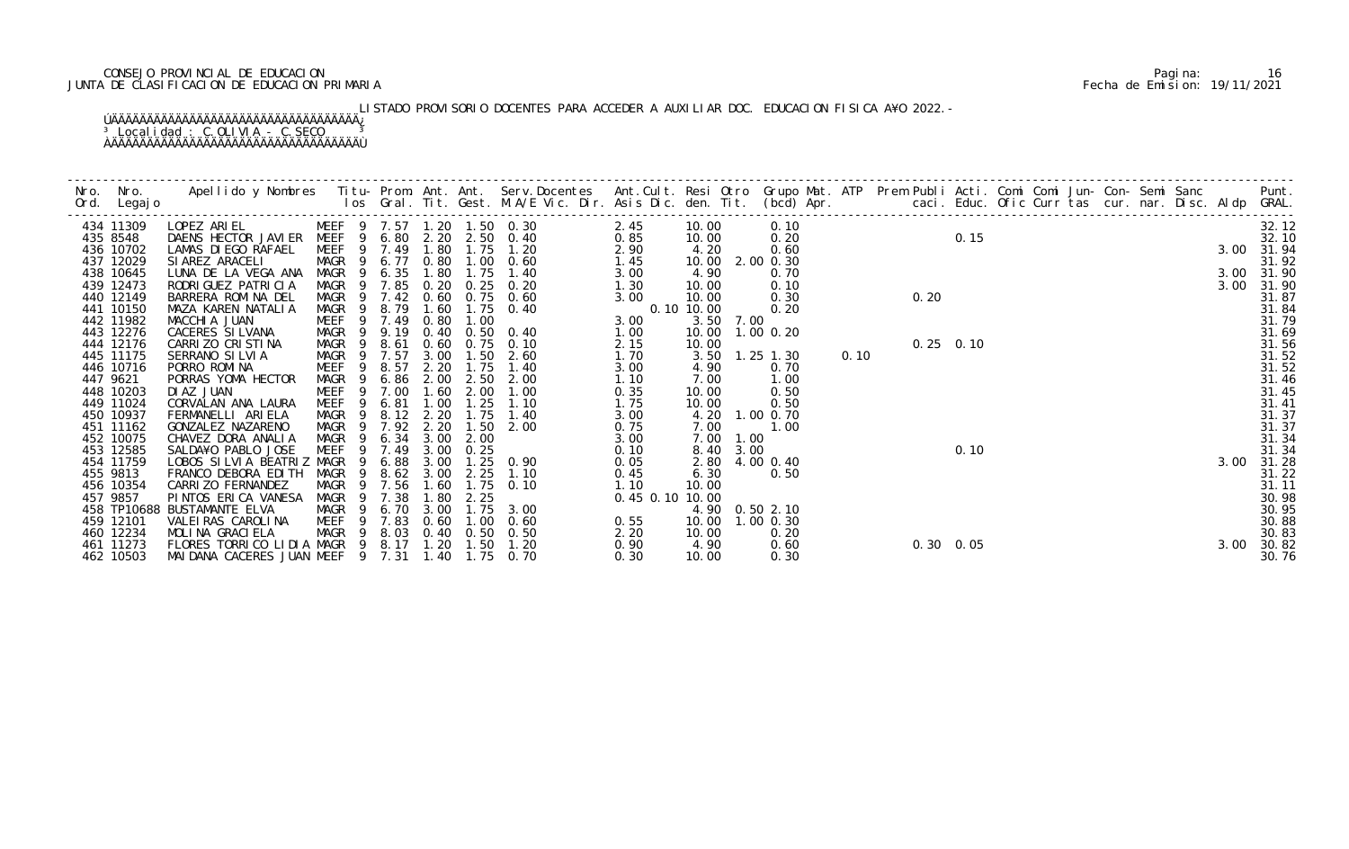## CONSEJO PROVINCIAL DE EDUCACION Pagina: 16 JUNTA DE CLASIFICACION DE EDUCACION PRIMARIA Fecha de Emision: 19/11/2021

LISTADO PROVISORIO DOCENTES PARA ACCEDER A AUXILIAR DOC. EDUCACION FISICA A¥O 2022.-

| 434 11309   | LOPEZ ARIEL MEEF 9 7.57 1.20 1.50 0.30         |                            |                        |           |             |      |                   | 2.45            | 10.00      |           | 0.10              |      |                   |      |  |  |  |      | 32.12      |
|-------------|------------------------------------------------|----------------------------|------------------------|-----------|-------------|------|-------------------|-----------------|------------|-----------|-------------------|------|-------------------|------|--|--|--|------|------------|
| 435 8548    | DAENS HECTOR JAVIER MEEF 9 6.80 2.20 2.50 0.40 |                            |                        |           |             |      |                   | 0.85            | 10.00      |           | 0.20              |      |                   | 0.15 |  |  |  |      | 32.10      |
| 436 10702   | LAMAS DI EGO RAFAEL                            | MEEF 9 7.49 1.80           |                        |           |             |      | 1.75 1.20         | 2.90            | 4.20       |           | 0.60              |      |                   |      |  |  |  |      | 3.00 31.94 |
| 437 12029   | SIAREZ ARACELI                                 | MAGR 9 6.77 0.80 1.00 0.60 |                        |           |             |      |                   | 1.45            | 10.00      |           | 2.00 0.30         |      |                   |      |  |  |  |      | 31.92      |
| 438 10645   | LUNA DE LA VEGA ANA                            | MAGR 9                     | 6.35                   | 1.80      |             | 1.75 | 1.40              | 3.00            | 4.90       |           | 0.70              |      |                   |      |  |  |  |      | 3.00 31.90 |
| 439 12473   | RODRI GUEZ PATRI CI A                          | MAGR 9 7.85                |                        |           |             |      | 0.20 0.25 0.20    | 1.30            | 10.00      |           | 0.10              |      |                   |      |  |  |  | 3.00 | 31.90      |
| 440 12149   | BARRERA ROMINA DEL                             | MAGR 9 7.42                |                        |           |             |      | 0.60 0.75 0.60    | 3.00            | 10.00      |           | 0.30              |      | 0.20              |      |  |  |  |      | 31.87      |
| 441 10150   | MAZA KAREN NATALIA                             | MAGR <sub>9</sub>          | 8.79                   | 1.60      |             |      | $1.75$ 0.40       |                 | 0.10 10.00 |           | 0.20              |      |                   |      |  |  |  |      | 31.84      |
| 442 11982   | MACCHIA JUAN                                   | MEEF 9 7.49 0.80           |                        |           |             | 1.00 |                   | 3.00            |            | 3.50 7.00 |                   |      |                   |      |  |  |  |      | 31.79      |
| 443 12276   | CACERES SI LVANA                               | MAGR 9 9.19                |                        |           |             |      | 0.40 0.50 0.40    | 1.00            |            |           | 10.00  1.00  0.20 |      |                   |      |  |  |  |      | 31.69      |
| 444 12176   | CARRIZO CRISTINA                               | MAGR 9                     | 8.61                   |           |             |      | 0.60 0.75 0.10    | 2.15            | 10.00      |           |                   |      | $0.25$ 0.10       |      |  |  |  |      | 31.56      |
| 445 11175   | SERRANO SILVIA                                 | MAGR 9 7.57                |                        |           |             |      | 3.00 1.50 2.60    | 1.70            |            |           | 3.50 1.25 1.30    | 0.10 |                   |      |  |  |  |      | 31.52      |
| 446 10716   | PORRO ROMINA                                   | MEEF                       | 8.57<br>9              | 2.20      |             | 1.75 | 1.40              | 3.00            | 4.90       |           | 0.70              |      |                   |      |  |  |  |      | 31.52      |
| 447 9621    | PORRAS YOMA HECTOR                             | MAGR 9                     | 6.86                   | 2.00      |             |      | 2.50 2.00         | 1.10            | 7.00       |           | 1.00              |      |                   |      |  |  |  |      | 31.46      |
| 448 10203   | DI AZ JUAN                                     | MEEF 9 7.00                |                        | 1.60      |             | 2.00 | 1.00              | 0.35            | 10.00      |           | 0.50              |      |                   |      |  |  |  |      | 31.45      |
| 449 11024   | CORVALAN ANA LAURA                             | <b>MEEF</b>                | 6.81<br>- 9            | 1.00      |             | 1.25 | 1.10              | 1.75            | 10.00      |           | 0.50              |      |                   |      |  |  |  |      | 31.41      |
| 450 10937   | FERMANELLI ARIELA                              | MAGR<br>- 9                |                        | 8.12 2.20 |             | 1.75 | 1.40              | 3.00            |            | 4.20      | 1.00 0.70         |      |                   |      |  |  |  |      | 31.37      |
| 451 11162   | GONZALEZ NAZARENO                              | MAGR 9 7.92 2.20           |                        |           |             |      | $1.50$ $2.00$     | 0.75            | 7.00       |           | 1.00              |      |                   |      |  |  |  |      | 31.37      |
| 452 10075   | CHAVEZ DORA ANALIA                             | MAGR 9 6.34 3.00           |                        |           |             | 2.00 |                   | 3.00            | 7.00       | 1.00      |                   |      |                   |      |  |  |  |      | 31.34      |
| 453 12585   | SALDA¥O PABLO JOSE                             | MEEF<br>9                  | 7.49                   | 3.00      |             | 0.25 |                   | 0.10            |            | 8.40 3.00 |                   |      |                   | 0.10 |  |  |  |      | 31.34      |
| 454 11759   | LOBOS SILVIA BEATRIZ MAGR                      |                            | 6.88                   | 3.00      |             |      | $1.25 \quad 0.90$ | 0.05            |            |           | 2.80 4.00 0.40    |      |                   |      |  |  |  |      | 3.00 31.28 |
| 455 9813    | FRANCO DEBORA EDITH                            | MAGR                       | 8.62<br>$\overline{9}$ | 3.00      |             | 2.25 | 1.10              | 0.45            | 6.30       |           | 0.50              |      |                   |      |  |  |  |      | 31.22      |
| 456 10354   | CARRIZO FERNANDEZ                              | MAGR                       | 9 7.56                 | 1.60      |             |      | $1.75$ 0.10       | 1.10            | 10.00      |           |                   |      |                   |      |  |  |  |      | 31.11      |
| 457 9857    | PINTOS ERICA VANESA                            | MAGR                       | 7.38<br>9              | 1.80      |             | 2.25 |                   | 0.45 0.10 10.00 |            |           |                   |      |                   |      |  |  |  |      | 30.98      |
| 458 TP10688 | BUSTAMANTE ELVA                                | MAGR 9                     |                        | 6.70 3.00 |             |      | 1.75 3.00         |                 |            |           | 4.90 0.50 2.10    |      |                   |      |  |  |  |      | 30.95      |
| 459 12101   | VALEI RAS CAROLI NA                            | MEEF 9 7.83                |                        |           | $0.60$ 1.00 |      | 0.60              | 0.55            |            |           | 10.00 1.00 0.30   |      |                   |      |  |  |  |      | 30.88      |
| 460 12234   | MOLINA GRACIELA                                | MAGR 9 8.03                |                        |           |             |      | 0.40 0.50 0.50    | 2.20            | 10.00      |           | 0.20              |      |                   |      |  |  |  |      | 30.83      |
| 461 11273   | FLORES TORRICO LIDIA MAGR 9 8.17               |                            |                        | 1.20      |             | 1.50 | 1.20              | 0.90            | 4.90       |           | 0.60              |      | $0.30 \quad 0.05$ |      |  |  |  | 3.00 | 30.82      |
| 462 10503   | MAIDANA CACERES JUAN MEEF 9 7.31               |                            |                        |           |             |      | 1.40 1.75 0.70    | 0.30            | 10.00      |           | 0.30              |      |                   |      |  |  |  |      | 30.76      |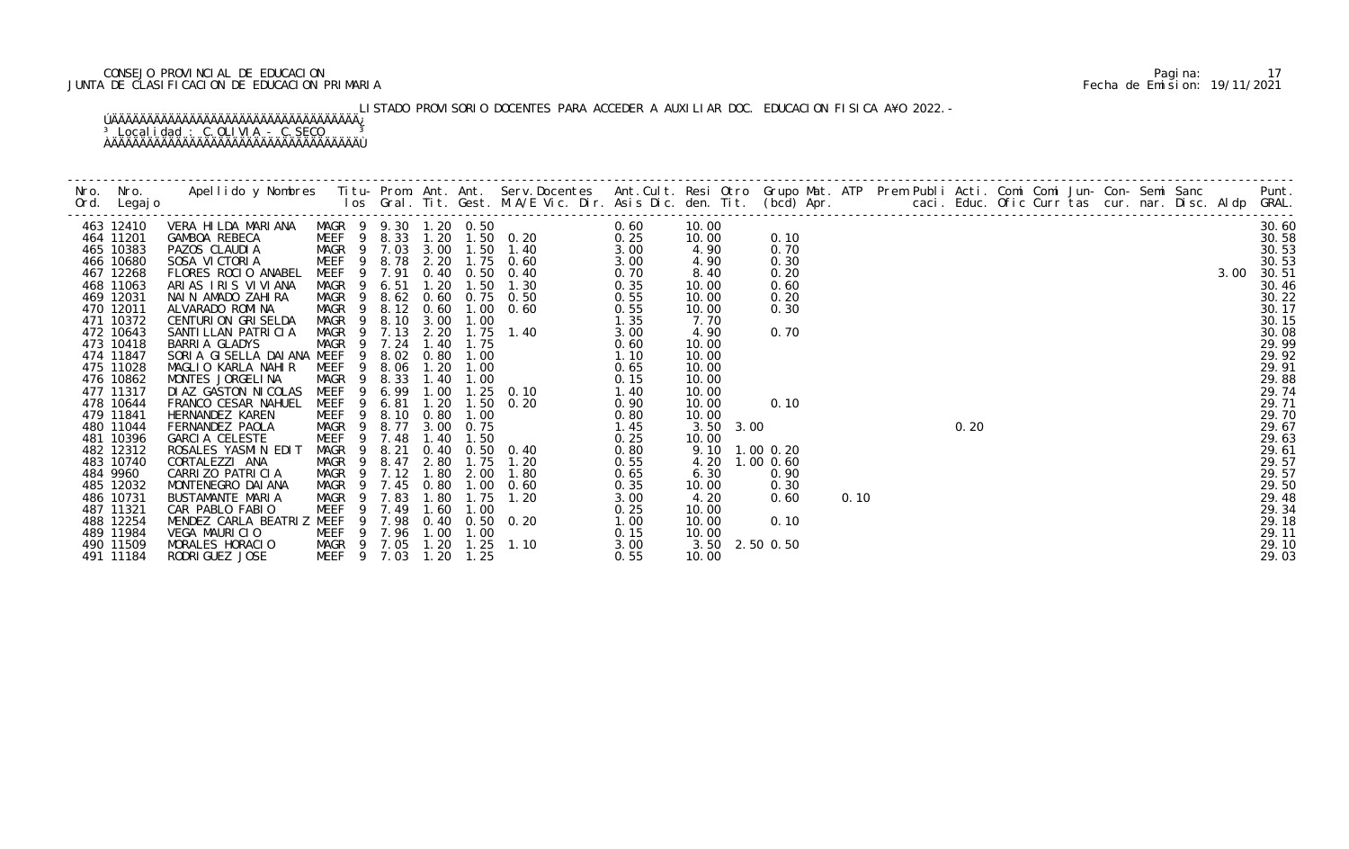## CONSEJO PROVINCIAL DE EDUCACION Pagina: 17 JUNTA DE CLASIFICACION DE EDUCACION PRIMARIA Fecha de Emision: 19/11/2021

# LISTADO PROVISORIO DOCENTES PARA ACCEDER A AUXILIAR DOC. EDUCACION FISICA A¥O 2022.-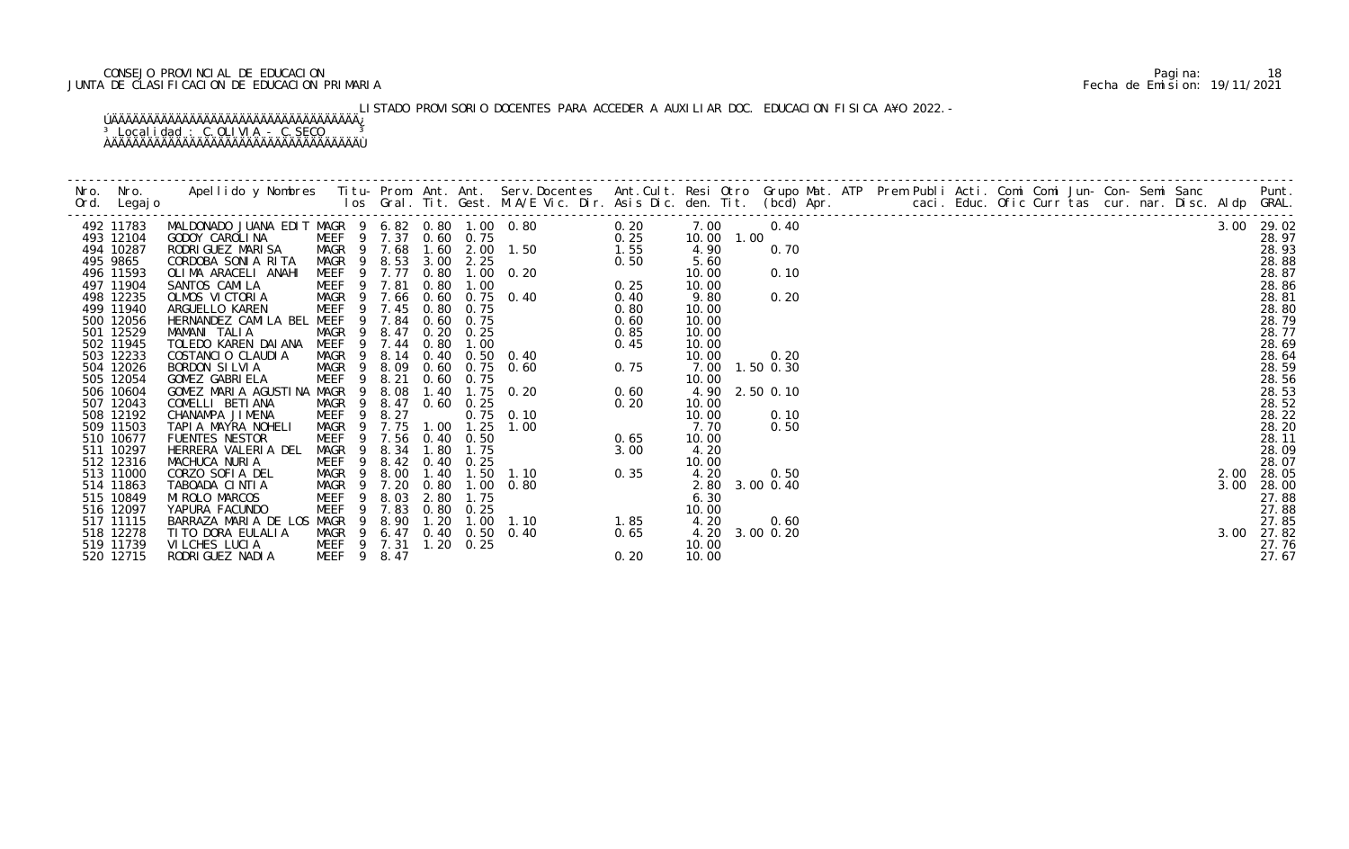## CONSEJO PROVINCIAL DE EDUCACION Pagina: 18 JUNTA DE CLASIFICACION DE EDUCACION PRIMARIA Fecha de Emision: 19/11/2021

LISTADO PROVISORIO DOCENTES PARA ACCEDER A AUXILIAR DOC. EDUCACION FISICA A¥O 2022.-

| 492 11783 |                             |                                        |                  |      |                   | 0.20                                                                                                                                                                                                                                                                                                 | 7.00           | 0.40 |  | $\frac{3000}{3000} = \frac{1000}{3000} = 0.011 - 0.035$<br>$\frac{200}{3000} = 0.011 - 0.035$<br>$\frac{200}{3000} = 0.011 - 0.035$<br>$\frac{200}{3000} = 0.011 - 0.035$<br>$\frac{200}{3000} = 0.011 - 0.035$ |  |  |  |      | 3.00 29.02 |
|-----------|-----------------------------|----------------------------------------|------------------|------|-------------------|------------------------------------------------------------------------------------------------------------------------------------------------------------------------------------------------------------------------------------------------------------------------------------------------------|----------------|------|--|-----------------------------------------------------------------------------------------------------------------------------------------------------------------------------------------------------------------|--|--|--|------|------------|
| 493 12104 |                             |                                        |                  |      |                   | $\begin{array}{cccccc} 2 & 0.80 & 1.00 & 0.80 & & & & 0.20 \ 0 & 0.60 & 0.75 & & & & 0.25 \ 3 & 1.60 & 2.00 & 1.50 & & & 1.55 \ 3.00 & 2.25 & & & 0.50 \ 0.80 & 1.00 & & & & 0.25 \ 0.80 & 1.00 & & & & 0.25 \ 0.60 & 0.75 & & & 0.40 & & & 0.40 \ 0.80 & 0.75 & & & & 0.60 \ 0.20 & 0.25 & & & 0.8$ | 10.00 1.00     |      |  |                                                                                                                                                                                                                 |  |  |  |      | 28.97      |
| 494 10287 | RODRI GUEZ MARI SA          | MAGR 9 7.68                            |                  |      |                   |                                                                                                                                                                                                                                                                                                      | 4.90           | 0.70 |  |                                                                                                                                                                                                                 |  |  |  |      | 28.93      |
| 495 9865  | CORDOBA SONIA RITA          | MAGR 9 8.53                            |                  |      |                   |                                                                                                                                                                                                                                                                                                      | 5.60           |      |  |                                                                                                                                                                                                                 |  |  |  |      | 28.88      |
| 496 11593 | OLIMA ARACELI ANAHI         | MEEF 9 7.77                            |                  |      |                   |                                                                                                                                                                                                                                                                                                      | 10.00          | 0.10 |  |                                                                                                                                                                                                                 |  |  |  |      | 28.87      |
| 497 11904 | SANTOS CAMILA               | MEEF 9 7.81                            |                  |      |                   |                                                                                                                                                                                                                                                                                                      | 10.00          |      |  |                                                                                                                                                                                                                 |  |  |  |      | 28.86      |
| 498 12235 | OLMOS VICTORIA              | MAGR 9 7.66 0.60 0.75 0.40             |                  |      |                   |                                                                                                                                                                                                                                                                                                      | 9.80           | 0.20 |  |                                                                                                                                                                                                                 |  |  |  |      | 28.81      |
| 499 11940 | ARGUELLO KAREN              | MEEF 9 7.45                            |                  |      |                   |                                                                                                                                                                                                                                                                                                      | 10.00          |      |  |                                                                                                                                                                                                                 |  |  |  |      | 28.80      |
| 500 12056 | HERNANDEZ CAMILA BEL MEEF   |                                        | 9 7.84 0.60 0.75 |      |                   |                                                                                                                                                                                                                                                                                                      | 10.00          |      |  |                                                                                                                                                                                                                 |  |  |  |      | 28.79      |
| 501 12529 | MAMANI TALIA                | MAGR <sub>9</sub>                      | 8.47             |      |                   |                                                                                                                                                                                                                                                                                                      | 10.00          |      |  |                                                                                                                                                                                                                 |  |  |  |      | 28.77      |
| 502 11945 | TOLEDO KAREN DAIANA         | MEEF 9 7.44                            |                  |      |                   |                                                                                                                                                                                                                                                                                                      | 10.00          |      |  |                                                                                                                                                                                                                 |  |  |  |      | 28.69      |
| 503 12233 | COSTANCIO CLAUDIA           | MAGR 9                                 |                  |      |                   | 8.14 0.40 0.50 0.40                                                                                                                                                                                                                                                                                  | 10.00          | 0.20 |  |                                                                                                                                                                                                                 |  |  |  |      | 28.64      |
| 504 12026 | BORDON SILVIA               | MAGR 9                                 | 8.09             |      |                   |                                                                                                                                                                                                                                                                                                      | 7.00 1.50 0.30 |      |  |                                                                                                                                                                                                                 |  |  |  |      | 28.59      |
| 505 12054 | GOMEZ GABRIELA              | 9<br>MEEF                              | 8.21             |      |                   |                                                                                                                                                                                                                                                                                                      | 10.00          |      |  |                                                                                                                                                                                                                 |  |  |  |      | 28.56      |
| 506 10604 | GOMEZ MARIA AGUSTINA MAGR 9 |                                        | 8.08             |      |                   |                                                                                                                                                                                                                                                                                                      | 4.90 2.50 0.10 |      |  |                                                                                                                                                                                                                 |  |  |  |      | 28.53      |
| 507 12043 | COMELLI BETIANA             | MAGR <sub>9</sub><br>MEEF <sub>9</sub> | 8.47             |      | $0.60$ $0.25$     |                                                                                                                                                                                                                                                                                                      | 10.00          |      |  |                                                                                                                                                                                                                 |  |  |  |      | 28.52      |
| 508 12192 | CHANAMPA JIMENA             |                                        | 8.27             |      |                   |                                                                                                                                                                                                                                                                                                      | 10.00          | 0.10 |  |                                                                                                                                                                                                                 |  |  |  |      | 28.22      |
| 509 11503 | TAPIA MAYRA NOHELI          | MAGR 9 7.75                            |                  |      |                   | 1.00  1.25  1.00                                                                                                                                                                                                                                                                                     | 7.70           | 0.50 |  |                                                                                                                                                                                                                 |  |  |  |      | 28.20      |
| 510 10677 | FUENTES NESTOR              | <b>MEEF</b>                            | 9 7.56           |      | $0.40\quad 0.50$  |                                                                                                                                                                                                                                                                                                      | 10.00          |      |  |                                                                                                                                                                                                                 |  |  |  |      | 28.11      |
| 511 10297 | HERRERA VALERIA DEL         | MAGR 9                                 | 8.34             |      | 1.80 1.75         |                                                                                                                                                                                                                                                                                                      | 4.20           |      |  |                                                                                                                                                                                                                 |  |  |  |      | 28.09      |
| 512 12316 | MACHUCA NURIA               | 9<br>MEEF                              | 8.42             |      | 0.40 0.25         |                                                                                                                                                                                                                                                                                                      | 10.00          |      |  |                                                                                                                                                                                                                 |  |  |  |      | 28.07      |
| 513 11000 | CORZO SOFIA DEL             | MAGR <sub>9</sub>                      | 8.00             | 1.40 |                   |                                                                                                                                                                                                                                                                                                      | 4.20           | 0.50 |  |                                                                                                                                                                                                                 |  |  |  | 2.00 | 28.05      |
| 514 11863 | TABOADA CINTIA              | MAGR 9                                 | 7.20             | 0.80 |                   |                                                                                                                                                                                                                                                                                                      | 2.80 3.00 0.40 |      |  |                                                                                                                                                                                                                 |  |  |  | 3.00 | 28.00      |
| 515 10849 | MI ROLO MARCOS              | MEEF<br>9                              | 8.03             | 2.80 |                   |                                                                                                                                                                                                                                                                                                      | 6.30           |      |  |                                                                                                                                                                                                                 |  |  |  |      | 27.88      |
| 516 12097 | YAPURA FACUNDO              | - 9<br>MEEF                            | 7.83             | 0.80 |                   |                                                                                                                                                                                                                                                                                                      | 10.00          |      |  |                                                                                                                                                                                                                 |  |  |  |      | 27.88      |
| 517 11115 | BARRAZA MARIA DE LOS MAGR 9 |                                        | 8.90             | 1.20 |                   | 1. 75 0. 20 0. 60<br>0. 25 0. 10<br>1. 25 1. 00<br>0. 50 0. 65<br>1. 75 3. 00<br>0. 25<br>1. 50 1. 10<br>1. 00 0. 80<br>1. 75<br>0. 25<br>1. 00 0. 80<br>1. 75<br>0. 25<br>1. 00 0. 80<br>1. 75<br>0. 25<br>1. 00 0. 80<br>1. 75<br>0. 25<br>1. 00 0. 80<br>0.40 0.50 0.40                           | 4.20           | 0.60 |  |                                                                                                                                                                                                                 |  |  |  |      | 27.85      |
| 518 12278 | TI TO DORA EULALIA          | MAGR 9 6.47                            |                  |      |                   | 0. $\overline{40}$ 0. $\overline{65}$<br>0. 20                                                                                                                                                                                                                                                       | 4.20 3.00 0.20 |      |  |                                                                                                                                                                                                                 |  |  |  |      | 27.82      |
| 519 11739 | VILCHES LUCIA               | MEEF 9 7.31                            |                  |      | $1.20 \quad 0.25$ |                                                                                                                                                                                                                                                                                                      | 10.00          |      |  |                                                                                                                                                                                                                 |  |  |  |      | 27.76      |
| 520 12715 | RODRI GUEZ NADI A           | MEEF 9 8.47                            |                  |      |                   |                                                                                                                                                                                                                                                                                                      | 10.00          |      |  |                                                                                                                                                                                                                 |  |  |  |      | 27.67      |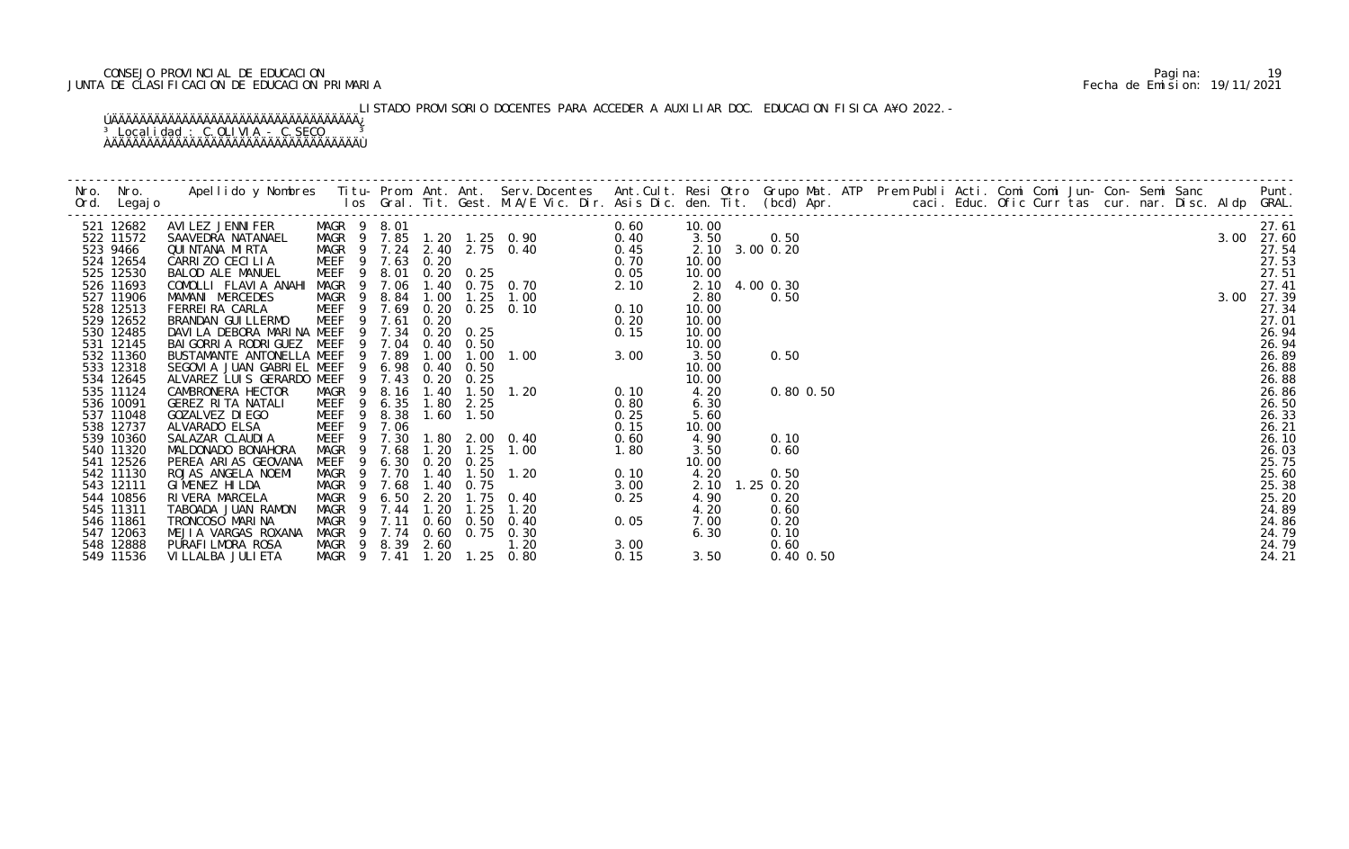## CONSEJO PROVINCIAL DE EDUCACION Pagina: 19 JUNTA DE CLASIFICACION DE EDUCACION PRIMARIA Fecha de Emision: 19/11/2021

# LISTADO PROVISORIO DOCENTES PARA ACCEDER A AUXILIAR DOC. EDUCACION FISICA A¥O 2022.-

| 521 12682              | AVILIER IN THERE MAGR 9 3.01<br>ANIEDRA NATANAEL MAGR 9 7.24 2.40 2.75 0.40<br>CARRIZO CECILIA MAGR 9 7.24 2.40 2.75 0.40 0.60<br>CARRIZO CECILIA MAGR 9 7.24 2.40 2.75 0.40 0.45<br>CARRIZO CECILIA MEEF 9 8.01 0.20 0.25 0.70<br>COMOL |                   |                |                  |      |           |                            |      | 10.00          |           |      |               |  |  |  |  |  | 27.61          |
|------------------------|------------------------------------------------------------------------------------------------------------------------------------------------------------------------------------------------------------------------------------------|-------------------|----------------|------------------|------|-----------|----------------------------|------|----------------|-----------|------|---------------|--|--|--|--|--|----------------|
| 522 11572              |                                                                                                                                                                                                                                          |                   |                |                  |      |           |                            |      | 3.50           | 0.50      |      |               |  |  |  |  |  | 3.00 27.60     |
| 523 9466               |                                                                                                                                                                                                                                          |                   |                |                  |      |           |                            |      | 2.10 3.00 0.20 |           |      |               |  |  |  |  |  | 27.54          |
| 524 12654              |                                                                                                                                                                                                                                          |                   |                |                  |      |           |                            |      | 10.00          |           |      |               |  |  |  |  |  | 27.53          |
| 525 12530              |                                                                                                                                                                                                                                          |                   |                |                  |      |           |                            |      | 10.00          |           |      |               |  |  |  |  |  | 27.51          |
| 526 11693              |                                                                                                                                                                                                                                          |                   |                |                  |      |           |                            |      | 2.10 4.00 0.30 |           |      |               |  |  |  |  |  | 27.41          |
| 527 11906              |                                                                                                                                                                                                                                          |                   |                |                  |      |           |                            |      | 2.80           |           | 0.50 |               |  |  |  |  |  | 3.00 27.39     |
| 528 12513              |                                                                                                                                                                                                                                          |                   |                |                  |      |           |                            |      | 10.00          |           |      |               |  |  |  |  |  | 27.34          |
| 529 12652              |                                                                                                                                                                                                                                          |                   |                |                  |      |           |                            |      | 10.00          |           |      |               |  |  |  |  |  | 27.01          |
| 530 12485              |                                                                                                                                                                                                                                          |                   |                |                  |      |           |                            |      | 10.00          |           |      |               |  |  |  |  |  | 26.94          |
| 531 12145              |                                                                                                                                                                                                                                          |                   |                |                  |      |           |                            |      | 10.00          |           |      |               |  |  |  |  |  | 26.94          |
| 532 11360              |                                                                                                                                                                                                                                          |                   |                |                  |      |           |                            |      | 3.50           |           | 0.50 |               |  |  |  |  |  | 26.89<br>26.88 |
| 533 12318<br>534 12645 |                                                                                                                                                                                                                                          |                   |                |                  |      |           |                            |      | 10.00<br>10.00 |           |      |               |  |  |  |  |  | 26.88          |
| 535 11124              |                                                                                                                                                                                                                                          |                   |                |                  |      |           |                            |      | 4.20           |           |      | $0.80$ $0.50$ |  |  |  |  |  | 26.86          |
| 536 10091              |                                                                                                                                                                                                                                          |                   |                |                  |      |           |                            |      | 6.30           |           |      |               |  |  |  |  |  | 26.50          |
| 537 11048              |                                                                                                                                                                                                                                          |                   |                |                  |      |           |                            |      | 5.60           |           |      |               |  |  |  |  |  | 26.33          |
| 538 12737              |                                                                                                                                                                                                                                          |                   |                |                  |      |           |                            |      | 10.00          |           |      |               |  |  |  |  |  | 26.21          |
| 539 10360              |                                                                                                                                                                                                                                          |                   |                |                  |      |           |                            |      | 4.90           |           | 0.10 |               |  |  |  |  |  | 26.10          |
| 540 11320              |                                                                                                                                                                                                                                          |                   |                |                  |      |           |                            |      | 3.50           |           | 0.60 |               |  |  |  |  |  | 26.03          |
| 541 12526              | PEREA ARIAS GEOVANA                                                                                                                                                                                                                      | MEEF <sub>9</sub> |                | 6.30 0.20 0.25   |      |           |                            |      | 10.00          |           |      |               |  |  |  |  |  | 25.75          |
| 542 11130              | ROJAS ANGELA NOEMI                                                                                                                                                                                                                       |                   |                | MAGR 9 7.70      | 1.40 |           | $1.50$ $1.20$              | 0.10 | 4.20           |           | 0.50 |               |  |  |  |  |  | 25.60          |
| 543 12111              | GIMENEZ HILDA                                                                                                                                                                                                                            |                   |                | MAGR 9 7.68      |      | 1.40 0.75 |                            | 3.00 | 2.10           | 1.25 0.20 |      |               |  |  |  |  |  | 25.38          |
| 544 10856              | RIVERA MARCELA                                                                                                                                                                                                                           | MAGR              | $\overline{9}$ | 6.50             | 2.20 |           | $1.75$ 0.40                | 0.25 | 4.90           |           | 0.20 |               |  |  |  |  |  | 25.20          |
| 545 11311              | TABOADA JUAN RAMON                                                                                                                                                                                                                       | MAGR 9            |                | 7.44             | 1.20 | 1.25      | 1.20                       |      | 4.20           |           | 0.60 |               |  |  |  |  |  | 24.89          |
| 546 11861              | TRONCOSO MARINA                                                                                                                                                                                                                          |                   |                | MAGR 9 7.11      |      |           | 0.60 0.50 0.40             | 0.05 | 7.00           |           | 0.20 |               |  |  |  |  |  | 24.86          |
| 547 12063              | MEJIA VARGAS ROXANA                                                                                                                                                                                                                      |                   |                |                  |      |           | MAGR 9 7.74 0.60 0.75 0.30 |      | 6.30           |           | 0.10 |               |  |  |  |  |  | 24.79          |
| 548 12888              | PURAFI LMORA ROSA                                                                                                                                                                                                                        |                   |                | MAGR 9 8.39 2.60 |      |           | 1.20                       | 3.00 |                |           | 0.60 |               |  |  |  |  |  | 24.79          |
| 549 11536              | VI LLALBA JULI ETA                                                                                                                                                                                                                       | MAGR 9            |                | 7.41             | 1.20 | 1.25      | 0.80                       | 0.15 | 3.50           |           |      | 0.40 0.50     |  |  |  |  |  | 24.21          |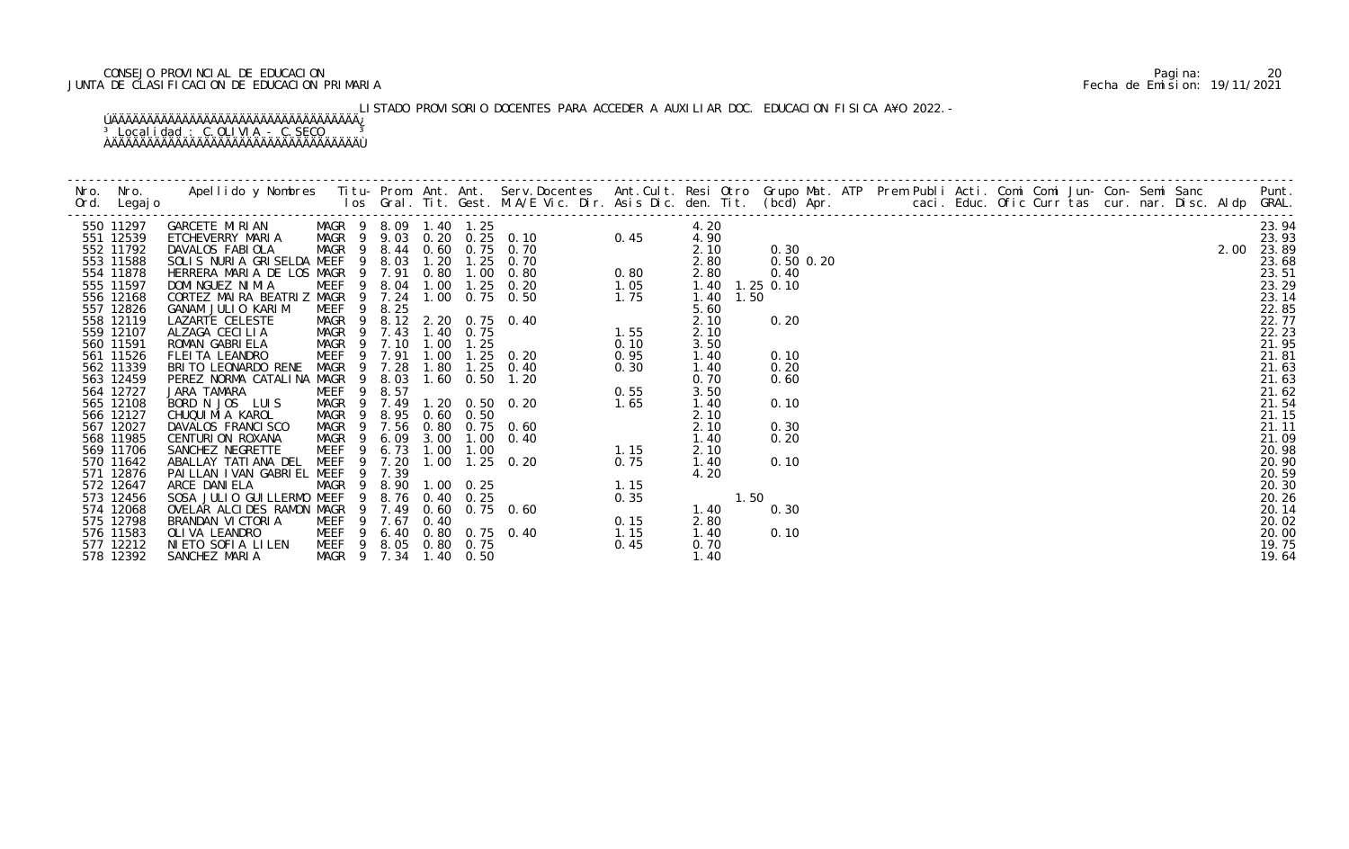## CONSEJO PROVINCIAL DE EDUCACION Pagina: 20 JUNTA DE CLASIFICACION DE EDUCACION PRIMARIA Fecha de Emision: 19/11/2021

# LISTADO PROVISORIO DOCENTES PARA ACCEDER A AUXILIAR DOC. EDUCACION FISICA A¥O 2022.-

| 550 11297              | CARCETE MIRIAN MAGR 9 8.09 1.40 1.25 0.26<br>ETCHEVERRY MARIA MAGR 9 8.09 1.40 1.25 0.10 0.45<br>DAVALOS FABIOLA MAGR 9 8.44 0.60 0.75 0.70 0.45<br>SOLIS NURIA GRISELDA MEEF 9 8.03 1.20 1.25 0.70<br>HERRERA MARIA DE LOS MAGR 9 7.9 |                       |     |               |      |                |                                                                                                                                                                                                                                                                              | 4.20                           |               |  |  |  |  |  |  |
|------------------------|----------------------------------------------------------------------------------------------------------------------------------------------------------------------------------------------------------------------------------------|-----------------------|-----|---------------|------|----------------|------------------------------------------------------------------------------------------------------------------------------------------------------------------------------------------------------------------------------------------------------------------------------|--------------------------------|---------------|--|--|--|--|--|--|
| 551 12539              |                                                                                                                                                                                                                                        |                       |     |               |      |                |                                                                                                                                                                                                                                                                              | 4.90                           |               |  |  |  |  |  |  |
| 552 11792              |                                                                                                                                                                                                                                        |                       |     |               |      |                |                                                                                                                                                                                                                                                                              | 2.10                           | 0.30          |  |  |  |  |  |  |
| 553 11588              |                                                                                                                                                                                                                                        |                       |     |               |      |                |                                                                                                                                                                                                                                                                              | 2.80                           | $0.50$ $0.20$ |  |  |  |  |  |  |
| 554 11878              |                                                                                                                                                                                                                                        |                       |     |               |      |                |                                                                                                                                                                                                                                                                              | 2.80                           | 0.40          |  |  |  |  |  |  |
| 555 11597              |                                                                                                                                                                                                                                        |                       |     |               |      |                |                                                                                                                                                                                                                                                                              | 1.40 1.25 0.10<br>1.40<br>1.50 |               |  |  |  |  |  |  |
| 556 12168<br>557 12826 |                                                                                                                                                                                                                                        |                       |     |               |      |                |                                                                                                                                                                                                                                                                              | 5.60                           |               |  |  |  |  |  |  |
| 558 12119              |                                                                                                                                                                                                                                        |                       |     |               |      |                |                                                                                                                                                                                                                                                                              | 2.10                           | 0.20          |  |  |  |  |  |  |
| 559 12107              |                                                                                                                                                                                                                                        |                       |     |               |      |                |                                                                                                                                                                                                                                                                              | 2.10                           |               |  |  |  |  |  |  |
| 560 11591              |                                                                                                                                                                                                                                        |                       |     |               |      |                |                                                                                                                                                                                                                                                                              | 3.50                           |               |  |  |  |  |  |  |
| 561 11526              |                                                                                                                                                                                                                                        |                       |     |               |      |                |                                                                                                                                                                                                                                                                              | 1.40                           |               |  |  |  |  |  |  |
| 562 11339              | BRITO LEONARDO RENE                                                                                                                                                                                                                    | MAGR 9 7.28           |     |               | 1.80 |                | $1.25$ 0.40<br>$0.30$<br>$0.55$<br>$1.65$                                                                                                                                                                                                                                    | 1.40                           |               |  |  |  |  |  |  |
| 563 12459              | PEREZ NORMA CATALINA MAGR 9 8.03                                                                                                                                                                                                       |                       |     |               |      |                | 1.60 0.50 1.20                                                                                                                                                                                                                                                               | 0.70                           |               |  |  |  |  |  |  |
| 564 12727              | JARA TAMARA                                                                                                                                                                                                                            | MEEF <sub>9</sub>     |     | 8.57          |      |                |                                                                                                                                                                                                                                                                              | 3.50                           |               |  |  |  |  |  |  |
| 565 12108              | BORD N JOS LUIS                                                                                                                                                                                                                        | MAGR 9                |     | 7.49          |      |                | 1.20 0.50 0.20                                                                                                                                                                                                                                                               | 1.40                           | 0.10          |  |  |  |  |  |  |
| 566 12127              | CHUQUI MI A KAROL                                                                                                                                                                                                                      | MAGR <sub>9</sub>     |     | 8.95          |      | $0.60$ $0.50$  |                                                                                                                                                                                                                                                                              | 2.10                           |               |  |  |  |  |  |  |
| 567 12027              | DAVALOS FRANCI SCO                                                                                                                                                                                                                     | MAGR 9 7.56           |     |               |      |                | 0.80 0.75 0.60                                                                                                                                                                                                                                                               | 2.10                           |               |  |  |  |  |  |  |
| 568 11985              | CENTURION ROXANA                                                                                                                                                                                                                       | MAGR                  | - 9 | 6.09          |      |                | 3.00 1.00 0.40                                                                                                                                                                                                                                                               | 1.40                           |               |  |  |  |  |  |  |
| 569 11706              | SANCHEZ NEGRETTE                                                                                                                                                                                                                       | MEEF                  | 9   | $6.73$ $1.00$ |      |                |                                                                                                                                                                                                                                                                              | 2.10                           |               |  |  |  |  |  |  |
| 570 11642              | ABALLAY TATI ANA DEL                                                                                                                                                                                                                   | MEEF <sub>9</sub>     |     | 7.20          |      |                | 1.00 1.25 0.20                                                                                                                                                                                                                                                               | 1.40                           |               |  |  |  |  |  |  |
| 571 12876              | PAILLAN IVAN GABRIEL MEEF                                                                                                                                                                                                              |                       | -9  | 7.39          |      |                |                                                                                                                                                                                                                                                                              | 4.20                           |               |  |  |  |  |  |  |
| 572 12647              | ARCE DANI ELA                                                                                                                                                                                                                          | MAGR 9<br>MEEF 9      |     |               |      | 8.90 1.00 0.25 |                                                                                                                                                                                                                                                                              |                                |               |  |  |  |  |  |  |
| 573 12456              | SOSA JULIO GUI LLERMO MEEF                                                                                                                                                                                                             |                       |     |               |      | 8.76 0.40 0.25 |                                                                                                                                                                                                                                                                              | 1.50                           |               |  |  |  |  |  |  |
| 574 12068<br>575 12798 | OVELAR ALCIDES RAMON MAGR 9 7.49 0.60 0.75 0.60<br>BRANDAN VI CTORI A                                                                                                                                                                  | MEEF 9 7.67 0.40      |     |               |      |                |                                                                                                                                                                                                                                                                              | 1.40<br>2.80                   |               |  |  |  |  |  |  |
| 576 11583              | OLI VA LEANDRO                                                                                                                                                                                                                         |                       |     |               |      |                | MEEF 9 6.40 0.80 0.75 0.40                                                                                                                                                                                                                                                   | 1.40                           | 0.10          |  |  |  |  |  |  |
| 577 12212              | NIETO SOFIA LILEN                                                                                                                                                                                                                      | MEEF 9 8.05 0.80 0.75 |     |               |      |                |                                                                                                                                                                                                                                                                              | 0.70                           |               |  |  |  |  |  |  |
| 578 12392              | SANCHEZ MARIA                                                                                                                                                                                                                          | MAGR 9 7.34 1.40 0.50 |     |               |      |                | 0. 50 0. 20 1. 65<br>0. 50<br>0. 75 0. 60<br>1. 00 0. 40<br>1. 00 1. 15<br>1. 25 0. 20 0. 75<br>0. 25<br>0. 25<br>0. 75 0. 60<br>0. 75 0. 40<br>0. 75 0. 40<br>0. 75<br>0. 75<br>0. 75<br>0. 75<br>0. 75<br>0. 15<br>0. 75<br>0. 15<br>0. 75<br>0. 15<br>0. 75<br>0. 15<br>0 | 1.40                           |               |  |  |  |  |  |  |